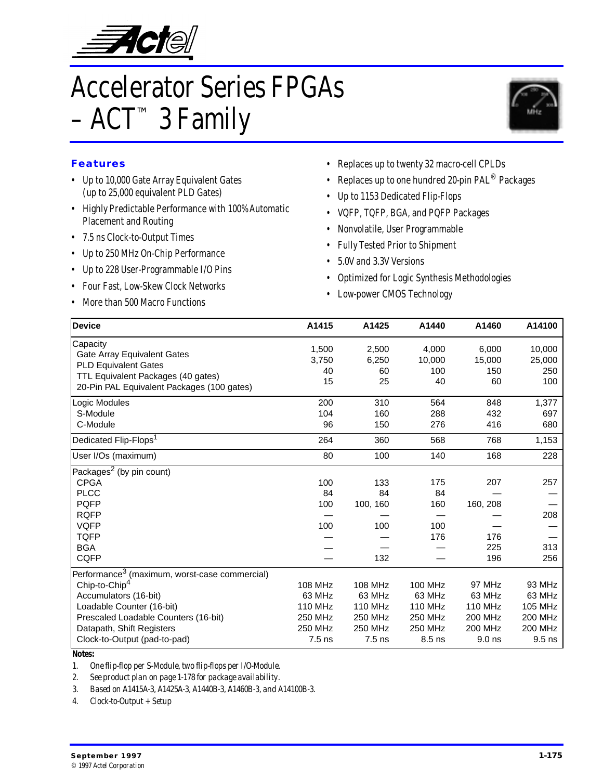

# Accelerator Series FPGAs  $-$  ACT<sup>TM</sup> 3 Family



### **Features**

- Up to 10,000 Gate Array Equivalent Gates (up to 25,000 equivalent PLD Gates)
- Highly Predictable Performance with 100% Automatic Placement and Routing
- 7.5 ns Clock-to-Output Times
- Up to 250 MHz On-Chip Performance
- Up to 228 User-Programmable I/O Pins
- Four Fast, Low-Skew Clock Networks
- More than 500 Macro Functions
- Replaces up to twenty 32 macro-cell CPLDs
- Replaces up to one hundred 20-pin  $\mathsf{PAL}^\circledR$  Packages
- Up to 1153 Dedicated Flip-Flops
- VQFP, TQFP, BGA, and PQFP Packages
- Nonvolatile, User Programmable
- Fully Tested Prior to Shipment
- 5.0V and 3.3V Versions
- Optimized for Logic Synthesis Methodologies
- Low-power CMOS Technology

| <b>Device</b>                                             | A1415          | A1425          | A1440          | A1460          | A14100         |
|-----------------------------------------------------------|----------------|----------------|----------------|----------------|----------------|
| Capacity                                                  | 1,500          | 2,500          | 4,000          | 6,000          | 10,000         |
| Gate Array Equivalent Gates                               | 3.750          | 6,250          | 10,000         | 15,000         | 25,000         |
| <b>PLD Equivalent Gates</b>                               | 40             | 60             | 100            | 150            | 250            |
| TTL Equivalent Packages (40 gates)                        | 15             | 25             | 40             | 60             | 100            |
| 20-Pin PAL Equivalent Packages (100 gates)                |                |                |                |                |                |
| Logic Modules                                             | 200            | 310            | 564            | 848            | 1,377          |
| S-Module                                                  | 104            | 160            | 288            | 432            | 697            |
| C-Module                                                  | 96             | 150            | 276            | 416            | 680            |
| Dedicated Flip-Flops <sup>1</sup>                         | 264            | 360            | 568            | 768            | 1,153          |
| User I/Os (maximum)                                       | 80             | 100            | 140            | 168            | 228            |
| Packages <sup>2</sup> (by pin count)                      |                |                |                |                |                |
| <b>CPGA</b>                                               | 100            | 133            | 175            | 207            | 257            |
| <b>PLCC</b>                                               | 84             | 84             | 84             |                |                |
| <b>PQFP</b>                                               | 100            | 100, 160       | 160            | 160, 208       |                |
| <b>RQFP</b>                                               |                |                |                |                | 208            |
| <b>VQFP</b>                                               | 100            | 100            | 100            |                |                |
| <b>TQFP</b>                                               |                |                | 176            | 176            |                |
| <b>BGA</b>                                                |                |                |                | 225            | 313            |
| <b>CQFP</b>                                               |                | 132            |                | 196            | 256            |
| Performance <sup>3</sup> (maximum, worst-case commercial) |                |                |                |                |                |
| Chip-to-Chip <sup>4</sup>                                 | <b>108 MHz</b> | 108 MHz        | <b>100 MHz</b> | 97 MHz         | 93 MHz         |
| Accumulators (16-bit)                                     | 63 MHz         | 63 MHz         | 63 MHz         | 63 MHz         | 63 MHz         |
| Loadable Counter (16-bit)                                 | <b>110 MHz</b> | <b>110 MHz</b> | <b>110 MHz</b> | <b>110 MHz</b> | <b>105 MHz</b> |
| Prescaled Loadable Counters (16-bit)                      | <b>250 MHz</b> | 250 MHz        | 250 MHz        | 200 MHz        | 200 MHz        |
| Datapath, Shift Registers                                 | 250 MHz        | 250 MHz        | 250 MHz        | 200 MHz        | 200 MHz        |
| Clock-to-Output (pad-to-pad)                              | $7.5$ ns       | $7.5$ ns       | 8.5 ns         | 9.0 ns         | $9.5$ ns       |

#### *Notes:*

*1. One flip-flop per S-Module, two flip-flops per I/O-Module.*

*2. See product plan on [page 1-178](#page-3-0) for package availability.*

*3. Based on A1415A-3, A1425A-3, A1440B-3, A1460B-3, and A14100B-3.*

*4. Clock-to-Output + Setup*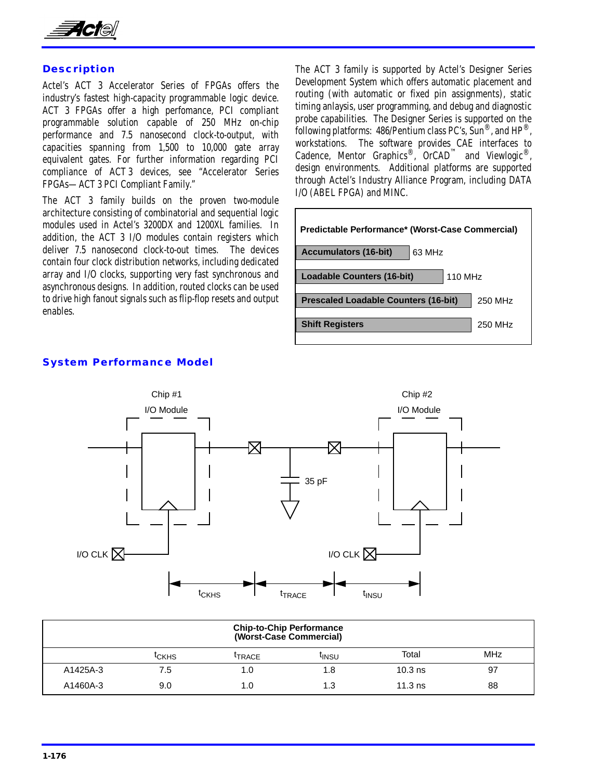

### **Description**

Actel's ACT 3 Accelerator Series of FPGAs offers the industry's fastest high-capacity programmable logic device. ACT 3 FPGAs offer a high perfomance, PCI compliant programmable solution capable of 250 MHz on-chip performance and 7.5 nanosecond clock-to-output, with capacities spanning from 1,500 to 10,000 gate array equivalent gates. For further information regarding PCI compliance of ACT 3 devices, see "Accelerator Series FPGAs—ACT 3 PCI Compliant Family."

The ACT 3 family builds on the proven two-module architecture consisting of combinatorial and sequential logic modules used in Actel's 3200DX and 1200XL families. In addition, the ACT 3 I/O modules contain registers which deliver 7.5 nanosecond clock-to-out times. The devices contain four clock distribution networks, including dedicated array and I/O clocks, supporting very fast synchronous and asynchronous designs. In addition, routed clocks can be used to drive high fanout signals such as flip-flop resets and output enables.

The ACT 3 family is supported by Actel's Designer Series Development System which offers automatic placement and routing (with automatic or fixed pin assignments), static timing anlaysis, user programming, and debug and diagnostic probe capabilities. The Designer Series is supported on the following platforms: 486/Pentium class PC's,  $\overline{\text{Sun}}^{\circledR}$ , and  $\text{HP}^{\circledR}$ . workstations. The software provides CAE interfaces to Cadence, Mentor Graphics®,  $OrCAD^{\mathbb{M}}$  and Viewlogic®, design environments. Additional platforms are supported through Actel's Industry Alliance Program, including DATA I/O (ABEL FPGA) and MINC.

| <b>Predictable Performance* (Worst-Case Commercial)</b> |         |  |  |  |  |  |
|---------------------------------------------------------|---------|--|--|--|--|--|
| 63 MHz<br><b>Accumulators (16-bit)</b>                  |         |  |  |  |  |  |
| <b>Loadable Counters (16-bit)</b><br>110 MHz            |         |  |  |  |  |  |
| <b>Prescaled Loadable Counters (16-bit)</b>             | 250 MHz |  |  |  |  |  |
| <b>Shift Registers</b>                                  | 250 MHz |  |  |  |  |  |



# **System Performance Model**

|          |                   |                    | <b>Chip-to-Chip Performance</b><br>(Worst-Case Commercial) |           |    |  |  |  |
|----------|-------------------|--------------------|------------------------------------------------------------|-----------|----|--|--|--|
|          | <sup>I</sup> CKHS | <sup>I</sup> TRACE | <b>MHz</b><br>Total<br><sup>I</sup> INSU                   |           |    |  |  |  |
| A1425A-3 | 7.5               | 1.0                | 8. ا                                                       | $10.3$ ns | 97 |  |  |  |
| A1460A-3 | 9.0               | 1.0                | 1.3                                                        | $11.3$ ns | 88 |  |  |  |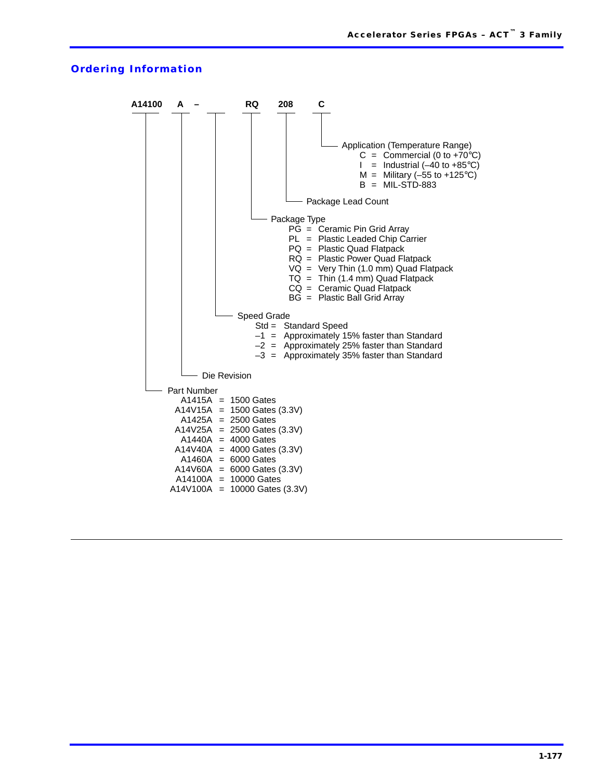#### **Ordering Information**

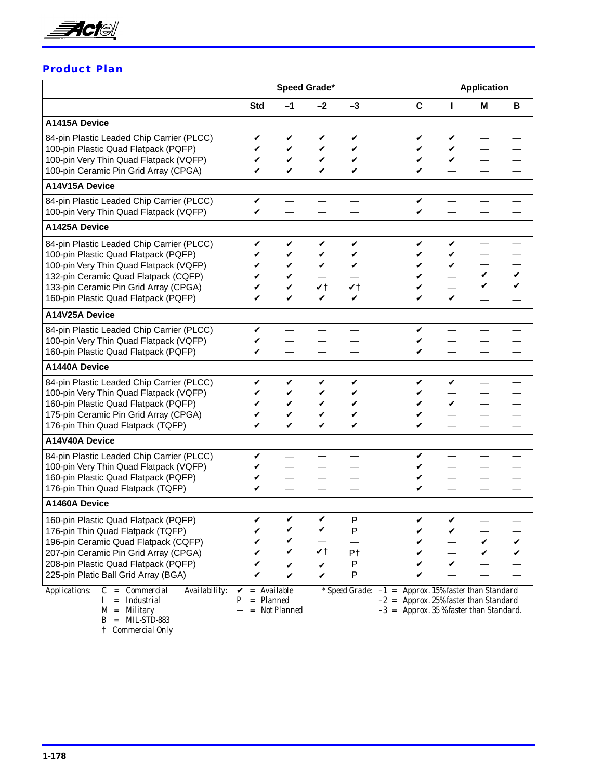<span id="page-3-0"></span>

### **Product Plan**

|                                                                                                                                                                                                                                                      |                                 | Speed Grade*               |                                    |                                    |                                                                                                                                                |                  | <b>Application</b> |   |
|------------------------------------------------------------------------------------------------------------------------------------------------------------------------------------------------------------------------------------------------------|---------------------------------|----------------------------|------------------------------------|------------------------------------|------------------------------------------------------------------------------------------------------------------------------------------------|------------------|--------------------|---|
|                                                                                                                                                                                                                                                      | <b>Std</b>                      | $-1$                       | -2                                 | $-3$                               | C                                                                                                                                              | П                | м                  | В |
| A1415A Device                                                                                                                                                                                                                                        |                                 |                            |                                    |                                    |                                                                                                                                                |                  |                    |   |
| 84-pin Plastic Leaded Chip Carrier (PLCC)<br>100-pin Plastic Quad Flatpack (PQFP)<br>100-pin Very Thin Quad Flatpack (VQFP)<br>100-pin Ceramic Pin Grid Array (CPGA)                                                                                 | V<br>V<br>V<br>✓                | V<br>V<br>V<br>✓           | V<br>V<br>V<br>$\checkmark$        | V<br>V<br>V<br>V                   | V<br>V<br>V<br>✓                                                                                                                               | V<br>V           |                    |   |
| A14V15A Device                                                                                                                                                                                                                                       |                                 |                            |                                    |                                    |                                                                                                                                                |                  |                    |   |
| 84-pin Plastic Leaded Chip Carrier (PLCC)<br>100-pin Very Thin Quad Flatpack (VQFP)                                                                                                                                                                  | V<br>V                          |                            |                                    |                                    | V<br>✓                                                                                                                                         |                  |                    |   |
| A1425A Device                                                                                                                                                                                                                                        |                                 |                            |                                    |                                    |                                                                                                                                                |                  |                    |   |
| 84-pin Plastic Leaded Chip Carrier (PLCC)<br>100-pin Plastic Quad Flatpack (PQFP)<br>100-pin Very Thin Quad Flatpack (VQFP)<br>132-pin Ceramic Quad Flatpack (CQFP)<br>133-pin Ceramic Pin Grid Array (CPGA)<br>160-pin Plastic Quad Flatpack (PQFP) | V<br>✓<br>✓<br>V                | V<br>V<br>V<br>V<br>V<br>V | V<br>V<br>V<br>$\mathbf{v}$ t<br>V | V<br>V<br>V<br>$\mathbf{v}$ t<br>V | V<br>V<br>V<br>V<br>V<br>V                                                                                                                     | V<br>V<br>V<br>V | V<br>V             |   |
| A14V25A Device                                                                                                                                                                                                                                       |                                 |                            |                                    |                                    |                                                                                                                                                |                  |                    |   |
| 84-pin Plastic Leaded Chip Carrier (PLCC)<br>100-pin Very Thin Quad Flatpack (VQFP)<br>160-pin Plastic Quad Flatpack (PQFP)                                                                                                                          | V<br>V<br>V                     |                            |                                    |                                    | V<br>V<br>V                                                                                                                                    |                  |                    |   |
| <b>A1440A Device</b>                                                                                                                                                                                                                                 |                                 |                            |                                    |                                    |                                                                                                                                                |                  |                    |   |
| 84-pin Plastic Leaded Chip Carrier (PLCC)<br>100-pin Very Thin Quad Flatpack (VQFP)<br>160-pin Plastic Quad Flatpack (PQFP)<br>175-pin Ceramic Pin Grid Array (CPGA)<br>176-pin Thin Quad Flatpack (TQFP)                                            | V<br>✓                          | V<br>V<br>V<br>V<br>V      | V<br>V<br>V                        | V<br>V<br>V<br>✓<br>V              | V<br>V<br>V<br>V<br>V                                                                                                                          | V<br>✓           |                    |   |
| A14V40A Device                                                                                                                                                                                                                                       |                                 |                            |                                    |                                    |                                                                                                                                                |                  |                    |   |
| 84-pin Plastic Leaded Chip Carrier (PLCC)<br>100-pin Very Thin Quad Flatpack (VQFP)<br>160-pin Plastic Quad Flatpack (PQFP)<br>176-pin Thin Quad Flatpack (TQFP)                                                                                     | V<br>V<br>V                     |                            |                                    |                                    | V<br>V<br>V                                                                                                                                    |                  |                    |   |
| A1460A Device                                                                                                                                                                                                                                        |                                 |                            |                                    |                                    |                                                                                                                                                |                  |                    |   |
| 160-pin Plastic Quad Flatpack (PQFP)<br>176-pin Thin Quad Flatpack (TQFP)<br>196-pin Ceramic Quad Flatpack (CQFP)<br>207-pin Ceramic Pin Grid Array (CPGA)<br>208-pin Plastic Quad Flatpack (PQFP)<br>225-pin Platic Ball Grid Array (BGA)           | V                               | V                          | V                                  | P<br>Ρ<br>P <sub>†</sub><br>P<br>P | V                                                                                                                                              | V                |                    |   |
| Availability:<br>$C = \textit{Commercial}$<br><i><b>Applications:</b></i><br>= Industrial<br>$M =$ Military                                                                                                                                          | $=$ Available<br>V<br>= Planned | = Not Planned              |                                    |                                    | * Speed Grade: $-1$ = Approx. 15% faster than Standard<br>$-2$ = Approx. 25% faster than Standard<br>$-3$ = Approx. 35 % faster than Standard. |                  |                    |   |

*B = MIL-STD-883* † *Commercial Only*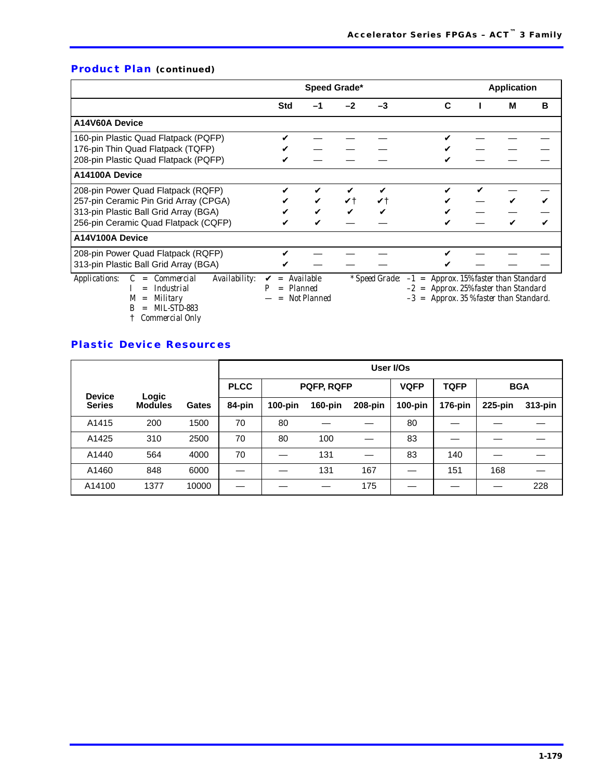# **Product Plan (continued)**

|                                                                                                                                                              |            | Speed Grade*                                                    |      |    |                                                                                                                                                | <b>Application</b> |   |
|--------------------------------------------------------------------------------------------------------------------------------------------------------------|------------|-----------------------------------------------------------------|------|----|------------------------------------------------------------------------------------------------------------------------------------------------|--------------------|---|
|                                                                                                                                                              | <b>Std</b> | -1                                                              | $-2$ | -3 | C                                                                                                                                              | м                  | в |
| A14V60A Device                                                                                                                                               |            |                                                                 |      |    |                                                                                                                                                |                    |   |
| 160-pin Plastic Quad Flatpack (PQFP)<br>176-pin Thin Quad Flatpack (TQFP)                                                                                    |            |                                                                 |      |    |                                                                                                                                                |                    |   |
| 208-pin Plastic Quad Flatpack (PQFP)                                                                                                                         |            |                                                                 |      |    |                                                                                                                                                |                    |   |
| A14100A Device                                                                                                                                               |            |                                                                 |      |    |                                                                                                                                                |                    |   |
| 208-pin Power Quad Flatpack (RQFP)<br>257-pin Ceramic Pin Grid Array (CPGA)<br>313-pin Plastic Ball Grid Array (BGA)<br>256-pin Ceramic Quad Flatpack (CQFP) | ✔          |                                                                 | Vt   |    |                                                                                                                                                |                    |   |
| A14V100A Device                                                                                                                                              |            |                                                                 |      |    |                                                                                                                                                |                    |   |
| 208-pin Power Quad Flatpack (RQFP)<br>313-pin Plastic Ball Grid Array (BGA)                                                                                  |            |                                                                 |      |    |                                                                                                                                                |                    |   |
| Availability:<br><b>Applications:</b><br><i>Commercial</i><br><i>Industrial</i><br>$=$<br>Military<br>$1 \pi T$ $\alpha \pi D$ $\alpha \alpha$               | $=$<br>$=$ | <i><b>Available</b></i><br><b>Planned</b><br><b>Not Planned</b> |      |    | * Speed Grade: $-1$ = Approx. 15% faster than Standard<br>$-2$ = Approx. 25% faster than Standard<br>$-3$ = Approx. 35 % faster than Standard. |                    |   |

*B = MIL-STD-883*

† *Commercial Only*

### **Plastic Device Resources**

|               |                |              |             | User I/Os  |            |         |             |             |            |         |
|---------------|----------------|--------------|-------------|------------|------------|---------|-------------|-------------|------------|---------|
| <b>Device</b> | Logic          |              | <b>PLCC</b> | PQFP, RQFP |            |         | <b>VQFP</b> | <b>TQFP</b> | <b>BGA</b> |         |
| <b>Series</b> | <b>Modules</b> | <b>Gates</b> | 84-pin      | $100$ -pin | $160$ -pin | 208-pin | $100$ -pin  | 176-pin     | 225-pin    | 313-pin |
| A1415         | 200            | 1500         | 70          | 80         |            |         | 80          |             |            |         |
| A1425         | 310            | 2500         | 70          | 80         | 100        |         | 83          |             |            |         |
| A1440         | 564            | 4000         | 70          |            | 131        |         | 83          | 140         |            |         |
| A1460         | 848            | 6000         |             |            | 131        | 167     |             | 151         | 168        |         |
| A14100        | 1377           | 10000        |             |            |            | 175     |             |             |            | 228     |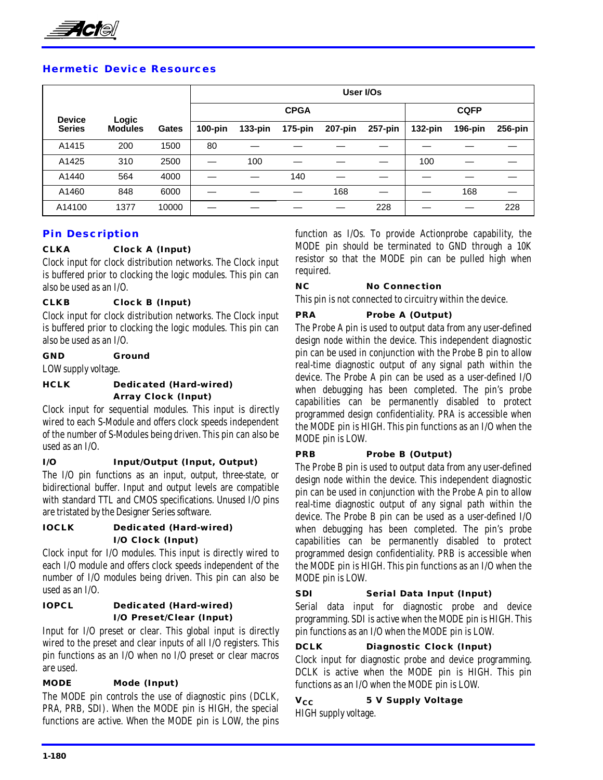

### **Hermetic Device Resources**

|               |                |       |            | User I/Os  |             |         |         |            |             |         |
|---------------|----------------|-------|------------|------------|-------------|---------|---------|------------|-------------|---------|
| <b>Device</b> | Logic          |       |            |            | <b>CPGA</b> |         |         |            | <b>CQFP</b> |         |
| <b>Series</b> | <b>Modules</b> | Gates | $100$ -pin | $133$ -pin | $175$ -pin  | 207-pin | 257-pin | $132$ -pin | 196-pin     | 256-pin |
| A1415         | 200            | 1500  | 80         |            |             |         |         |            |             |         |
| A1425         | 310            | 2500  |            | 100        |             |         |         | 100        |             |         |
| A1440         | 564            | 4000  |            |            | 140         |         |         |            |             |         |
| A1460         | 848            | 6000  |            |            |             | 168     |         |            | 168         |         |
| A14100        | 1377           | 10000 |            |            |             |         | 228     |            |             | 228     |

### **Pin Description**

### **CLKA Clock A (Input)**

Clock input for clock distribution networks. The Clock input is buffered prior to clocking the logic modules. This pin can also be used as an I/O.

### **CLKB Clock B (Input)**

Clock input for clock distribution networks. The Clock input is buffered prior to clocking the logic modules. This pin can also be used as an I/O.

### **GND Ground**

LOW supply voltage.

### **HCLK Dedicated (Hard-wired) Array Clock (Input)**

Clock input for sequential modules. This input is directly wired to each S-Module and offers clock speeds independent of the number of S-Modules being driven. This pin can also be used as an I/O.

### **I/O Input/Output (Input, Output)**

The I/O pin functions as an input, output, three-state, or bidirectional buffer. Input and output levels are compatible with standard TTL and CMOS specifications. Unused I/O pins are tristated by the Designer Series software.

### **IOCLK Dedicated (Hard-wired) I/O Clock (Input)**

Clock input for I/O modules. This input is directly wired to each I/O module and offers clock speeds independent of the number of I/O modules being driven. This pin can also be used as an I/O.

### **IOPCL Dedicated (Hard-wired) I/O Preset/Clear (Input)**

Input for I/O preset or clear. This global input is directly wired to the preset and clear inputs of all I/O registers. This pin functions as an I/O when no I/O preset or clear macros are used.

### **MODE Mode (Input)**

The MODE pin controls the use of diagnostic pins (DCLK, PRA, PRB, SDI). When the MODE pin is HIGH, the special functions are active. When the MODE pin is LOW, the pins function as I/Os. To provide Actionprobe capability, the MODE pin should be terminated to GND through a 10K resistor so that the MODE pin can be pulled high when required.

### **NC No Connection**

This pin is not connected to circuitry within the device.

### **PRA Probe A (Output)**

The Probe A pin is used to output data from any user-defined design node within the device. This independent diagnostic pin can be used in conjunction with the Probe B pin to allow real-time diagnostic output of any signal path within the device. The Probe A pin can be used as a user-defined I/O when debugging has been completed. The pin's probe capabilities can be permanently disabled to protect programmed design confidentiality. PRA is accessible when the MODE pin is HIGH. This pin functions as an I/O when the MODE pin is LOW.

### **PRB Probe B (Output)**

The Probe B pin is used to output data from any user-defined design node within the device. This independent diagnostic pin can be used in conjunction with the Probe A pin to allow real-time diagnostic output of any signal path within the device. The Probe B pin can be used as a user-defined I/O when debugging has been completed. The pin's probe capabilities can be permanently disabled to protect programmed design confidentiality. PRB is accessible when the MODE pin is HIGH. This pin functions as an I/O when the MODE pin is LOW.

### **SDI Serial Data Input (Input)**

Serial data input for diagnostic probe and device programming. SDI is active when the MODE pin is HIGH. This pin functions as an I/O when the MODE pin is LOW.

### **DCLK Diagnostic Clock (Input)**

Clock input for diagnostic probe and device programming. DCLK is active when the MODE pin is HIGH. This pin functions as an I/O when the MODE pin is LOW.

### **V<sub>CC</sub>** 5 V Supply Voltage HIGH supply voltage.

**1-180**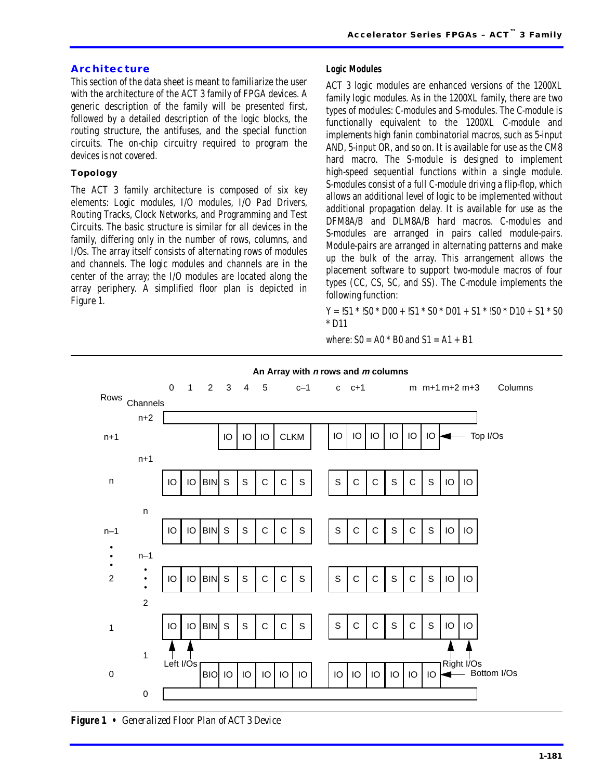### **Architecture**

This section of the data sheet is meant to familiarize the user with the architecture of the ACT 3 family of FPGA devices. A generic description of the family will be presented first, followed by a detailed description of the logic blocks, the routing structure, the antifuses, and the special function circuits. The on-chip circuitry required to program the devices is not covered.

### **Topology**

The ACT 3 family architecture is composed of six key elements: Logic modules, I/O modules, I/O Pad Drivers, Routing Tracks, Clock Networks, and Programming and Test Circuits. The basic structure is similar for all devices in the family, differing only in the number of rows, columns, and I/Os. The array itself consists of alternating rows of modules and channels. The logic modules and channels are in the center of the array; the I/O modules are located along the array periphery. A simplified floor plan is depicted in Figure 1.

### **Logic Modules**

ACT 3 logic modules are enhanced versions of the 1200XL family logic modules. As in the 1200XL family, there are two types of modules: C-modules and S-modules. The C-module is functionally equivalent to the 1200XL C-module and implements high fanin combinatorial macros, such as 5-input AND, 5-input OR, and so on. It is available for use as the CM8 hard macro. The S-module is designed to implement high-speed sequential functions within a single module. S-modules consist of a full C-module driving a flip-flop, which allows an additional level of logic to be implemented without additional propagation delay. It is available for use as the DFM8A/B and DLM8A/B hard macros. C-modules and S-modules are arranged in pairs called module-pairs. Module-pairs are arranged in alternating patterns and make up the bulk of the array. This arrangement allows the placement software to support two-module macros of four types (CC, CS, SC, and SS). The C-module implements the following function:

 $Y = 1S1 * 1S0 * D00 + 1S1 * S0 * D01 + S1 * 1S0 * D10 + S1 * S0$ \* D11

where:  $S0 = A0 * B0$  and  $S1 = A1 + B1$ 



*Figure 1 • Generalized Floor Plan of ACT 3 Device*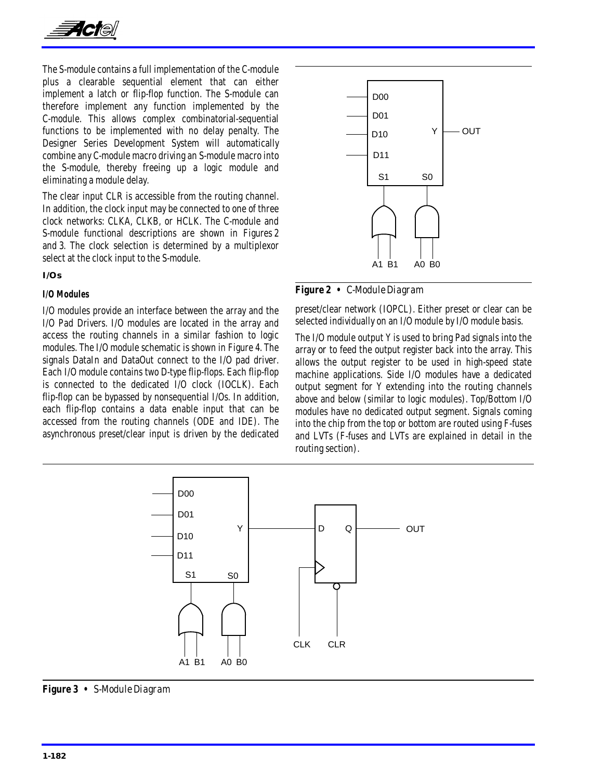

The S-module contains a full implementation of the C-module plus a clearable sequential element that can either implement a latch or flip-flop function. The S-module can therefore implement any function implemented by the C-module. This allows complex combinatorial-sequential functions to be implemented with no delay penalty. The Designer Series Development System will automatically combine any C-module macro driving an S-module macro into the S-module, thereby freeing up a logic module and eliminating a module delay.

The clear input CLR is accessible from the routing channel. In addition, the clock input may be connected to one of three clock networks: CLKA, CLKB, or HCLK. The C-module and S-module functional descriptions are shown in Figures 2 and 3. The clock selection is determined by a multiplexor select at the clock input to the S-module.

**I/Os**

#### **I/O Modules**

I/O modules provide an interface between the array and the I/O Pad Drivers. I/O modules are located in the array and access the routing channels in a similar fashion to logic modules. The I/O module schematic is shown in [Figure 4.](#page-8-0) The signals DataIn and DataOut connect to the I/O pad driver. Each I/O module contains two D-type flip-flops. Each flip-flop is connected to the dedicated I/O clock (IOCLK). Each flip-flop can be bypassed by nonsequential I/Os. In addition, each flip-flop contains a data enable input that can be accessed from the routing channels (ODE and IDE). The asynchronous preset/clear input is driven by the dedicated



*Figure 2 • C-Module Diagram*

preset/clear network (IOPCL). Either preset or clear can be selected individually on an I/O module by I/O module basis.

The I/O module output Y is used to bring Pad signals into the array *or* to feed the output register back into the array. This allows the output register to be used in high-speed state machine applications. Side I/O modules have a dedicated output segment for Y extending into the routing channels above and below (similar to logic modules). Top/Bottom I/O modules have no dedicated output segment. Signals coming into the chip from the top or bottom are routed using F-fuses and LVTs (F-fuses and LVTs are explained in detail in the routing section).



*Figure 3 • S-Module Diagram*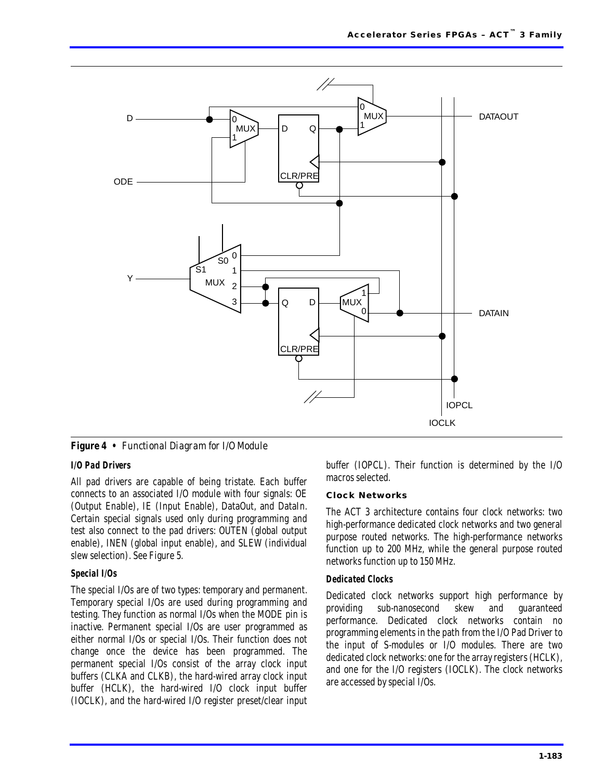<span id="page-8-0"></span>

*Figure 4 • Functional Diagram for I/O Module*

### **I/O Pad Drivers**

All pad drivers are capable of being tristate. Each buffer connects to an associated I/O module with four signals: OE (Output Enable), IE (Input Enable), DataOut, and DataIn. Certain special signals used only during programming and test also connect to the pad drivers: OUTEN (global output enable), INEN (global input enable), and SLEW (individual slew selection). See [Figure 5.](#page-9-0)

### **Special I/Os**

The special I/Os are of two types: temporary and permanent. Temporary special I/Os are used during programming and testing. They function as normal I/Os when the MODE pin is inactive. Permanent special I/Os are user programmed as either normal I/Os or special I/Os. Their function does not change once the device has been programmed. The permanent special I/Os consist of the array clock input buffers (CLKA and CLKB), the hard-wired array clock input buffer (HCLK), the hard-wired I/O clock input buffer (IOCLK), and the hard-wired I/O register preset/clear input buffer (IOPCL). Their function is determined by the I/O macros selected.

### **Clock Networks**

The ACT 3 architecture contains four clock networks: two high-performance dedicated clock networks and two general purpose routed networks. The high-performance networks function up to 200 MHz, while the general purpose routed networks function up to 150 MHz.

### **Dedicated Clocks**

Dedicated clock networks support high performance by providing sub-nanosecond skew and guaranteed performance. Dedicated clock networks contain no programming elements in the path from the I/O Pad Driver to the input of S-modules or I/O modules. There are two dedicated clock networks: one for the array registers (HCLK), and one for the I/O registers (IOCLK). The clock networks are accessed by special I/Os.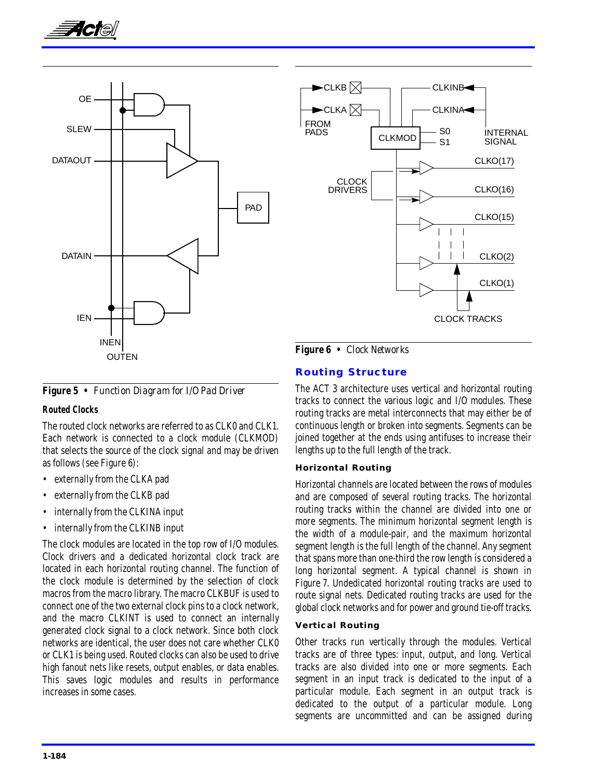<span id="page-9-0"></span>



*Figure 5 • Function Diagram for I/O Pad Driver*

### **Routed Clocks**

The routed clock networks are referred to as CLK0 and CLK1. Each network is connected to a clock module (CLKMOD) that selects the source of the clock signal and may be driven as follows (see Figure 6):

- externally from the CLKA pad
- externally from the CLKB pad
- internally from the CLKINA input
- internally from the CLKINB input

The clock modules are located in the top row of I/O modules. Clock drivers and a dedicated horizontal clock track are located in each horizontal routing channel. The function of the clock module is determined by the selection of clock macros from the macro library. The macro CLKBUF is used to connect one of the two external clock pins to a clock network, and the macro CLKINT is used to connect an internally generated clock signal to a clock network. Since both clock networks are identical, the user does not care whether CLK0 or CLK1 is being used. Routed clocks can also be used to drive high fanout nets like resets, output enables, or data enables. This saves logic modules and results in performance increases in some cases.



### **Routing Structure**

The ACT 3 architecture uses vertical and horizontal routing tracks to connect the various logic and I/O modules. These routing tracks are metal interconnects that may either be of continuous length or broken into segments. Segments can be joined together at the ends using antifuses to increase their lengths up to the full length of the track.

### **Horizontal Routing**

Horizontal channels are located between the rows of modules and are composed of several routing tracks. The horizontal routing tracks within the channel are divided into one or more segments. The minimum horizontal segment length is the width of a module-pair, and the maximum horizontal segment length is the full length of the channel. Any segment that spans more than one-third the row length is considered a long horizontal segment. A typical channel is shown in [Figure 7](#page-10-0). Undedicated horizontal routing tracks are used to route signal nets. Dedicated routing tracks are used for the global clock networks and for power and ground tie-off tracks.

### **Vertical Routing**

Other tracks run vertically through the modules. Vertical tracks are of three types: input, output, and long. Vertical tracks are also divided into one or more segments. Each segment in an input track is dedicated to the input of a particular module. Each segment in an output track is dedicated to the output of a particular module. Long segments are uncommitted and can be assigned during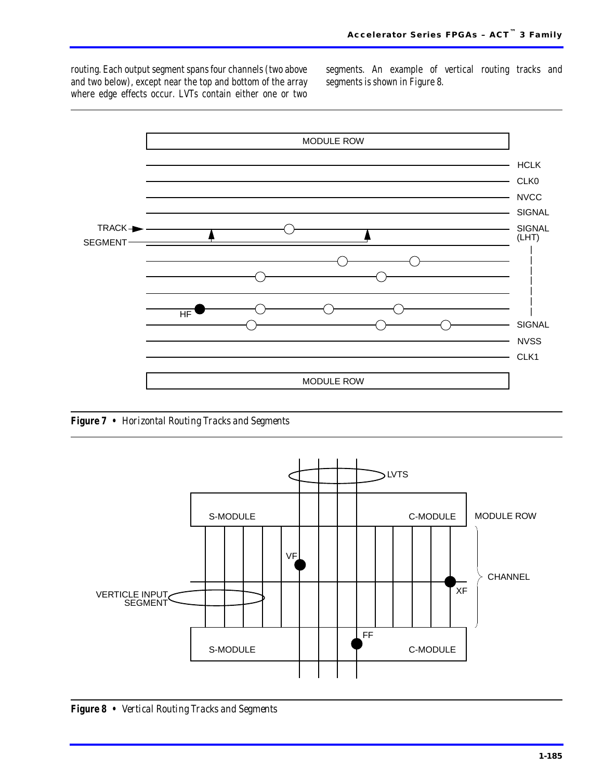<span id="page-10-0"></span>routing. Each output segment spans four channels (two above and two below), except near the top and bottom of the array where edge effects occur. LVTs contain either one or two segments. An example of vertical routing tracks and segments is shown in Figure 8.



*Figure 7 • Horizontal Routing Tracks and Segments*



*Figure 8 • Vertical Routing Tracks and Segments*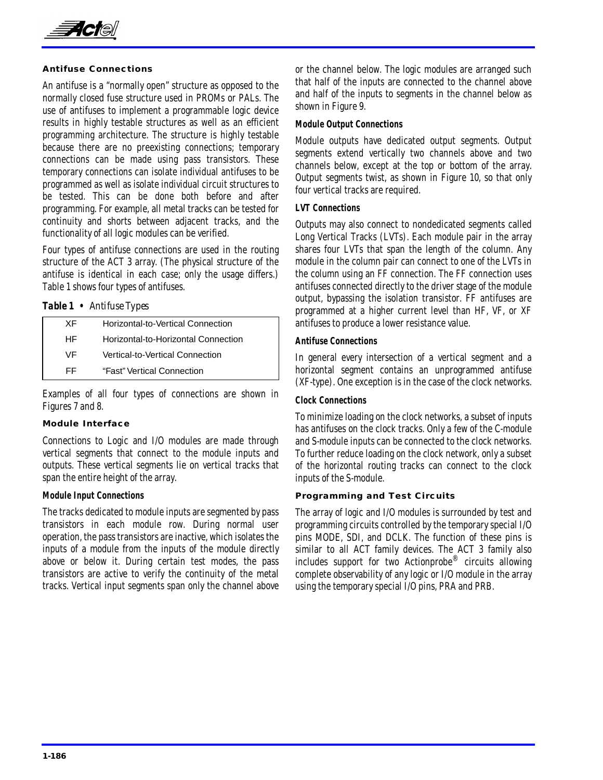

### **Antifuse Connections**

An antifuse is a "normally open" structure as opposed to the normally closed fuse structure used in PROMs or PALs. The use of antifuses to implement a programmable logic device results in highly testable structures as well as an efficient programming architecture. The structure is highly testable because there are no preexisting connections; temporary connections can be made using pass transistors. These temporary connections can isolate individual antifuses to be programmed as well as isolate individual circuit structures to be tested. This can be done both before and after programming. For example, all metal tracks can be tested for continuity and shorts between adjacent tracks, and the functionality of all logic modules can be verified.

Four types of antifuse connections are used in the routing structure of the ACT 3 array. (The physical structure of the antifuse is identical in each case; only the usage differs.) Table 1 shows four types of antifuses.

### *Table 1 • Antifuse Types*

| ХF | Horizontal-to-Vertical Connection   |
|----|-------------------------------------|
| HF | Horizontal-to-Horizontal Connection |
| VF | Vertical-to-Vertical Connection     |
| FF | "Fast" Vertical Connection          |
|    |                                     |

Examples of all four types of connections are shown in [Figures 7](#page-10-0) and [8.](#page-10-0)

#### **Module Interface**

Connections to Logic and I/O modules are made through vertical segments that connect to the module inputs and outputs. These vertical segments lie on vertical tracks that span the entire height of the array.

### **Module Input Connections**

The tracks dedicated to module inputs are segmented by pass transistors in each module row. During normal user operation, the pass transistors are inactive, which isolates the inputs of a module from the inputs of the module directly above or below it. During certain test modes, the pass transistors are active to verify the continuity of the metal tracks. Vertical input segments span only the channel above or the channel below. The logic modules are arranged such that half of the inputs are connected to the channel above and half of the inputs to segments in the channel below as shown in [Figure 9](#page-12-0).

#### **Module Output Connections**

Module outputs have dedicated output segments. Output segments extend vertically two channels above and two channels below, except at the top or bottom of the array. Output segments twist, as shown in Figure 10, so that only four vertical tracks are required.

#### **LVT Connections**

Outputs may also connect to nondedicated segments called Long Vertical Tracks (LVTs). Each module pair in the array shares four LVTs that span the length of the column. Any module in the column pair can connect to one of the LVTs in the column using an FF connection. The FF connection uses antifuses connected directly to the driver stage of the module output, bypassing the isolation transistor. FF antifuses are programmed at a higher current level than HF, VF, or XF antifuses to produce a lower resistance value.

### **Antifuse Connections**

In general every intersection of a vertical segment and a horizontal segment contains an unprogrammed antifuse (XF-type). One exception is in the case of the clock networks.

### **Clock Connections**

To minimize loading on the clock networks, a subset of inputs has antifuses on the clock tracks. Only a few of the C-module and S-module inputs can be connected to the clock networks. To further reduce loading on the clock network, only a subset of the horizontal routing tracks can connect to the clock inputs of the S-module.

#### **Programming and Test Circuits**

The array of logic and I/O modules is surrounded by test and programming circuits controlled by the temporary special I/O pins MODE, SDI, and DCLK. The function of these pins is similar to all ACT family devices. The ACT 3 family also includes support for two Actionprobe® circuits allowing complete observability of any logic or I/O module in the array using the temporary special I/O pins, PRA and PRB.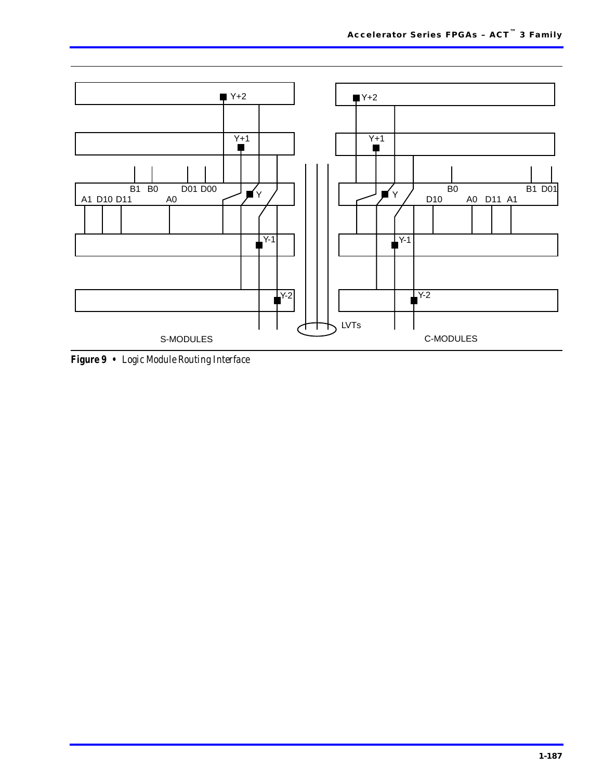<span id="page-12-0"></span>

*Figure 9 • Logic Module Routing Interface*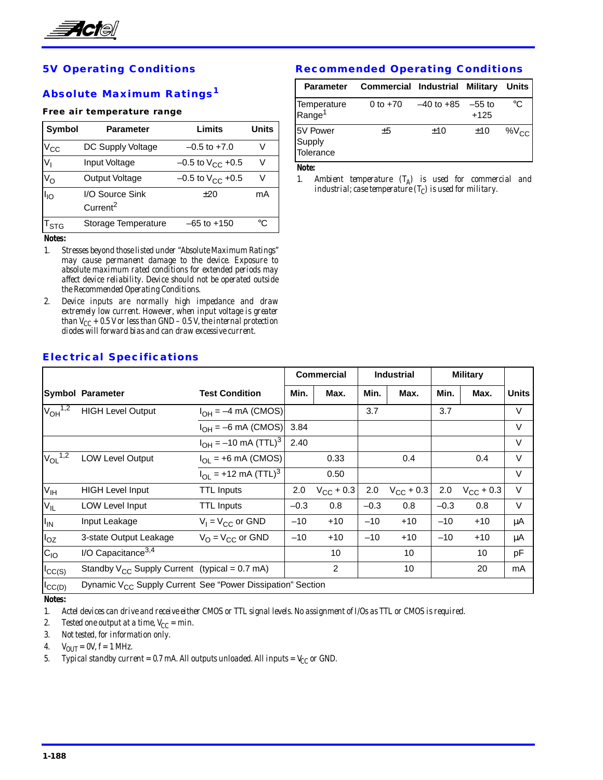

# **5V Operating Conditions**

### **Absolute Maximum Ratings<sup>1</sup>**

#### **Free air temperature range**

| <b>Symbol</b> | Parameter                               | Limits                         | Units |
|---------------|-----------------------------------------|--------------------------------|-------|
| $V_{\rm CC}$  | DC Supply Voltage                       | $-0.5$ to $+7.0$               | V     |
| $V_{1}$       | Input Voltage                           | $-0.5$ to $V_{CC}$ +0.5        | V     |
| $V_{\rm O}$   | <b>Output Voltage</b>                   | $-0.5$ to V <sub>CC</sub> +0.5 | V     |
| $I_{IO}$      | I/O Source Sink<br>Current <sup>2</sup> | ±20                            | mA    |
| l stg         | Storage Temperature                     | $-65$ to $+150$                | °C    |

*Notes:*

- *1. Stresses beyond those listed under "Absolute Maximum Ratings" may cause permanent damage to the device. Exposure to absolute maximum rated conditions for extended periods may affect device reliability. Device should not be operated outside the Recommended Operating Conditions.*
- *2. Device inputs are normally high impedance and draw extremely low current. However, when input voltage is greater than*  $V_{CC}$  *+ 0.5 V or less than GND – 0.5 V, the internal protection diodes will forward bias and can draw excessive current.*

### **Recommended Operating Conditions**

| <b>Parameter</b>                  | <b>Commercial Industrial Military</b> |            |                    | Units     |
|-----------------------------------|---------------------------------------|------------|--------------------|-----------|
| Temperature<br>Range <sup>1</sup> | 0 to $+70$                            | –40 to +85 | $-55$ to<br>$+125$ | °C        |
| 5V Power<br>Supply<br>Tolerance   | ±5                                    | ±10        | ±10                | $%V_{CC}$ |

*Note:*

*1. Ambient temperature (TA) is used for commercial and industrial; case temperature*  $(T_C)$  *is used for military.* 

|                          |                                                                        |                                             | <b>Commercial</b> |                    |        | <b>Industrial</b>  | <b>Military</b> |                    |              |
|--------------------------|------------------------------------------------------------------------|---------------------------------------------|-------------------|--------------------|--------|--------------------|-----------------|--------------------|--------------|
|                          | <b>Symbol Parameter</b>                                                | <b>Test Condition</b>                       | Min.              | Max.               | Min.   | Max.               | Min.            | Max.               | <b>Units</b> |
| $V_{OH}$ <sup>1,2</sup>  | <b>HIGH Level Output</b>                                               | $I_{OH} = -4$ mA (CMOS)                     |                   |                    | 3.7    |                    | 3.7             |                    | V            |
|                          |                                                                        | $I_{OH} = -6$ mA (CMOS)                     | 3.84              |                    |        |                    |                 |                    | V            |
|                          |                                                                        | $I_{OH} = -10$ mA (TTL) <sup>3</sup>        | 2.40              |                    |        |                    |                 |                    | $\vee$       |
| $V_{OL}$ <sup>1,2</sup>  | <b>LOW Level Output</b>                                                | $I_{\text{OI}}$ = +6 mA (CMOS)              |                   | 0.33               |        | 0.4                |                 | 0.4                | $\vee$       |
|                          |                                                                        | $I_{\text{OL}}$ = +12 mA (TTL) <sup>3</sup> |                   | 0.50               |        |                    |                 |                    | $\vee$       |
| V <sub>IH</sub>          | <b>HIGH Level Input</b>                                                | <b>TTL Inputs</b>                           | 2.0               | $V_{\rm CC}$ + 0.3 | 2.0    | $V_{\rm CC}$ + 0.3 | 2.0             | $V_{\rm CC}$ + 0.3 | $\vee$       |
| V <sub>IL</sub>          | <b>LOW Level Input</b>                                                 | <b>TTL Inputs</b>                           | $-0.3$            | 0.8                | $-0.3$ | 0.8                | $-0.3$          | 0.8                | $\vee$       |
| $I_{IN}$                 | Input Leakage                                                          | $V_1 = V_{CC}$ or GND                       | $-10$             | $+10$              | $-10$  | $+10$              | $-10$           | $+10$              | μA           |
| $I_{OZ}$                 | 3-state Output Leakage                                                 | $V_{\Omega} = V_{\text{CC}}$ or GND         | $-10$             | $+10$              | $-10$  | $+10$              | $-10$           | $+10$              | μA           |
| $C_{IO}$                 | I/O Capacitance $3,4$                                                  |                                             |                   | 10                 |        | 10                 |                 | 10                 | pF           |
| ICC(S)                   | Standby $V_{CC}$ Supply Current (typical = 0.7 mA)                     |                                             |                   | 2                  |        | 10                 |                 | 20                 | mA           |
| $ {}^{\mathsf{I}}$ CC(D) | Dynamic V <sub>CC</sub> Supply Current See "Power Dissipation" Section |                                             |                   |                    |        |                    |                 |                    |              |

### **Electrical Specifications**

*Notes:*

*1. Actel devices can drive and receive either CMOS or TTL signal levels. No assignment of I/Os as TTL or CMOS is required.*

2. Tested one output at a time,  $V_{CC} = min$ .

*3. Not tested, for information only.*

*4.*  $V_{OUT} = \frac{\partial V}{\partial t} = 1 \text{ MHz.}$ 

*5. Typical standby current = 0.7 mA. All outputs unloaded. All inputs =*  $V_{CC}$  *or GND.*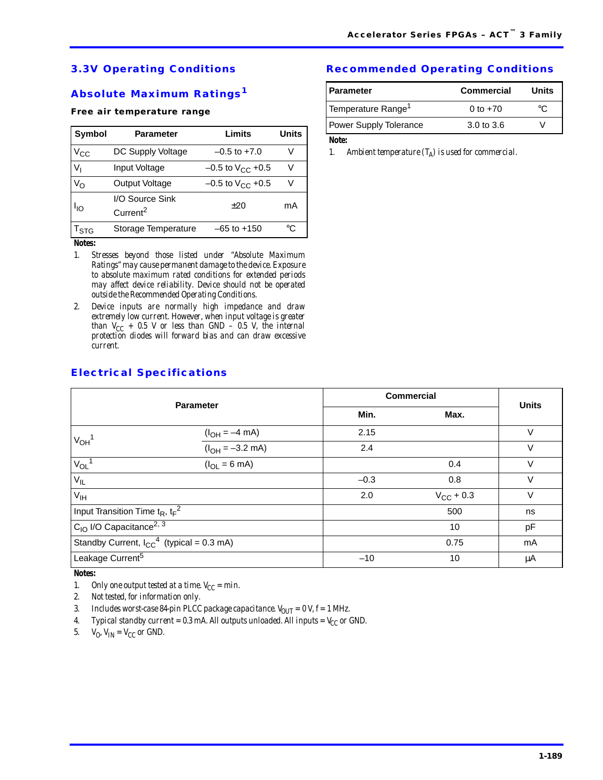# **3.3V Operating Conditions**

# **Absolute Maximum Ratings<sup>1</sup>**

#### **Free air temperature range**

| <b>Symbol</b>             | <b>Parameter</b>                        | Limits                         | <b>Units</b> |
|---------------------------|-----------------------------------------|--------------------------------|--------------|
| $V_{\rm CC}$              | DC Supply Voltage                       | $-0.5$ to $+7.0$               | V            |
| $V_{I}$                   | Input Voltage                           | $-0.5$ to V <sub>CC</sub> +0.5 | V            |
| $V_{\rm O}$               | <b>Output Voltage</b>                   | $-0.5$ to $V_{CC}$ +0.5        | V            |
| $I_{IO}$                  | I/O Source Sink<br>Current <sup>2</sup> | ±20                            | mA           |
| $\mathsf{T}_{\text{STG}}$ | Storage Temperature                     | $-65$ to $+150$                | °C           |
| $N$ atası                 |                                         |                                |              |

*Notes:*

- *1. Stresses beyond those listed under "Absolute Maximum Ratings" may cause permanent damage to the device. Exposure to absolute maximum rated conditions for extended periods may affect device reliability. Device should not be operated outside the Recommended Operating Conditions.*
- *2. Device inputs are normally high impedance and draw extremely low current. However, when input voltage is greater than*  $V_{CC}$  *+ 0.5 V or less than GND – 0.5 V, the internal protection diodes will forward bias and can draw excessive current.*

### **Recommended Operating Conditions**

| Commercial            | Units |
|-----------------------|-------|
| 0 to $+70$            |       |
| $3.0 \text{ to } 3.6$ |       |
|                       |       |

*Note:*

*1. Ambient temperature*  $(T_A)$  *is used for commercial.* 

| <b>Electrical Specifications</b> |
|----------------------------------|
|----------------------------------|

| <b>Parameter</b>                                  |                           | <b>Commercial</b> |                    |              |
|---------------------------------------------------|---------------------------|-------------------|--------------------|--------------|
|                                                   |                           | Min.              | Max.               | <b>Units</b> |
| $V_{OH}$ <sup>1</sup>                             | $(I_{OH} = -4$ mA)        | 2.15              |                    | $\vee$       |
|                                                   | $(l_{OH} = -3.2$ mA)      | 2.4               |                    | V            |
| $V_{OL}$ <sup>1</sup>                             | $(I_{OL} = 6 \text{ mA})$ |                   | 0.4                | $\vee$       |
| $V_{IL}$                                          |                           | $-0.3$            | 0.8                | $\vee$       |
| $V_{\text{IH}}$                                   |                           | 2.0               | $V_{\rm CC}$ + 0.3 | $\vee$       |
| Input Transition Time $t_R$ , $t_F^2$             |                           |                   | 500                | ns           |
| $CIO$ I/O Capacitance <sup>2, 3</sup>             |                           |                   | 10                 | pF           |
| Standby Current, $I_{CC}^{-4}$ (typical = 0.3 mA) |                           |                   | 0.75               | mA           |
| Leakage Current <sup>5</sup>                      |                           | $-10$             | 10                 | μA           |

*Notes:*

- *1.* Only one output tested at a time.  $V_{CC} = min$ .
- *2. Not tested, for information only.*
- 3. *Includes worst-case 84-pin PLCC package capacitance.*  $V_{OUT} = 0$  V,  $f = 1$  MHz.
- 4. *Typical standby current = 0.3 mA. All outputs unloaded. All inputs =*  $V_{CC}$  *or GND.*

5.  $V_O$   $V_{IN} = V_{CC}$  or GND.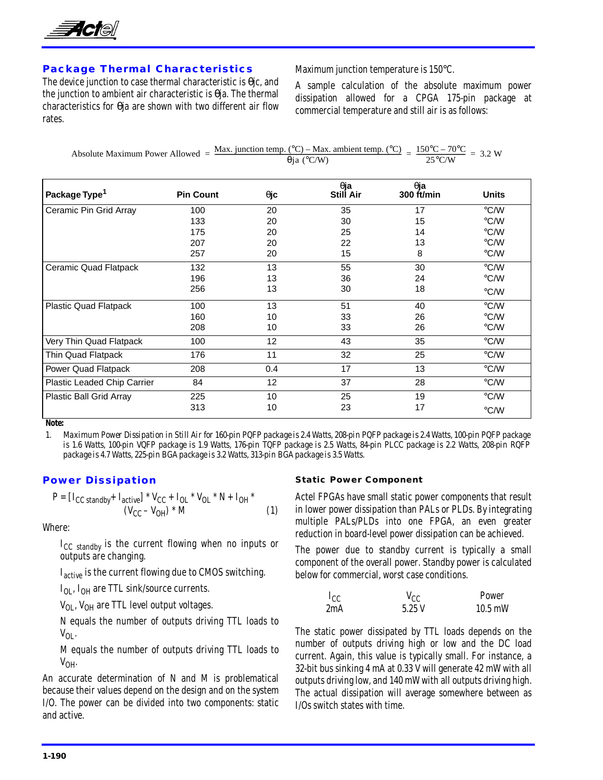

### **Package Thermal Characteristics**

The device junction to case thermal characteristic is θjc, and the junction to ambient air characteristic is θja. The thermal characteristics for θja are shown with two different air flow rates.

Maximum junction temperature is 150°C.

A sample calculation of the absolute maximum power dissipation allowed for a CPGA 175-pin package at commercial temperature and still air is as follows:

Absolute Maximum Power Allowed =  $\frac{\text{Max. junction temp. (^{\circ}C)} - \text{Max. ambient temp. (^{\circ}C)}{\theta} = \frac{150^{\circ}C - 70^{\circ}C}{25^{\circ}C/W} = 3.2 W$ 

| Package Type <sup>1</sup>   | <b>Pin Count</b> | $\theta$ jc     | $\theta$ ja<br><b>Still Air</b> | $\theta$ ja<br>300 $ft/min$ | <b>Units</b>            |
|-----------------------------|------------------|-----------------|---------------------------------|-----------------------------|-------------------------|
| Ceramic Pin Grid Array      | 100              | 20              | 35                              | 17                          | $\degree$ C/W           |
|                             | 133              | 20              | 30                              | 15                          | °C/W                    |
|                             | 175              | 20              | 25                              | 14                          | °C/W                    |
|                             | 207              | 20              | 22                              | 13                          | °C/W                    |
|                             | 257              | 20              | 15                              | 8                           | °C/W                    |
| Ceramic Quad Flatpack       | 132              | 13              | 55                              | 30                          | °C/W                    |
|                             | 196              | 13              | 36                              | 24                          | °C/W                    |
|                             | 256              | 13              | 30                              | 18                          | °C/W                    |
| Plastic Quad Flatpack       | 100              | 13              | 51                              | 40                          | °C/W                    |
|                             | 160              | 10              | 33                              | 26                          | °C/W                    |
|                             | 208              | 10              | 33                              | 26                          | °C/W                    |
| Very Thin Quad Flatpack     | 100              | 12              | 43                              | 35                          | °C/W                    |
| Thin Quad Flatpack          | 176              | 11              | 32                              | 25                          | $\mathrm{C}/\mathrm{W}$ |
| Power Quad Flatpack         | 208              | 0.4             | 17                              | 13                          | $\degree$ C/W           |
| Plastic Leaded Chip Carrier | 84               | 12 <sup>2</sup> | 37                              | 28                          | $\mathrm{C}/\mathrm{W}$ |
| Plastic Ball Grid Array     | 225              | 10              | 25                              | 19                          | $\degree$ C/W           |
|                             | 313              | 10              | 23                              | 17                          | °C/W                    |

*Note:*

*1. Maximum Power Dissipation in Still Air for 160-pin PQFP package is 2.4 Watts, 208-pin PQFP package is 2.4 Watts, 100-pin PQFP package is 1.6 Watts, 100-pin VQFP package is 1.9 Watts, 176-pin TQFP package is 2.5 Watts, 84-pin PLCC package is 2.2 Watts, 208-pin RQFP package is 4.7 Watts, 225-pin BGA package is 3.2 Watts, 313-pin BGA package is 3.5 Watts.*

### **Power Dissipation**

$$
P = [I_{CC\,standby} + I_{active}] * V_{CC} + I_{OL} * V_{OL} * N + I_{OH} * (V_{CC} - V_{OH}) * M
$$
 (1)

Where:

I<sub>CC</sub> standby is the current flowing when no inputs or outputs are changing.

I<sub>active</sub> is the current flowing due to CMOS switching.

 $I_{OL}$ ,  $I_{OH}$  are TTL sink/source currents.

 $V_{OL}$ ,  $V_{OH}$  are TTL level output voltages.

N equals the number of outputs driving TTL loads to  $V_{OL}$ .

M equals the number of outputs driving TTL loads to  $V_{OH}$ 

An accurate determination of N and M is problematical because their values depend on the design and on the system I/O. The power can be divided into two components: static and active.

#### **Static Power Component**

Actel FPGAs have small static power components that result in lower power dissipation than PALs or PLDs. By integrating multiple PALs/PLDs into one FPGA, an even greater reduction in board-level power dissipation can be achieved.

The power due to standby current is typically a small component of the overall power. Standby power is calculated below for commercial, worst case conditions.

| $I_{CC}$ | $v_{\rm CC}$ | Power             |
|----------|--------------|-------------------|
| 2mA      | 5.25V        | $10.5 \text{ mW}$ |

The static power dissipated by TTL loads depends on the number of outputs driving high or low and the DC load current. Again, this value is typically small. For instance, a 32-bit bus sinking 4 mA at 0.33 V will generate 42 mW with all outputs driving low, and 140 mW with all outputs driving high. The actual dissipation will average somewhere between as I/Os switch states with time.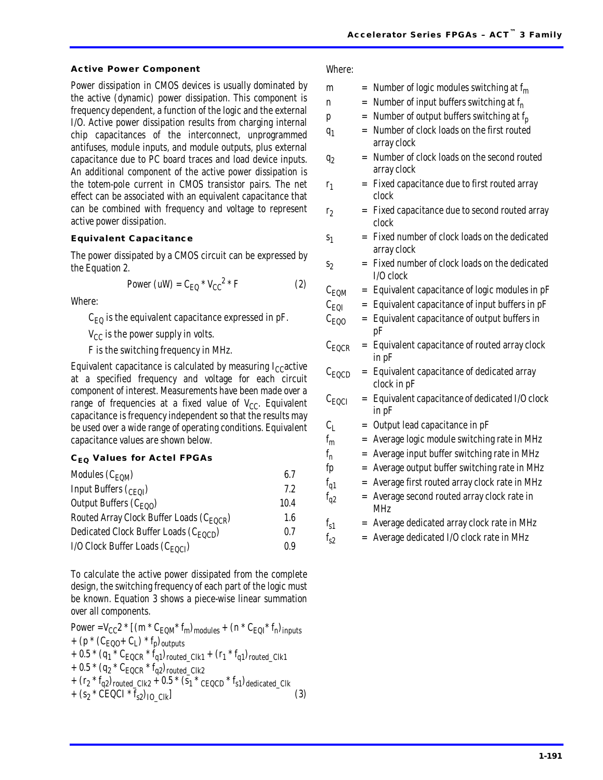#### **Active Power Component**

Power dissipation in CMOS devices is usually dominated by the active (dynamic) power dissipation. This component is frequency dependent, a function of the logic and the external I/O. Active power dissipation results from charging internal chip capacitances of the interconnect, unprogrammed antifuses, module inputs, and module outputs, plus external capacitance due to PC board traces and load device inputs. An additional component of the active power dissipation is the totem-pole current in CMOS transistor pairs. The net effect can be associated with an equivalent capacitance that can be combined with frequency and voltage to represent active power dissipation.

### **Equivalent Capacitance**

The power dissipated by a CMOS circuit can be expressed by the Equation 2.

$$
Power (uW) = C_{\text{EQ}} * V_{\text{CC}}^2 * F \tag{2}
$$

Where:

 $C_{\text{EO}}$  is the equivalent capacitance expressed in pF.

 $V_{CC}$  is the power supply in volts.

F is the switching frequency in MHz.

Equivalent capacitance is calculated by measuring  $I_{CC}$  active at a specified frequency and voltage for each circuit component of interest. Measurements have been made over a range of frequencies at a fixed value of  $V_{CC}$ . Equivalent capacitance is frequency independent so that the results may be used over a wide range of operating conditions. Equivalent capacitance values are shown below.

#### **CEQ Values for Actel FPGAs**

| Modules $(C_{EOM})$                                  | 6.7  |
|------------------------------------------------------|------|
| Input Buffers $(c_{E0I})$                            | 7.2  |
| Output Buffers $(C_{EQO})$                           | 10.4 |
| Routed Array Clock Buffer Loads (C <sub>EOCR</sub> ) | 1.6  |
| Dedicated Clock Buffer Loads (C <sub>EOCD</sub> )    | 0.7  |
| I/O Clock Buffer Loads (C <sub>EOCI</sub> )          | 0.9  |

To calculate the active power dissipated from the complete design, the switching frequency of each part of the logic must be known. Equation 3 shows a piece-wise linear summation over all components.

Power = 
$$
V_{CC}2 * [(m * C_{EQM} * f_m)_{modules} + (n * C_{EQI} * f_n)_{inputs}
$$
  
+  $(p * (C_{EQO} + C_I) * f_p)_{outputs}$   
+  $0.5 * (q_1 * C_{EQCR} * f_q1)_{rooted_CIk1} + (r_1 * f_q1)_{rooted_CIk1}$   
+  $0.5 * (q_2 * C_{EQCR} * f_q2)_{rooted_CIk2}$   
+  $(r_2 * f_q2)_{rooted_CIk2} + (r_2 * f_q2)_{rooted_CIk}$   
+  $(s_2 * CEQCI * f_{s2})_{IO_CIk}$  (3)

| Where:            |     |                                                             |
|-------------------|-----|-------------------------------------------------------------|
| m                 |     | $=$ Number of logic modules switching at $f_m$              |
| n                 | $=$ | Number of input buffers switching at $f_n$                  |
| p                 | $=$ | Number of output buffers switching at f <sub>p</sub>        |
| $q_1$             | $=$ | Number of clock loads on the first routed<br>array clock    |
| q <sub>2</sub>    | $=$ | Number of clock loads on the second routed<br>array clock   |
| $r_1$             | $=$ | Fixed capacitance due to first routed array<br>clock        |
| r <sub>2</sub>    | $=$ | Fixed capacitance due to second routed array<br>clock       |
| S <sub>1</sub>    | $=$ | Fixed number of clock loads on the dedicated<br>array clock |
| S <sub>2</sub>    |     | Fixed number of clock loads on the dedicated<br>$I/O$ clock |
| $C_{EQM}$         | $=$ | Equivalent capacitance of logic modules in pF               |
| $C_{EQI}$         |     | Equivalent capacitance of input buffers in pF               |
| $C_{EQO}$         | $=$ | Equivalent capacitance of output buffers in<br>pF           |
| $C_{\text{EQCR}}$ | $=$ | Equivalent capacitance of routed array clock<br>in pF       |
| $C_{\text{EQCD}}$ | $=$ | Equivalent capacitance of dedicated array<br>clock in pF    |
| $C_{EQCI}$        | $=$ | Equivalent capacitance of dedicated I/O clock<br>in pF      |
| $C_{I}$           |     | $=$ Output lead capacitance in $pF$                         |
| $f_m$             |     | = Average logic module switching rate in MHz                |
| $f_{n}$           | $=$ | Average input buffer switching rate in MHz                  |
| fp                | $=$ | Average output buffer switching rate in MHz                 |
| $f_{q1}$          | $=$ | Average first routed array clock rate in MHz                |
| $f_{q2}$          |     | = Average second routed array clock rate in<br><b>MHz</b>   |
| $f_{s1}$          |     | = Average dedicated array clock rate in MHz                 |
| $f_{s2}$          |     | Average dedicated I/O clock rate in MHz                     |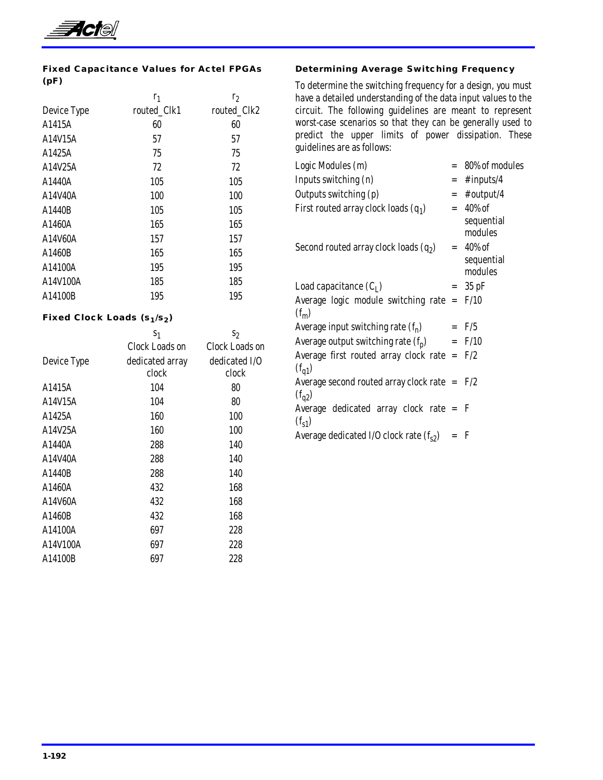

### **Fixed Capacitance Values for Actel FPGAs (pF)**

|             | $r_1$       | r <sub>2</sub> |
|-------------|-------------|----------------|
| Device Type | routed_Clk1 | routed Clk2    |
| A1415A      | 60          | 60             |
| A14V15A     | 57          | 57             |
| A1425A      | 75          | 75             |
| A14V25A     | 72          | 72             |
| A1440A      | 105         | 105            |
| A14V40A     | 100         | 100            |
| A1440B      | 105         | 105            |
| A1460A      | 165         | 165            |
| A14V60A     | 157         | 157            |
| A1460B      | 165         | 165            |
| A14100A     | 195         | 195            |
| A14V100A    | 185         | 185            |
| A14100B     | 195         | 195            |
|             |             |                |

### **Fixed Clock Loads (s<sub>1</sub>/s<sub>2</sub>)**

|             | S <sub>1</sub>        | $s_2$          |
|-------------|-----------------------|----------------|
|             | <b>Clock Loads on</b> | Clock Loads on |
| Device Type | dedicated array       | dedicated I/O  |
|             | clock                 | clock          |
| A1415A      | 104                   | 80             |
| A14V15A     | 104                   | 80             |
| A1425A      | 160                   | 100            |
| A14V25A     | 160                   | 100            |
| A1440A      | 288                   | 140            |
| A14V40A     | 288                   | 140            |
| A1440B      | 288                   | 140            |
| A1460A      | 432                   | 168            |
| A14V60A     | 432                   | 168            |
| A1460B      | 432                   | 168            |
| A14100A     | 697                   | 228            |
| A14V100A    | 697                   | 228            |
| A14100B     | 697                   | 228            |
|             |                       |                |

### **Determining Average Switching Frequency**

To determine the switching frequency for a design, you must have a detailed understanding of the data input values to the circuit. The following guidelines are meant to represent worst-case scenarios so that they can be generally used to predict the upper limits of power dissipation. These guidelines are as follows:

| Logic Modules (m)                               |     | $= 80\%$ of modules |
|-------------------------------------------------|-----|---------------------|
| Inputs switching (n)                            | $=$ | # inputs/4          |
| Outputs switching (p)                           |     | $=$ # output/4      |
| First routed array clock loads $(q_1)$          |     | $= 40\%$ of         |
|                                                 |     | sequential          |
|                                                 |     | modules             |
| Second routed array clock loads $(q_2)$         |     | $= 40\%$ of         |
|                                                 |     | sequential          |
|                                                 |     | modules             |
| Load capacitance $(C_I)$                        |     | $=$ 35 pF           |
| Average logic module switching rate $=$ F/10    |     |                     |
| $(f_m)$                                         |     |                     |
| Average input switching rate $(f_n)$            |     | $=$ F/5             |
| Average output switching rate $(f_p)$           |     | $=$ F/10            |
| Average first routed array clock rate = $F/2$   |     |                     |
| $(f_{q1})$                                      |     |                     |
| Average second routed array clock rate $=$ F/2  |     |                     |
| $(f_{q2})$                                      |     |                     |
| Average dedicated array clock rate = F          |     |                     |
| $(f_{s1})$                                      |     |                     |
| Average dedicated I/O clock rate $(f_{s2}) = F$ |     |                     |
|                                                 |     |                     |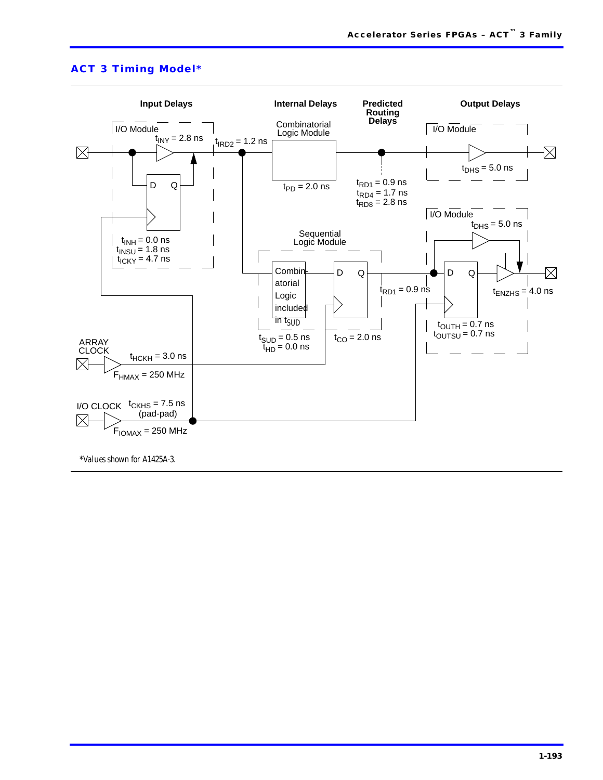

### **ACT 3 Timing Model\***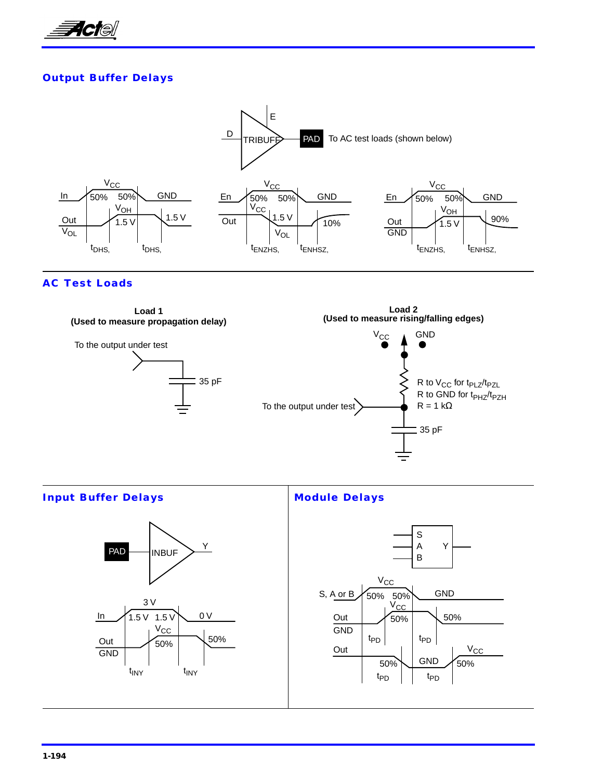

### **Output Buffer Delays**



### **AC Test Loads**



Y

GND

 $V_{\text{CC}}$ 

t<sub>PD</sub>

t<sub>PD</sub>

**Input Buffer Delays Module Delays**  $\mathsf{PAD} \longrightarrow \mathsf{INBUF} \sum Y$ In 3 V 1.5 V 1.5 V 0 V Out GND  $V_{\text{CC}}$ 50%  $t_{\text{INV}}$ 50% t<sub>INY</sub> S A B S, A or B Out GND  $V_{CC}$ 50% Out GND  $V_{CC}$ 50%  $50\%$  50%  $50\%$  GND  $\frac{1}{50\%}$  $t_{PD}$   $t_{PD}$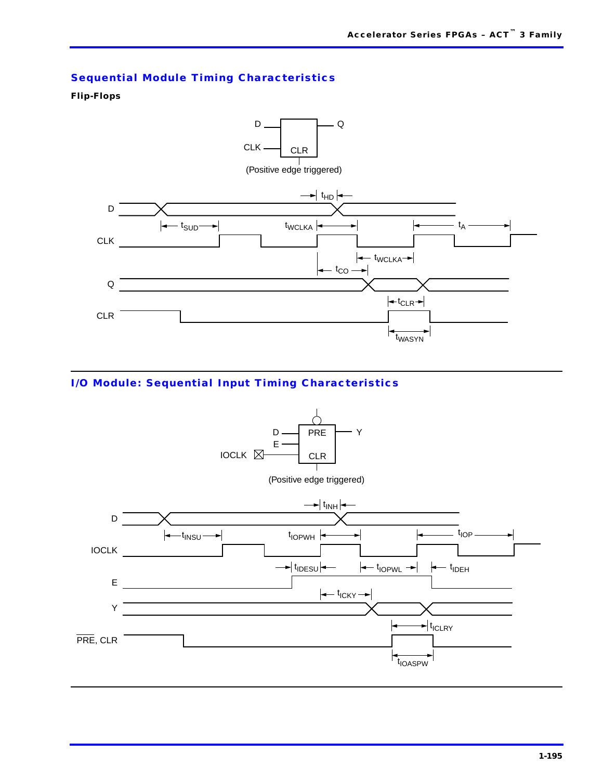# **Sequential Module Timing Characteristics**

### **Flip-Flops**



### **I/O Module: Sequential Input Timing Characteristics**

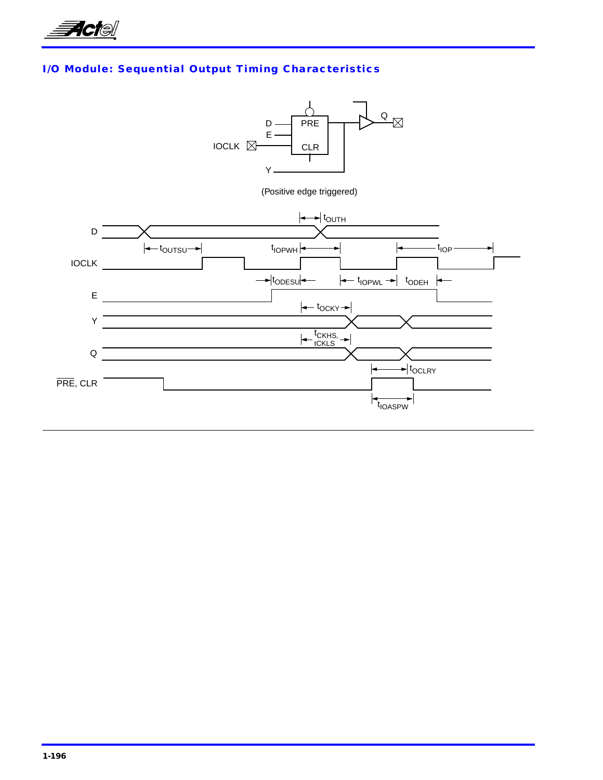

# **I/O Module: Sequential Output Timing Characteristics**

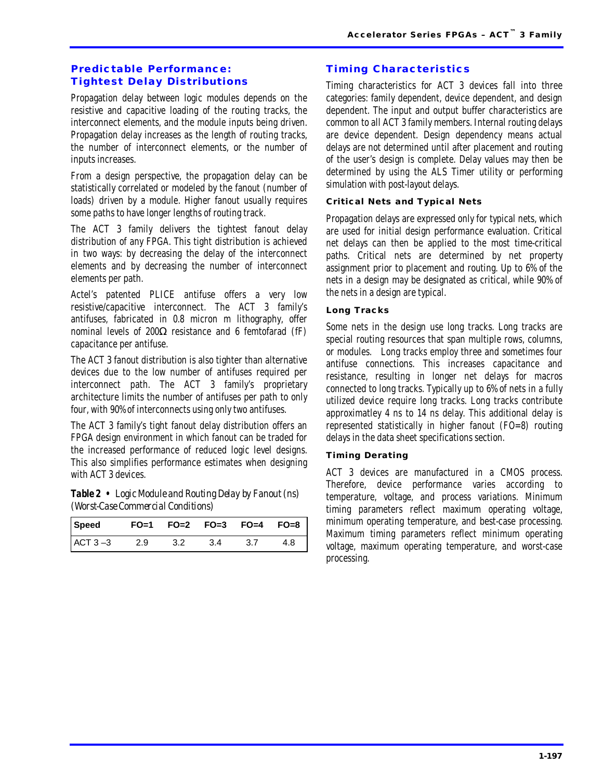### **Predictable Performance: Tightest Delay Distributions**

Propagation delay between logic modules depends on the resistive and capacitive loading of the routing tracks, the interconnect elements, and the module inputs being driven. Propagation delay increases as the length of routing tracks, the number of interconnect elements, or the number of inputs increases.

From a design perspective, the propagation delay can be statistically correlated or modeled by the fanout (number of loads) driven by a module. Higher fanout usually requires some paths to have longer lengths of routing track.

The ACT 3 family delivers the tightest fanout delay distribution of any FPGA. This tight distribution is achieved in two ways: by decreasing the delay of the interconnect elements and by decreasing the number of interconnect elements per path.

Actel's patented PLICE antifuse offers a very low resistive/capacitive interconnect. The ACT 3 family's antifuses, fabricated in 0.8 micron m lithography, offer nominal levels of 200Ω resistance and 6 femtofarad (fF) capacitance per antifuse.

The ACT 3 fanout distribution is also tighter than alternative devices due to the low number of antifuses required per interconnect path. The ACT 3 family's proprietary architecture limits the number of antifuses per path to only four, with 90% of interconnects using only two antifuses.

The ACT 3 family's tight fanout delay distribution offers an FPGA design environment in which fanout can be traded for the increased performance of reduced logic level designs. This also simplifies performance estimates when designing with ACT 3 devices.

*Table 2 • Logic Module and Routing Delay by Fanout (ns) (Worst-Case Commercial Conditions)*

| Speed FO=1 FO=2 FO=3 FO=4 FO=8 |     |      |      |       |     |
|--------------------------------|-----|------|------|-------|-----|
| ACT $3 - 3$                    | 2.9 | -3.2 | -3.4 | - 3.7 | 4.8 |

### **Timing Characteristics**

Timing characteristics for ACT 3 devices fall into three categories: family dependent, device dependent, and design dependent. The input and output buffer characteristics are common to all ACT 3 family members. Internal routing delays are device dependent. Design dependency means actual delays are not determined until after placement and routing of the user's design is complete. Delay values may then be determined by using the ALS Timer utility or performing simulation with post-layout delays.

### **Critical Nets and Typical Nets**

Propagation delays are expressed only for typical nets, which are used for initial design performance evaluation. Critical net delays can then be applied to the most time-critical paths. Critical nets are determined by net property assignment prior to placement and routing. Up to 6% of the nets in a design may be designated as critical, while 90% of the nets in a design are typical.

### **Long Tracks**

Some nets in the design use long tracks. Long tracks are special routing resources that span multiple rows, columns, or modules. Long tracks employ three and sometimes four antifuse connections. This increases capacitance and resistance, resulting in longer net delays for macros connected to long tracks. Typically up to 6% of nets in a fully utilized device require long tracks. Long tracks contribute approximatley 4 ns to 14 ns delay. This additional delay is represented statistically in higher fanout (FO=8) routing delays in the data sheet specifications section.

### **Timing Derating**

ACT 3 devices are manufactured in a CMOS process. Therefore, device performance varies according to temperature, voltage, and process variations. Minimum timing parameters reflect maximum operating voltage, minimum operating temperature, and best-case processing. Maximum timing parameters reflect minimum operating voltage, maximum operating temperature, and worst-case processing.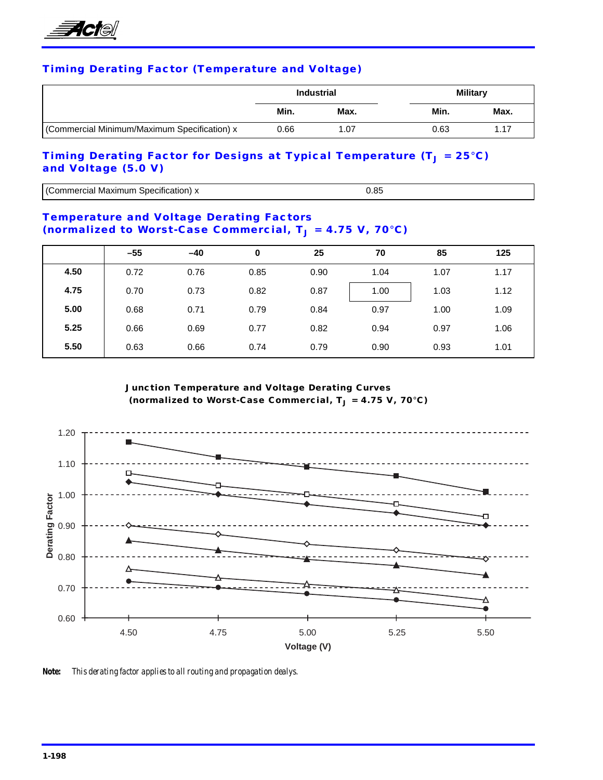

### **Timing Derating Factor (Temperature and Voltage)**

|                                              | <b>Industrial</b> |      | <b>Military</b> |      |
|----------------------------------------------|-------------------|------|-----------------|------|
|                                              | Min.              | Max. | Min.            | Max. |
| (Commercial Minimum/Maximum Specification) x | 0.66              | 1.07 | 0.63            | 1.17 |

### **Timing Derating Factor for Designs at Typical Temperature (T<sub>J</sub> = 25°C) and Voltage (5.0 V)**

| ∵Maxımun<br>neı<br>на<br>аноп<br>5DF<br>40.HH O | ____ |  |
|-------------------------------------------------|------|--|

### **Temperature and Voltage Derating Factors**  (normalized to Worst-Case Commercial, T<sub>J</sub> = 4.75 V, 70°C)

|      | $-55$ | $-40$ | 0    | 25   | 70   | 85   | 125  |
|------|-------|-------|------|------|------|------|------|
| 4.50 | 0.72  | 0.76  | 0.85 | 0.90 | 1.04 | 1.07 | 1.17 |
| 4.75 | 0.70  | 0.73  | 0.82 | 0.87 | 1.00 | 1.03 | 1.12 |
| 5.00 | 0.68  | 0.71  | 0.79 | 0.84 | 0.97 | 1.00 | 1.09 |
| 5.25 | 0.66  | 0.69  | 0.77 | 0.82 | 0.94 | 0.97 | 1.06 |
| 5.50 | 0.63  | 0.66  | 0.74 | 0.79 | 0.90 | 0.93 | 1.01 |

**Junction Temperature and Voltage Derating Curves** (normalized to Worst-Case Commercial, T<sub>J</sub> = 4.75 V, 70°C)



*Note: This derating factor applies to all routing and propagation dealys.*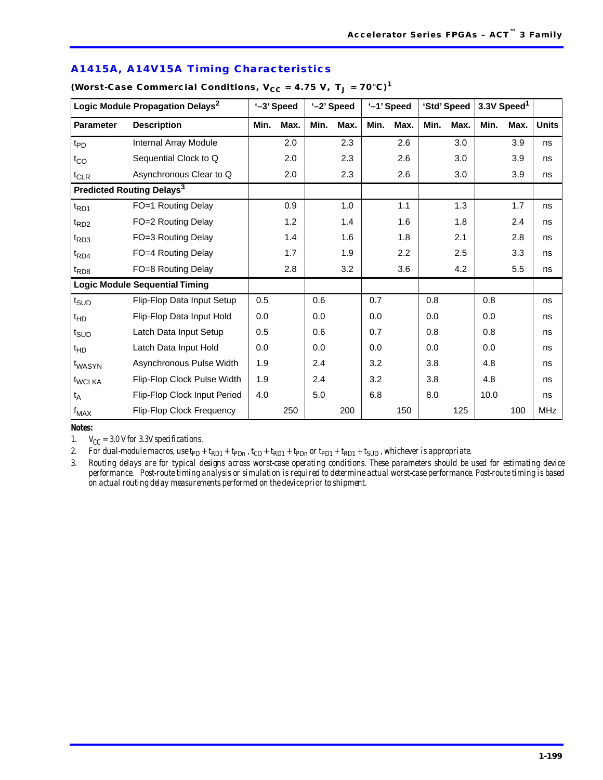| Logic Module Propagation Delays <sup>2</sup> |                                       | '-3' Speed |      |      | '-2' Speed |      | '-1' Speed |      | 'Std' Speed |      | 3.3V Speed <sup>1</sup> |              |
|----------------------------------------------|---------------------------------------|------------|------|------|------------|------|------------|------|-------------|------|-------------------------|--------------|
| <b>Parameter</b>                             | <b>Description</b>                    | Min.       | Max. | Min. | Max.       | Min. | Max.       | Min. | Max.        | Min. | Max.                    | <b>Units</b> |
| $t_{PD}$                                     | Internal Array Module                 |            | 2.0  |      | 2.3        |      | 2.6        |      | 3.0         |      | 3.9                     | ns           |
| $t_{CO}$                                     | Sequential Clock to Q                 |            | 2.0  |      | 2.3        |      | 2.6        |      | 3.0         |      | 3.9                     | ns           |
| $t_{CLR}$                                    | Asynchronous Clear to Q               |            | 2.0  |      | 2.3        |      | 2.6        |      | 3.0         |      | 3.9                     | ns           |
|                                              | Predicted Routing Delays <sup>3</sup> |            |      |      |            |      |            |      |             |      |                         |              |
| $t_{RD1}$                                    | FO=1 Routing Delay                    |            | 0.9  |      | 1.0        |      | 1.1        |      | 1.3         |      | 1.7                     | ns           |
| t <sub>RD2</sub>                             | FO=2 Routing Delay                    |            | 1.2  |      | 1.4        |      | 1.6        |      | 1.8         |      | 2.4                     | ns           |
| $t_{RD3}$                                    | FO=3 Routing Delay                    |            | 1.4  |      | 1.6        |      | 1.8        |      | 2.1         |      | 2.8                     | ns           |
| $t_{\mathsf{R}\mathsf{D}4}$                  | FO=4 Routing Delay                    |            | 1.7  |      | 1.9        |      | 2.2        |      | 2.5         |      | 3.3                     | ns           |
| $t_{RD8}$                                    | FO=8 Routing Delay                    |            | 2.8  |      | 3.2        |      | 3.6        |      | 4.2         |      | 5.5                     | ns           |
|                                              | <b>Logic Module Sequential Timing</b> |            |      |      |            |      |            |      |             |      |                         |              |
| t <sub>SUD</sub>                             | Flip-Flop Data Input Setup            | 0.5        |      | 0.6  |            | 0.7  |            | 0.8  |             | 0.8  |                         | ns           |
| $t_{HD}$                                     | Flip-Flop Data Input Hold             | 0.0        |      | 0.0  |            | 0.0  |            | 0.0  |             | 0.0  |                         | ns           |
| t <sub>SUD</sub>                             | Latch Data Input Setup                | 0.5        |      | 0.6  |            | 0.7  |            | 0.8  |             | 0.8  |                         | ns           |
| $t_{HD}$                                     | Latch Data Input Hold                 | 0.0        |      | 0.0  |            | 0.0  |            | 0.0  |             | 0.0  |                         | ns           |
| t <sub>WASYN</sub>                           | Asynchronous Pulse Width              | 1.9        |      | 2.4  |            | 3.2  |            | 3.8  |             | 4.8  |                         | ns           |
| t <sub>WCLKA</sub>                           | Flip-Flop Clock Pulse Width           | 1.9        |      | 2.4  |            | 3.2  |            | 3.8  |             | 4.8  |                         | ns           |
| $t_A$                                        | Flip-Flop Clock Input Period          | 4.0        |      | 5.0  |            | 6.8  |            | 8.0  |             | 10.0 |                         | ns           |
| $f_{MAX}$                                    | Flip-Flop Clock Frequency             |            | 250  |      | 200        |      | 150        |      | 125         |      | 100                     | MHz          |

### **A1415A, A14V15A Timing Characteristics**

(Worst-Case Commercial Conditions,  $V_{CC} = 4.75 V$ ,  $T_J = 70°C$ )<sup>1</sup>

*Notes:*

1.  $V_{CC} = 3.0$  V for 3.3V specifications.

2. For dual-module macros, use  $tp_p + tp_p + tp_p$ ,  $t_{CO} + t_{RD1} + t_{PDn}$  or  $tp_{D1} + t_{RD1} + t_{SUB}$ , whichever is appropriate.

*3. Routing delays are for typical designs across worst-case operating conditions. These parameters should be used for estimating device performance. Post-route timing analysis or simulation is required to determine actual worst-case performance. Post-route timing is based on actual routing delay measurements performed on the device prior to shipment.*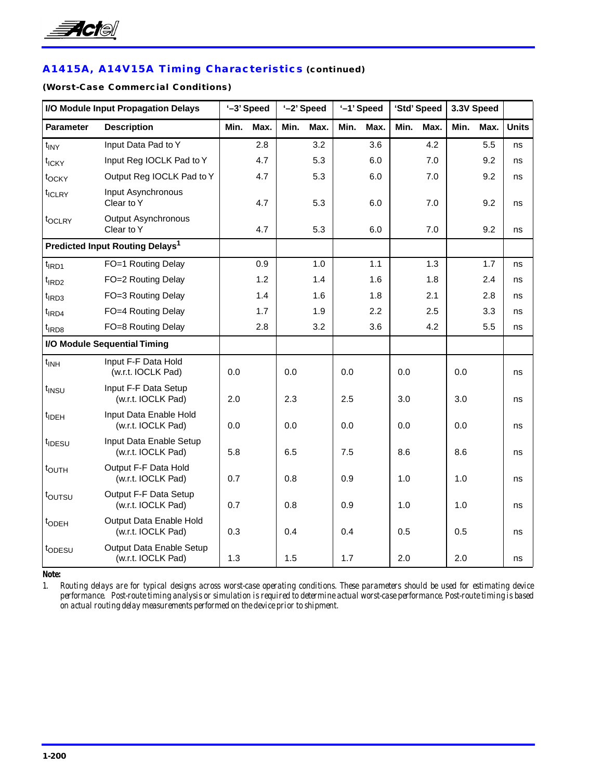

# **A1415A, A14V15A Timing Characteristics (continued)**

### **(Worst-Case Commercial Conditions)**

| I/O Module Input Propagation Delays |                                                | '-3' Speed |      | '-2' Speed |      |      | '-1' Speed |         | 'Std' Speed |      | 3.3V Speed |              |
|-------------------------------------|------------------------------------------------|------------|------|------------|------|------|------------|---------|-------------|------|------------|--------------|
| <b>Parameter</b>                    | <b>Description</b>                             | Min.       | Max. | Min.       | Max. | Min. | Max.       | Min.    | Max.        | Min. | Max.       | <b>Units</b> |
| $t_{\text{INV}}$                    | Input Data Pad to Y                            |            | 2.8  |            | 3.2  |      | 3.6        |         | 4.2         |      | 5.5        | ns           |
| t <sub>ICKY</sub>                   | Input Reg IOCLK Pad to Y                       |            | 4.7  |            | 5.3  |      | 6.0        |         | 7.0         |      | 9.2        | ns           |
| t <sub>OCKY</sub>                   | Output Reg IOCLK Pad to Y                      |            | 4.7  |            | 5.3  |      | 6.0        |         | 7.0         |      | 9.2        | ns           |
| t <sub>ICLRY</sub>                  | Input Asynchronous<br>Clear to Y               |            | 4.7  |            | 5.3  |      | 6.0        |         | 7.0         |      | 9.2        | ns           |
| t <sub>OCLRY</sub>                  | <b>Output Asynchronous</b><br>Clear to Y       |            | 4.7  |            | 5.3  |      | 6.0        |         | 7.0         |      | 9.2        | ns           |
|                                     | Predicted Input Routing Delays <sup>1</sup>    |            |      |            |      |      |            |         |             |      |            |              |
| $t$ <sub>IRD1</sub>                 | FO=1 Routing Delay                             |            | 0.9  |            | 1.0  |      | 1.1        |         | 1.3         |      | 1.7        | ns           |
| $t$ <sub>IRD2</sub>                 | FO=2 Routing Delay                             |            | 1.2  |            | 1.4  |      | 1.6        |         | 1.8         |      | 2.4        | ns           |
| $t$ <sub>IRD3</sub>                 | FO=3 Routing Delay                             |            | 1.4  |            | 1.6  |      | 1.8        |         | 2.1         |      | 2.8        | ns           |
| $t$ <sub>IRD4</sub>                 | FO=4 Routing Delay                             |            | 1.7  |            | 1.9  |      | 2.2        |         | 2.5         |      | 3.3        | ns           |
| t <sub>IRD8</sub>                   | FO=8 Routing Delay                             |            | 2.8  |            | 3.2  |      | 3.6        |         | 4.2         |      | 5.5        | ns           |
|                                     | I/O Module Sequential Timing                   |            |      |            |      |      |            |         |             |      |            |              |
| $t_{INH}$                           | Input F-F Data Hold<br>(w.r.t. IOCLK Pad)      | 0.0        |      | 0.0        |      | 0.0  |            | $0.0\,$ |             | 0.0  |            | ns           |
| t <sub>INSU</sub>                   | Input F-F Data Setup<br>(w.r.t. IOCLK Pad)     | 2.0        |      | 2.3        |      | 2.5  |            | 3.0     |             | 3.0  |            | ns           |
| t <sub>IDEH</sub>                   | Input Data Enable Hold<br>(w.r.t. IOCLK Pad)   | 0.0        |      | 0.0        |      | 0.0  |            | 0.0     |             | 0.0  |            | ns           |
| t <sub>IDESU</sub>                  | Input Data Enable Setup<br>(w.r.t. IOCLK Pad)  | 5.8        |      | 6.5        |      | 7.5  |            | 8.6     |             | 8.6  |            | ns           |
| t <sub>OUTH</sub>                   | Output F-F Data Hold<br>(w.r.t. IOCLK Pad)     | 0.7        |      | 0.8        |      | 0.9  |            | 1.0     |             | 1.0  |            | ns           |
| toursu                              | Output F-F Data Setup<br>(w.r.t. IOCLK Pad)    | 0.7        |      | 0.8        |      | 0.9  |            | 1.0     |             | 1.0  |            | ns           |
| t <sub>ODEH</sub>                   | Output Data Enable Hold<br>(w.r.t. IOCLK Pad)  | 0.3        |      | 0.4        |      | 0.4  |            | 0.5     |             | 0.5  |            | ns           |
| topesu                              | Output Data Enable Setup<br>(w.r.t. IOCLK Pad) | 1.3        |      | 1.5        |      | 1.7  |            | 2.0     |             | 2.0  |            | ns           |

*Note:*

*1. Routing delays are for typical designs across worst-case operating conditions. These parameters should be used for estimating device performance. Post-route timing analysis or simulation is required to determine actual worst-case performance. Post-route timing is based on actual routing delay measurements performed on the device prior to shipment.*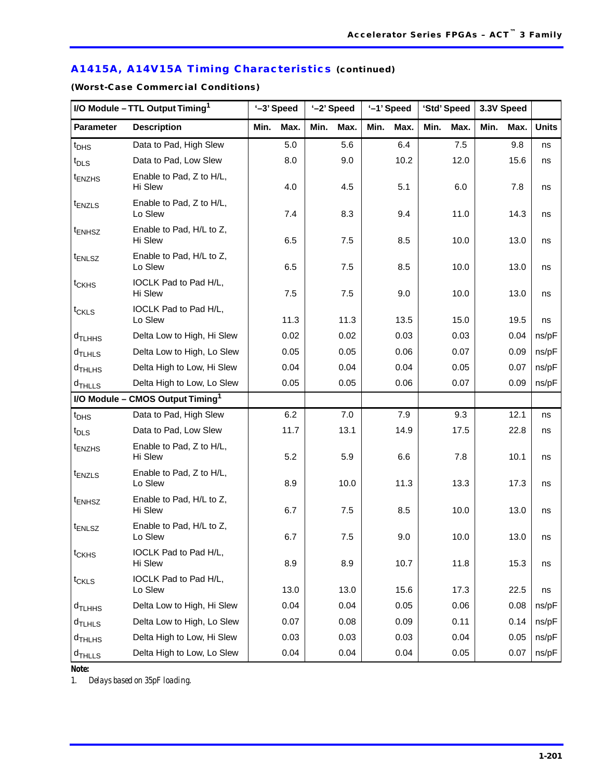# **A1415A, A14V15A Timing Characteristics (continued)**

**(Worst-Case Commercial Conditions)**

| I/O Module - TTL Output Timing <sup>1</sup> |                                              | '-3' Speed |      | '-2' Speed |      |      | '-1' Speed |      | 'Std' Speed | 3.3V Speed |      |              |
|---------------------------------------------|----------------------------------------------|------------|------|------------|------|------|------------|------|-------------|------------|------|--------------|
| <b>Parameter</b>                            | <b>Description</b>                           | Min.       | Max. | Min.       | Max. | Min. | Max.       | Min. | Max.        | Min.       | Max. | <b>Units</b> |
| $t_{\text{DHS}}$                            | Data to Pad, High Slew                       |            | 5.0  |            | 5.6  |      | 6.4        |      | 7.5         |            | 9.8  | ns           |
| $t_{\text{DLS}}$                            | Data to Pad, Low Slew                        |            | 8.0  |            | 9.0  |      | 10.2       |      | 12.0        |            | 15.6 | ns           |
| t <sub>ENZHS</sub>                          | Enable to Pad, Z to H/L,<br>Hi Slew          |            | 4.0  |            | 4.5  |      | 5.1        |      | 6.0         |            | 7.8  | ns           |
| $t_{ENZLS}$                                 | Enable to Pad, Z to H/L,<br>Lo Slew          |            | 7.4  |            | 8.3  |      | 9.4        |      | 11.0        |            | 14.3 | ns           |
| t <sub>ENHSZ</sub>                          | Enable to Pad, H/L to Z,<br>Hi Slew          |            | 6.5  |            | 7.5  |      | 8.5        |      | 10.0        |            | 13.0 | ns           |
| $t_{ENLSZ}$                                 | Enable to Pad, H/L to Z,<br>Lo Slew          |            | 6.5  |            | 7.5  |      | 8.5        |      | 10.0        |            | 13.0 | ns           |
| t <sub>CKHS</sub>                           | IOCLK Pad to Pad H/L,<br>Hi Slew             |            | 7.5  |            | 7.5  |      | 9.0        |      | 10.0        |            | 13.0 | ns           |
| $t_{CKLS}$                                  | IOCLK Pad to Pad H/L,<br>Lo Slew             |            | 11.3 |            | 11.3 |      | 13.5       |      | 15.0        |            | 19.5 | ns           |
| d <sub>TLHHS</sub>                          | Delta Low to High, Hi Slew                   |            | 0.02 |            | 0.02 |      | 0.03       |      | 0.03        |            | 0.04 | ns/pF        |
| $d$ TLHLS                                   | Delta Low to High, Lo Slew                   |            | 0.05 |            | 0.05 |      | 0.06       |      | 0.07        |            | 0.09 | ns/pF        |
| $d$ THLHS                                   | Delta High to Low, Hi Slew                   |            | 0.04 |            | 0.04 |      | 0.04       |      | 0.05        |            | 0.07 | ns/pF        |
| $d$ THLLS                                   | Delta High to Low, Lo Slew                   |            | 0.05 |            | 0.05 |      | 0.06       |      | 0.07        |            | 0.09 | ns/pF        |
|                                             | I/O Module - CMOS Output Timing <sup>1</sup> |            |      |            |      |      |            |      |             |            |      |              |
| $t_{\text{DHS}}$                            | Data to Pad, High Slew                       |            | 6.2  |            | 7.0  |      | 7.9        |      | 9.3         |            | 12.1 | ns           |
| $t_{\text{DLS}}$                            | Data to Pad, Low Slew                        |            | 11.7 |            | 13.1 |      | 14.9       |      | 17.5        |            | 22.8 | ns           |
| <sup>t</sup> ENZHS                          | Enable to Pad, Z to H/L,<br>Hi Slew          |            | 5.2  |            | 5.9  |      | 6.6        |      | 7.8         |            | 10.1 | ns           |
| $t_{ENZLS}$                                 | Enable to Pad, Z to H/L,<br>Lo Slew          |            | 8.9  |            | 10.0 |      | 11.3       |      | 13.3        |            | 17.3 | ns           |
| $t_{ENHSZ}$                                 | Enable to Pad, H/L to Z,<br>Hi Slew          |            | 6.7  |            | 7.5  |      | 8.5        |      | 10.0        |            | 13.0 | ns           |
| $t_{ENLSZ}$                                 | Enable to Pad, H/L to Z,<br>Lo Slew          |            | 6.7  |            | 7.5  |      | 9.0        |      | 10.0        |            | 13.0 | ns           |
| $t_{CKHS}$                                  | IOCLK Pad to Pad H/L,<br>Hi Slew             |            | 8.9  |            | 8.9  |      | 10.7       |      | 11.8        |            | 15.3 | ns           |
| $t_{CKLS}$                                  | IOCLK Pad to Pad H/L,<br>Lo Slew             |            | 13.0 |            | 13.0 |      | 15.6       |      | 17.3        |            | 22.5 | ns           |
| $d$ TLHHS                                   | Delta Low to High, Hi Slew                   |            | 0.04 |            | 0.04 |      | 0.05       |      | 0.06        |            | 0.08 | ns/pF        |
| $d$ <sub>TLHLS</sub>                        | Delta Low to High, Lo Slew                   |            | 0.07 |            | 0.08 |      | 0.09       |      | 0.11        |            | 0.14 | ns/pF        |
| d <sub>THLHS</sub>                          | Delta High to Low, Hi Slew                   |            | 0.03 |            | 0.03 |      | 0.03       |      | 0.04        |            | 0.05 | ns/pF        |
| $d$ <sub>THLLS</sub>                        | Delta High to Low, Lo Slew                   |            | 0.04 |            | 0.04 |      | 0.04       |      | 0.05        |            | 0.07 | ns/pF        |

*Note:*

*1. Delays based on 35pF loading.*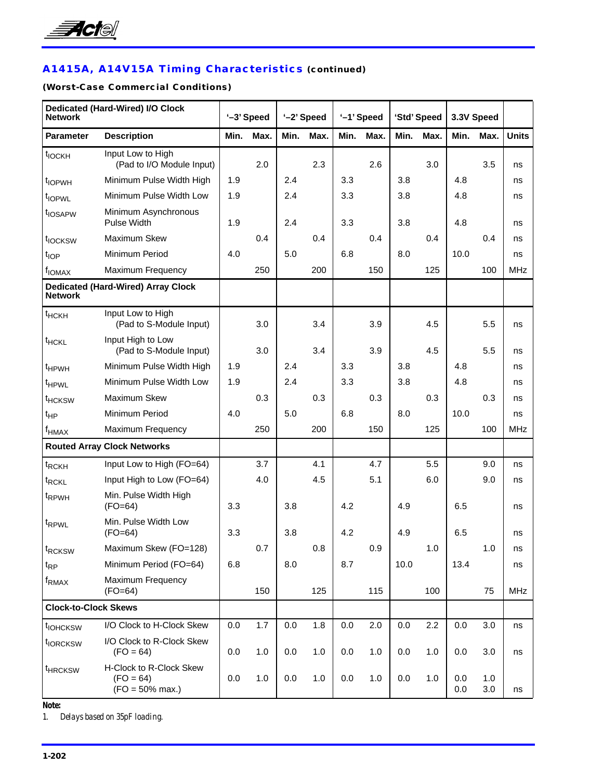

# **A1415A, A14V15A Timing Characteristics (continued)**

### **(Worst-Case Commercial Conditions)**

| Dedicated (Hard-Wired) I/O Clock<br><b>Network</b> |                                                              | '-3' Speed |      |      | '-2' Speed |      | '-1' Speed |      | 'Std' Speed |            | 3.3V Speed |              |
|----------------------------------------------------|--------------------------------------------------------------|------------|------|------|------------|------|------------|------|-------------|------------|------------|--------------|
| <b>Parameter</b>                                   | <b>Description</b>                                           | Min.       | Max. | Min. | Max.       | Min. | Max.       | Min. | Max.        | Min.       | Max.       | <b>Units</b> |
| t <sub>IOCKH</sub>                                 | Input Low to High<br>(Pad to I/O Module Input)               |            | 2.0  |      | 2.3        |      | 2.6        |      | 3.0         |            | 3.5        | ns           |
| t <sub>IOPWH</sub>                                 | Minimum Pulse Width High                                     | 1.9        |      | 2.4  |            | 3.3  |            | 3.8  |             | 4.8        |            | ns           |
| t <sub>IOPWL</sub>                                 | Minimum Pulse Width Low                                      | 1.9        |      | 2.4  |            | 3.3  |            | 3.8  |             | 4.8        |            | ns           |
| t <sub>IOSAPW</sub>                                | Minimum Asynchronous<br><b>Pulse Width</b>                   | 1.9        |      | 2.4  |            | 3.3  |            | 3.8  |             | 4.8        |            | ns           |
| t <sub>IOCKSW</sub>                                | Maximum Skew                                                 |            | 0.4  |      | 0.4        |      | 0.4        |      | 0.4         |            | 0.4        | ns           |
| t <sub>IOP</sub>                                   | Minimum Period                                               | 4.0        |      | 5.0  |            | 6.8  |            | 8.0  |             | 10.0       |            | ns           |
| f <sub>IONAX</sub>                                 | Maximum Frequency                                            |            | 250  |      | 200        |      | 150        |      | 125         |            | 100        | <b>MHz</b>   |
| <b>Network</b>                                     | <b>Dedicated (Hard-Wired) Array Clock</b>                    |            |      |      |            |      |            |      |             |            |            |              |
| t <sub>HCKH</sub>                                  | Input Low to High<br>(Pad to S-Module Input)                 |            | 3.0  |      | 3.4        |      | 3.9        |      | 4.5         |            | 5.5        | ns           |
| t <sub>HCKL</sub>                                  | Input High to Low<br>(Pad to S-Module Input)                 |            | 3.0  |      | 3.4        |      | 3.9        |      | 4.5         |            | 5.5        | ns           |
| <sup>t</sup> HPWH                                  | Minimum Pulse Width High                                     | 1.9        |      | 2.4  |            | 3.3  |            | 3.8  |             | 4.8        |            | ns           |
| t <sub>HPWL</sub>                                  | Minimum Pulse Width Low                                      | 1.9        |      | 2.4  |            | 3.3  |            | 3.8  |             | 4.8        |            | ns           |
| t <sub>HCKSW</sub>                                 | Maximum Skew                                                 |            | 0.3  |      | 0.3        |      | 0.3        |      | 0.3         |            | 0.3        | ns           |
| $t_{HP}$                                           | Minimum Period                                               | 4.0        |      | 5.0  |            | 6.8  |            | 8.0  |             | 10.0       |            | ns           |
| $f_{\sf HMAX}$                                     | Maximum Frequency                                            |            | 250  |      | 200        |      | 150        |      | 125         |            | 100        | <b>MHz</b>   |
|                                                    | <b>Routed Array Clock Networks</b>                           |            |      |      |            |      |            |      |             |            |            |              |
| t <sub>RCKH</sub>                                  | Input Low to High (FO=64)                                    |            | 3.7  |      | 4.1        |      | 4.7        |      | 5.5         |            | 9.0        | ns           |
| t <sub>RCKL</sub>                                  | Input High to Low (FO=64)                                    |            | 4.0  |      | 4.5        |      | 5.1        |      | 6.0         |            | 9.0        | ns           |
| <sup>t</sup> RPWH                                  | Min. Pulse Width High<br>$(FO=64)$                           | 3.3        |      | 3.8  |            | 4.2  |            | 4.9  |             | 6.5        |            | ns           |
| t <sub>RPWL</sub>                                  | Min. Pulse Width Low<br>$(FO=64)$                            | 3.3        |      | 3.8  |            | 4.2  |            | 4.9  |             | 6.5        |            | ns           |
| t <sub>RCKSW</sub>                                 | Maximum Skew (FO=128)                                        |            | 0.7  |      | 0.8        |      | 0.9        |      | 1.0         |            | 1.0        | ns           |
| $t_{RP}$                                           | Minimum Period (FO=64)                                       | 6.8        |      | 8.0  |            | 8.7  |            | 10.0 |             | 13.4       |            | ns           |
| f <sub>RMAX</sub>                                  | Maximum Frequency<br>$(FO=64)$                               |            | 150  |      | 125        |      | 115        |      | 100         |            | 75         | <b>MHz</b>   |
| <b>Clock-to-Clock Skews</b>                        |                                                              |            |      |      |            |      |            |      |             |            |            |              |
| t <sub>IOHCKSW</sub>                               | I/O Clock to H-Clock Skew                                    | 0.0        | 1.7  | 0.0  | 1.8        | 0.0  | 2.0        | 0.0  | 2.2         | 0.0        | 3.0        | ns           |
| t <sub>IORCKSW</sub>                               | I/O Clock to R-Clock Skew<br>$(FO = 64)$                     | 0.0        | 1.0  | 0.0  | 1.0        | 0.0  | 1.0        | 0.0  | 1.0         | 0.0        | 3.0        | ns           |
| <sup>t</sup> HRCKSW                                | H-Clock to R-Clock Skew<br>$(FO = 64)$<br>$(FO = 50\%$ max.) | 0.0        | 1.0  | 0.0  | 1.0        | 0.0  | 1.0        | 0.0  | 1.0         | 0.0<br>0.0 | 1.0<br>3.0 | ns           |

*Note:*

*1. Delays based on 35pF loading.*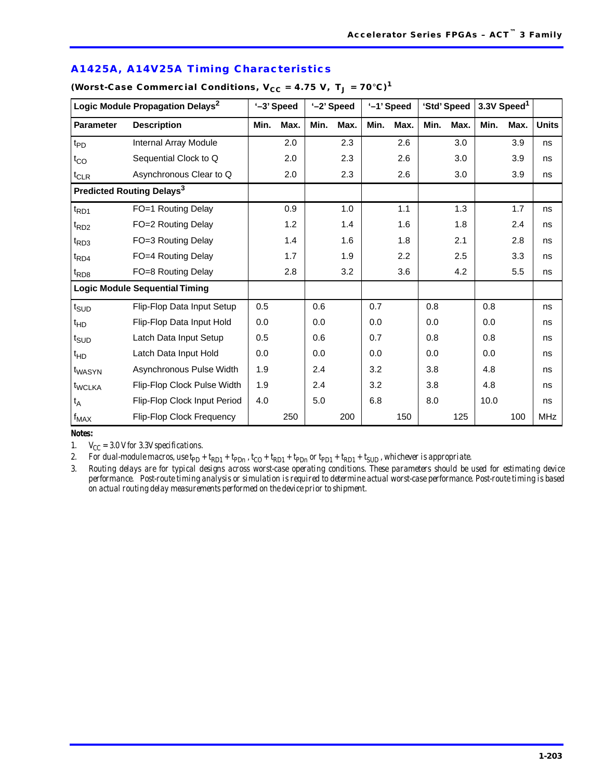|                               | Logic Module Propagation Delays <sup>2</sup> |      | '-3' Speed |      | '-2' Speed |      | '-1' Speed |      | 'Std' Speed |      | 3.3V Speed <sup>1</sup> |            |
|-------------------------------|----------------------------------------------|------|------------|------|------------|------|------------|------|-------------|------|-------------------------|------------|
| <b>Parameter</b>              | <b>Description</b>                           | Min. | Max.       | Min. | Max.       | Min. | Max.       | Min. | Max.        | Min. | Max.                    | Units      |
| $t_{PD}$                      | Internal Array Module                        |      | 2.0        |      | 2.3        |      | 2.6        |      | 3.0         |      | 3.9                     | ns         |
| $t_{CO}$                      | Sequential Clock to Q                        |      | 2.0        |      | 2.3        |      | 2.6        |      | 3.0         |      | 3.9                     | ns         |
| $t_{CLR}$                     | Asynchronous Clear to Q                      |      | 2.0        |      | 2.3        |      | 2.6        |      | 3.0         |      | 3.9                     | ns         |
|                               | Predicted Routing Delays <sup>3</sup>        |      |            |      |            |      |            |      |             |      |                         |            |
| $t_{\mathsf{RD1}}$            | FO=1 Routing Delay                           |      | 0.9        |      | 1.0        |      | 1.1        |      | 1.3         |      | 1.7                     | ns         |
| t <sub>RD2</sub>              | FO=2 Routing Delay                           |      | 1.2        |      | 1.4        |      | 1.6        |      | 1.8         |      | 2.4                     | ns         |
| $t_{RD3}$                     | FO=3 Routing Delay                           |      | 1.4        |      | 1.6        |      | 1.8        |      | 2.1         |      | 2.8                     | ns         |
| $t_{\mathsf{R}\mathsf{D}4}$   | FO=4 Routing Delay                           |      | 1.7        |      | 1.9        |      | 2.2        |      | 2.5         |      | 3.3                     | ns         |
| $t_{RD8}$                     | FO=8 Routing Delay                           |      | 2.8        |      | 3.2        |      | 3.6        |      | 4.2         |      | 5.5                     | ns         |
|                               | <b>Logic Module Sequential Timing</b>        |      |            |      |            |      |            |      |             |      |                         |            |
| $t_{\scriptsize\textsf{SUD}}$ | Flip-Flop Data Input Setup                   | 0.5  |            | 0.6  |            | 0.7  |            | 0.8  |             | 0.8  |                         | ns         |
| $t_{HD}$                      | Flip-Flop Data Input Hold                    | 0.0  |            | 0.0  |            | 0.0  |            | 0.0  |             | 0.0  |                         | ns         |
| t <sub>SUD</sub>              | Latch Data Input Setup                       | 0.5  |            | 0.6  |            | 0.7  |            | 0.8  |             | 0.8  |                         | ns         |
| $t_{HD}$                      | Latch Data Input Hold                        | 0.0  |            | 0.0  |            | 0.0  |            | 0.0  |             | 0.0  |                         | ns         |
| t <sub>WASYN</sub>            | Asynchronous Pulse Width                     | 1.9  |            | 2.4  |            | 3.2  |            | 3.8  |             | 4.8  |                         | ns         |
| t <sub>WCLKA</sub>            | Flip-Flop Clock Pulse Width                  | 1.9  |            | 2.4  |            | 3.2  |            | 3.8  |             | 4.8  |                         | ns         |
| $t_A$                         | Flip-Flop Clock Input Period                 | 4.0  |            | 5.0  |            | 6.8  |            | 8.0  |             | 10.0 |                         | ns         |
| $f_{MAX}$                     | <b>Flip-Flop Clock Frequency</b>             |      | 250        |      | 200        |      | 150        |      | 125         |      | 100                     | <b>MHz</b> |

### **A1425A, A14V25A Timing Characteristics**

# $(Worst.Case Commercial Conditions, V<sub>CC</sub> = 4.75 V, T<sub>CC</sub> = 70°C)<sup>1</sup>$

### *Notes:*

1.  $V_{CC} = 3.0$  V for 3.3V specifications.

2. For dual-module macros, use  $tp_p + tp_p + tp_p$ ,  $t_{CD} + tp_p + tp_p$  or  $tp_{D1} + tp_p + t_{SUD}$ , whichever is appropriate.

*3. Routing delays are for typical designs across worst-case operating conditions. These parameters should be used for estimating device performance. Post-route timing analysis or simulation is required to determine actual worst-case performance. Post-route timing is based on actual routing delay measurements performed on the device prior to shipment.*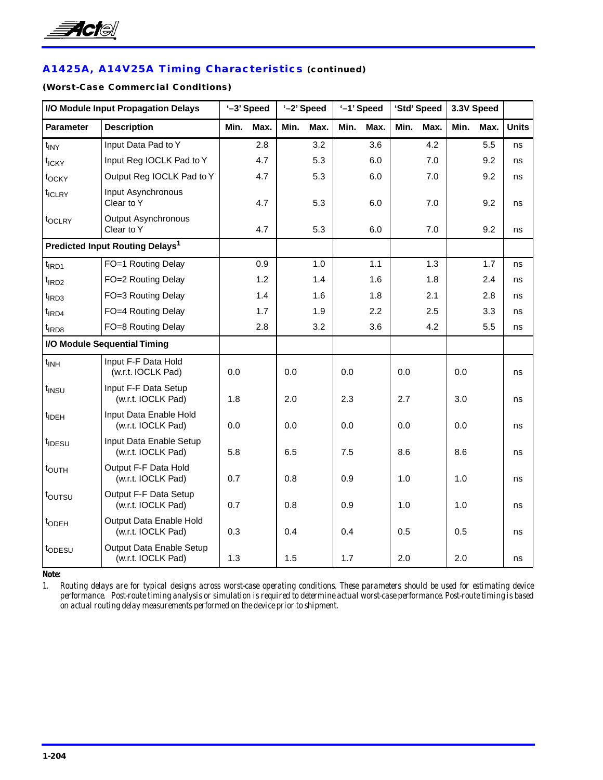

# **A1425A, A14V25A Timing Characteristics (continued)**

### **(Worst-Case Commercial Conditions)**

| I/O Module Input Propagation Delays |                                                | '-3' Speed |      | '-2' Speed |      |      | '-1' Speed |      | 'Std' Speed |      | 3.3V Speed |              |
|-------------------------------------|------------------------------------------------|------------|------|------------|------|------|------------|------|-------------|------|------------|--------------|
| <b>Parameter</b>                    | <b>Description</b>                             | Min.       | Max. | Min.       | Max. | Min. | Max.       | Min. | Max.        | Min. | Max.       | <b>Units</b> |
| $t_{\text{INV}}$                    | Input Data Pad to Y                            |            | 2.8  |            | 3.2  |      | 3.6        |      | 4.2         |      | 5.5        | ns           |
| t <sub>ICKY</sub>                   | Input Reg IOCLK Pad to Y                       |            | 4.7  |            | 5.3  |      | 6.0        |      | 7.0         |      | 9.2        | ns           |
| t <sub>OCKY</sub>                   | Output Reg IOCLK Pad to Y                      |            | 4.7  |            | 5.3  |      | 6.0        |      | 7.0         |      | 9.2        | ns           |
| t <sub>ICLRY</sub>                  | Input Asynchronous<br>Clear to Y               |            | 4.7  |            | 5.3  |      | 6.0        |      | 7.0         |      | 9.2        | ns           |
| t <sub>OCLRY</sub>                  | <b>Output Asynchronous</b><br>Clear to Y       |            | 4.7  |            | 5.3  |      | 6.0        |      | 7.0         |      | 9.2        | ns           |
|                                     | Predicted Input Routing Delays <sup>1</sup>    |            |      |            |      |      |            |      |             |      |            |              |
| $t$ <sub>IRD1</sub>                 | FO=1 Routing Delay                             |            | 0.9  |            | 1.0  |      | 1.1        |      | 1.3         |      | 1.7        | ns           |
| $t$ <sub>IRD2</sub>                 | FO=2 Routing Delay                             |            | 1.2  |            | 1.4  |      | 1.6        |      | 1.8         |      | 2.4        | ns           |
| $t$ <sub>IRD3</sub>                 | FO=3 Routing Delay                             |            | 1.4  |            | 1.6  |      | 1.8        |      | 2.1         |      | 2.8        | ns           |
| $t$ <sub>IRD4</sub>                 | FO=4 Routing Delay                             |            | 1.7  |            | 1.9  |      | 2.2        |      | 2.5         |      | 3.3        | ns           |
| t <sub>IRD8</sub>                   | FO=8 Routing Delay                             |            | 2.8  |            | 3.2  |      | 3.6        |      | 4.2         |      | 5.5        | ns           |
|                                     | I/O Module Sequential Timing                   |            |      |            |      |      |            |      |             |      |            |              |
| $t_{INH}$                           | Input F-F Data Hold<br>(w.r.t. IOCLK Pad)      | 0.0        |      | 0.0        |      | 0.0  |            | 0.0  |             | 0.0  |            | ns           |
| t <sub>INSU</sub>                   | Input F-F Data Setup<br>(w.r.t. IOCLK Pad)     | 1.8        |      | 2.0        |      | 2.3  |            | 2.7  |             | 3.0  |            | ns           |
| $t_{\text{IDEH}}$                   | Input Data Enable Hold<br>(w.r.t. IOCLK Pad)   | 0.0        |      | 0.0        |      | 0.0  |            | 0.0  |             | 0.0  |            | ns           |
| t <sub>IDESU</sub>                  | Input Data Enable Setup<br>(w.r.t. IOCLK Pad)  | 5.8        |      | 6.5        |      | 7.5  |            | 8.6  |             | 8.6  |            | ns           |
| t <sub>OUTH</sub>                   | Output F-F Data Hold<br>(w.r.t. IOCLK Pad)     | 0.7        |      | 0.8        |      | 0.9  |            | 1.0  |             | 1.0  |            | ns           |
| toursu                              | Output F-F Data Setup<br>(w.r.t. IOCLK Pad)    | 0.7        |      | 0.8        |      | 0.9  |            | 1.0  |             | 1.0  |            | ns           |
| t <sub>ODEH</sub>                   | Output Data Enable Hold<br>(w.r.t. IOCLK Pad)  | 0.3        |      | 0.4        |      | 0.4  |            | 0.5  |             | 0.5  |            | ns           |
| topesu                              | Output Data Enable Setup<br>(w.r.t. IOCLK Pad) | 1.3        |      | 1.5        |      | 1.7  |            | 2.0  |             | 2.0  |            | ns           |

*Note:*

*1. Routing delays are for typical designs across worst-case operating conditions. These parameters should be used for estimating device performance. Post-route timing analysis or simulation is required to determine actual worst-case performance. Post-route timing is based on actual routing delay measurements performed on the device prior to shipment.*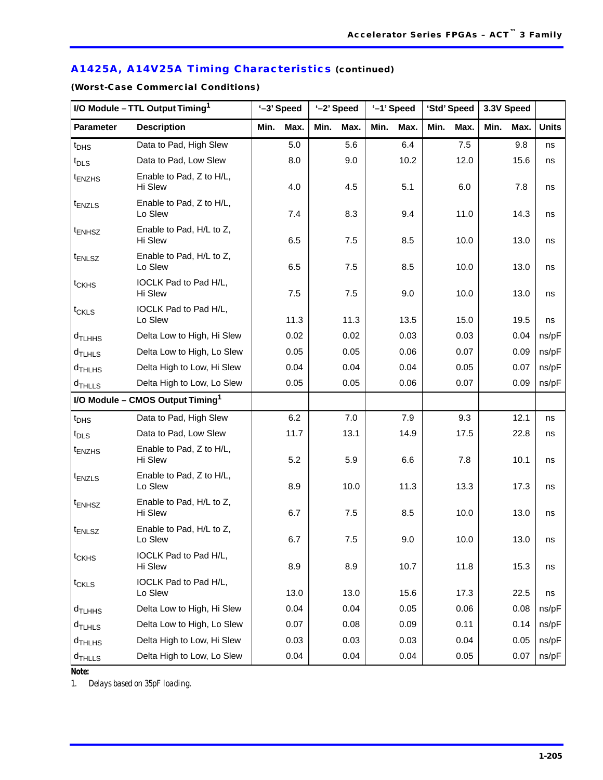# **A1425A, A14V25A Timing Characteristics (continued)**

**(Worst-Case Commercial Conditions)** 

| I/O Module - TTL Output Timing <sup>1</sup> |                                              | '-3' Speed |      | '-2' Speed |         |      | '-1' Speed |      | 'Std' Speed | 3.3V Speed |      |              |
|---------------------------------------------|----------------------------------------------|------------|------|------------|---------|------|------------|------|-------------|------------|------|--------------|
| <b>Parameter</b>                            | <b>Description</b>                           | Min.       | Max. | Min.       | Max.    | Min. | Max.       | Min. | Max.        | Min.       | Max. | <b>Units</b> |
| $t_{\text{DHS}}$                            | Data to Pad, High Slew                       |            | 5.0  |            | 5.6     |      | 6.4        |      | 7.5         |            | 9.8  | ns           |
| $t_{\text{DLS}}$                            | Data to Pad, Low Slew                        |            | 8.0  |            | 9.0     |      | 10.2       |      | 12.0        |            | 15.6 | ns           |
| <sup>t</sup> ENZHS                          | Enable to Pad, Z to H/L,<br>Hi Slew          |            | 4.0  |            | 4.5     |      | 5.1        |      | 6.0         |            | 7.8  | ns           |
| $t_{ENZLS}$                                 | Enable to Pad, Z to H/L,<br>Lo Slew          |            | 7.4  |            | 8.3     |      | 9.4        |      | 11.0        |            | 14.3 | ns           |
| t <sub>ENHSZ</sub>                          | Enable to Pad, H/L to Z,<br>Hi Slew          |            | 6.5  |            | 7.5     |      | 8.5        |      | 10.0        |            | 13.0 | ns           |
| <sup>t</sup> ENLSZ                          | Enable to Pad, H/L to Z,<br>Lo Slew          |            | 6.5  |            | 7.5     |      | 8.5        |      | 10.0        |            | 13.0 | ns           |
| $t_{CKHS}$                                  | IOCLK Pad to Pad H/L,<br>Hi Slew             |            | 7.5  |            | 7.5     |      | 9.0        |      | 10.0        |            | 13.0 | ns           |
| $t_{CKLS}$                                  | IOCLK Pad to Pad H/L,                        |            |      |            |         |      |            |      |             |            |      |              |
|                                             | Lo Slew                                      |            | 11.3 |            | 11.3    |      | 13.5       |      | 15.0        |            | 19.5 | ns           |
| $d$ TLHHS                                   | Delta Low to High, Hi Slew                   |            | 0.02 |            | 0.02    |      | 0.03       |      | 0.03        |            | 0.04 | ns/pF        |
| $d$ TLHLS                                   | Delta Low to High, Lo Slew                   |            | 0.05 |            | 0.05    |      | 0.06       |      | 0.07        |            | 0.09 | ns/pF        |
| $d$ THLHS                                   | Delta High to Low, Hi Slew                   |            | 0.04 |            | 0.04    |      | 0.04       |      | 0.05        |            | 0.07 | ns/pF        |
| $d$ THLLS                                   | Delta High to Low, Lo Slew                   |            | 0.05 |            | 0.05    |      | 0.06       |      | 0.07        |            | 0.09 | ns/pF        |
|                                             | I/O Module - CMOS Output Timing <sup>1</sup> |            |      |            |         |      |            |      |             |            |      |              |
| $t_{\text{DHS}}$                            | Data to Pad, High Slew                       |            | 6.2  |            | $7.0\,$ |      | 7.9        |      | 9.3         |            | 12.1 | ns           |
| $t_{\text{DLS}}$                            | Data to Pad, Low Slew                        |            | 11.7 |            | 13.1    |      | 14.9       |      | 17.5        |            | 22.8 | ns           |
| t <sub>ENZHS</sub>                          | Enable to Pad, Z to H/L,<br>Hi Slew          |            | 5.2  |            | 5.9     |      | 6.6        |      | 7.8         |            | 10.1 | ns           |
| $t_{ENZLS}$                                 | Enable to Pad, Z to H/L,<br>Lo Slew          |            | 8.9  |            | 10.0    |      | 11.3       |      | 13.3        |            | 17.3 | ns           |
| $t_{ENHSZ}$                                 | Enable to Pad, H/L to Z,<br>Hi Slew          |            | 6.7  |            | 7.5     |      | 8.5        |      | 10.0        |            | 13.0 | ns           |
| $t_{ENLSZ}$                                 | Enable to Pad, H/L to Z,<br>Lo Slew          |            | 6.7  |            | $7.5\,$ |      | 9.0        |      | 10.0        |            | 13.0 | ns           |
| $t_{CKHS}$                                  | IOCLK Pad to Pad H/L,<br>Hi Slew             |            | 8.9  |            | 8.9     |      | 10.7       |      | 11.8        |            | 15.3 | ns           |
| $t_{CKLS}$                                  | IOCLK Pad to Pad H/L,<br>Lo Slew             |            | 13.0 |            | 13.0    |      | 15.6       |      | 17.3        |            | 22.5 | ns           |
| d <sub>TLHHS</sub>                          | Delta Low to High, Hi Slew                   |            | 0.04 |            | 0.04    |      | 0.05       |      | 0.06        |            | 0.08 | ns/pF        |
| $d$ TLHLS                                   | Delta Low to High, Lo Slew                   |            | 0.07 |            | 0.08    |      | 0.09       |      | 0.11        |            | 0.14 | ns/pF        |
| $d$ <sub>THLHS</sub>                        | Delta High to Low, Hi Slew                   |            | 0.03 |            | 0.03    |      | 0.03       |      | 0.04        |            | 0.05 | ns/pF        |
| $d$ THLLS                                   | Delta High to Low, Lo Slew                   |            | 0.04 |            | 0.04    |      | 0.04       |      | 0.05        |            | 0.07 | ns/pF        |

*Note:*

*1. Delays based on 35pF loading.*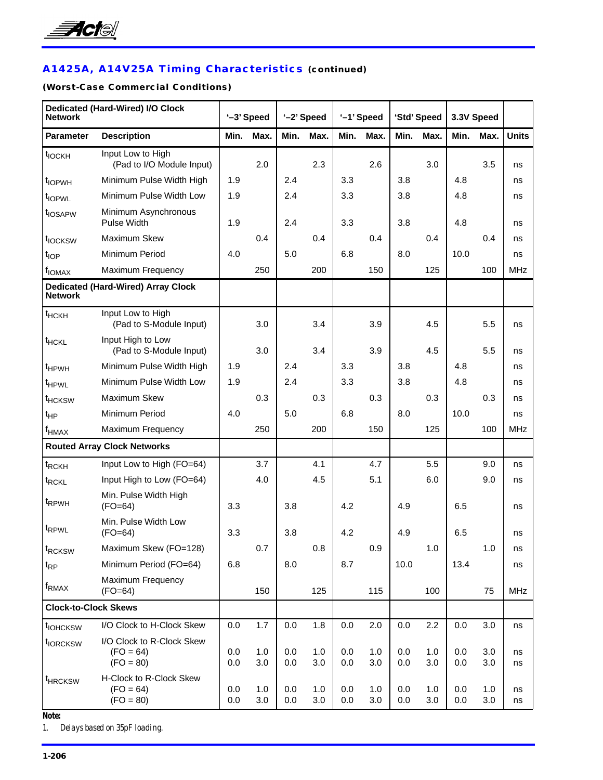

# **A1425A, A14V25A Timing Characteristics (continued)**

### **(Worst-Case Commercial Conditions)**

| <b>Network</b>              | <b>Dedicated (Hard-Wired) I/O Clock</b>                 |            | '-3' Speed |            | '-2' Speed |            | '-1' Speed |            | 'Std' Speed |            | 3.3V Speed |              |
|-----------------------------|---------------------------------------------------------|------------|------------|------------|------------|------------|------------|------------|-------------|------------|------------|--------------|
| <b>Parameter</b>            | <b>Description</b>                                      | Min.       | Max.       | Min.       | Max.       | Min.       | Max.       | Min.       | Max.        | Min.       | Max.       | <b>Units</b> |
| t <sub>IOCKH</sub>          | Input Low to High<br>(Pad to I/O Module Input)          |            | 2.0        |            | 2.3        |            | 2.6        |            | 3.0         |            | 3.5        | ns           |
| t <sub>IOPWH</sub>          | Minimum Pulse Width High                                | 1.9        |            | 2.4        |            | 3.3        |            | 3.8        |             | 4.8        |            | ns           |
| t <sub>IOPWL</sub>          | Minimum Pulse Width Low                                 | 1.9        |            | 2.4        |            | 3.3        |            | 3.8        |             | 4.8        |            | ns           |
| t <sub>IOSAPW</sub>         | Minimum Asynchronous<br><b>Pulse Width</b>              | 1.9        |            | 2.4        |            | 3.3        |            | 3.8        |             | 4.8        |            | ns           |
| t <sub>IOCKSW</sub>         | Maximum Skew                                            |            | 0.4        |            | 0.4        |            | 0.4        |            | 0.4         |            | 0.4        | ns           |
| t <sub>IOP</sub>            | Minimum Period                                          | 4.0        |            | 5.0        |            | 6.8        |            | 8.0        |             | 10.0       |            | ns           |
| f <sub>IOMAX</sub>          | Maximum Frequency                                       |            | 250        |            | 200        |            | 150        |            | 125         |            | 100        | <b>MHz</b>   |
| <b>Network</b>              | <b>Dedicated (Hard-Wired) Array Clock</b>               |            |            |            |            |            |            |            |             |            |            |              |
| $t$ HCKH                    | Input Low to High<br>(Pad to S-Module Input)            |            | 3.0        |            | 3.4        |            | 3.9        |            | 4.5         |            | 5.5        | ns           |
| <sup>t</sup> HCKL           | Input High to Low<br>(Pad to S-Module Input)            |            | 3.0        |            | 3.4        |            | 3.9        |            | 4.5         |            | 5.5        | ns           |
| <sup>t</sup> HPWH           | Minimum Pulse Width High                                | 1.9        |            | 2.4        |            | 3.3        |            | 3.8        |             | 4.8        |            | ns           |
| t <sub>HPWL</sub>           | Minimum Pulse Width Low                                 | 1.9        |            | 2.4        |            | 3.3        |            | 3.8        |             | 4.8        |            | ns           |
| <sup>t</sup> HCKSW          | Maximum Skew                                            |            | 0.3        |            | 0.3        |            | 0.3        |            | 0.3         |            | 0.3        | ns           |
| $t_{HP}$                    | Minimum Period                                          | 4.0        |            | 5.0        |            | 6.8        |            | 8.0        |             | 10.0       |            | ns           |
| $f_{HMAX}$                  | Maximum Frequency                                       |            | 250        |            | 200        |            | 150        |            | 125         |            | 100        | <b>MHz</b>   |
|                             | <b>Routed Array Clock Networks</b>                      |            |            |            |            |            |            |            |             |            |            |              |
| t <sub>RCKH</sub>           | Input Low to High (FO=64)                               |            | 3.7        |            | 4.1        |            | 4.7        |            | 5.5         |            | 9.0        | ns           |
| t <sub>RCKL</sub>           | Input High to Low (FO=64)                               |            | 4.0        |            | 4.5        |            | 5.1        |            | 6.0         |            | 9.0        | ns           |
| t <sub>RPWH</sub>           | Min. Pulse Width High<br>$(FO=64)$                      | 3.3        |            | 3.8        |            | 4.2        |            | 4.9        |             | 6.5        |            | ns           |
| t <sub>RPWL</sub>           | Min. Pulse Width Low<br>$(FO=64)$                       | 3.3        |            | 3.8        |            | 4.2        |            | 4.9        |             | 6.5        |            | ns           |
| t <sub>RCKSW</sub>          | Maximum Skew (FO=128)                                   |            | 0.7        |            | 0.8        |            | 0.9        |            | 1.0         |            | 1.0        | ns           |
| $t_{RP}$                    | Minimum Period (FO=64)                                  | 6.8        |            | 8.0        |            | 8.7        |            | 10.0       |             | 13.4       |            | ns           |
| f <sub>RMAX</sub>           | Maximum Frequency<br>$(FO=64)$                          |            | 150        |            | 125        |            | 115        |            | 100         |            | 75         | <b>MHz</b>   |
| <b>Clock-to-Clock Skews</b> |                                                         |            |            |            |            |            |            |            |             |            |            |              |
| t <sub>IOHCKSW</sub>        | I/O Clock to H-Clock Skew                               | $0.0\,$    | 1.7        | 0.0        | 1.8        | 0.0        | 2.0        | $0.0\,$    | 2.2         | 0.0        | 3.0        | ns           |
| t <sub>IORCKSW</sub>        | I/O Clock to R-Clock Skew<br>$(FO = 64)$<br>$(FO = 80)$ | 0.0<br>0.0 | 1.0<br>3.0 | 0.0<br>0.0 | 1.0<br>3.0 | 0.0<br>0.0 | 1.0<br>3.0 | 0.0<br>0.0 | 1.0<br>3.0  | 0.0<br>0.0 | 3.0<br>3.0 | ns<br>ns     |
| <sup>t</sup> HRCKSW         | H-Clock to R-Clock Skew<br>$(FO = 64)$<br>$(FO = 80)$   | 0.0<br>0.0 | 1.0<br>3.0 | 0.0<br>0.0 | 1.0<br>3.0 | 0.0<br>0.0 | 1.0<br>3.0 | 0.0<br>0.0 | 1.0<br>3.0  | 0.0<br>0.0 | 1.0<br>3.0 | ns<br>ns     |

*Note:*

*1. Delays based on 35pF loading.*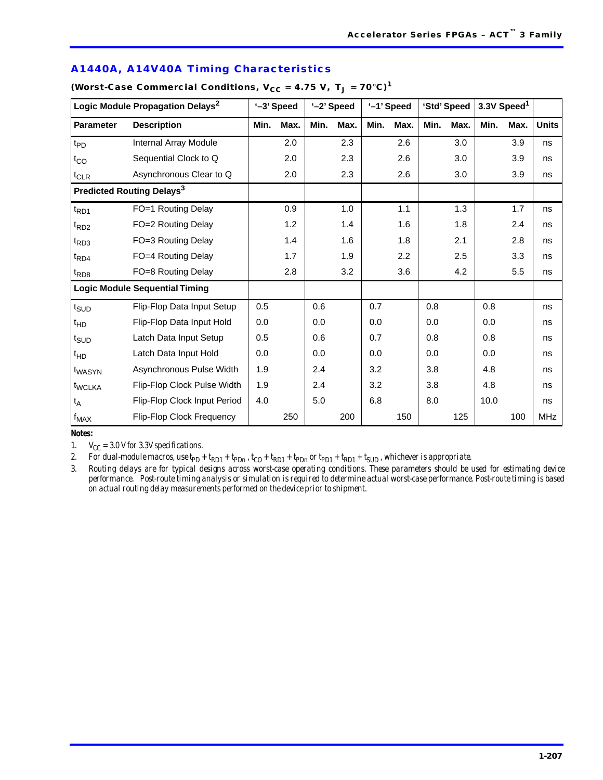| Logic Module Propagation Delays <sup>2</sup> |                                       | '-3' Speed |      |      | '-2' Speed |      | '-1' Speed |      | 'Std' Speed |      | 3.3V Speed <sup>1</sup> |              |
|----------------------------------------------|---------------------------------------|------------|------|------|------------|------|------------|------|-------------|------|-------------------------|--------------|
| <b>Parameter</b>                             | <b>Description</b>                    | Min.       | Max. | Min. | Max.       | Min. | Max.       | Min. | Max.        | Min. | Max.                    | <b>Units</b> |
| $t_{PD}$                                     | Internal Array Module                 |            | 2.0  |      | 2.3        |      | 2.6        |      | 3.0         |      | 3.9                     | ns           |
| $t_{CO}$                                     | Sequential Clock to Q                 |            | 2.0  |      | 2.3        |      | 2.6        |      | 3.0         |      | 3.9                     | ns           |
| $t_{CLR}$                                    | Asynchronous Clear to Q               |            | 2.0  |      | 2.3        |      | 2.6        |      | 3.0         |      | 3.9                     | ns           |
|                                              | Predicted Routing Delays <sup>3</sup> |            |      |      |            |      |            |      |             |      |                         |              |
| $t_{RD1}$                                    | FO=1 Routing Delay                    |            | 0.9  |      | 1.0        |      | 1.1        |      | 1.3         |      | 1.7                     | ns           |
| $t_{RD2}$                                    | FO=2 Routing Delay                    |            | 1.2  |      | 1.4        |      | 1.6        |      | 1.8         |      | 2.4                     | ns           |
| $t_{RD3}$                                    | FO=3 Routing Delay                    |            | 1.4  |      | 1.6        |      | 1.8        |      | 2.1         |      | 2.8                     | ns           |
| $t_{RD4}$                                    | FO=4 Routing Delay                    |            | 1.7  |      | 1.9        |      | 2.2        |      | 2.5         |      | 3.3                     | ns           |
| $t_{RD8}$                                    | FO=8 Routing Delay                    |            | 2.8  |      | 3.2        |      | 3.6        |      | 4.2         |      | 5.5                     | ns           |
|                                              | <b>Logic Module Sequential Timing</b> |            |      |      |            |      |            |      |             |      |                         |              |
| $t_{\scriptstyle\text{SUD}}$                 | Flip-Flop Data Input Setup            | 0.5        |      | 0.6  |            | 0.7  |            | 0.8  |             | 0.8  |                         | ns           |
| $t_{HD}$                                     | Flip-Flop Data Input Hold             | 0.0        |      | 0.0  |            | 0.0  |            | 0.0  |             | 0.0  |                         | ns           |
| $t_{\scriptstyle\text{SUD}}$                 | Latch Data Input Setup                | 0.5        |      | 0.6  |            | 0.7  |            | 0.8  |             | 0.8  |                         | ns           |
| $t_{HD}$                                     | Latch Data Input Hold                 | 0.0        |      | 0.0  |            | 0.0  |            | 0.0  |             | 0.0  |                         | ns           |
| t <sub>WASYN</sub>                           | Asynchronous Pulse Width              | 1.9        |      | 2.4  |            | 3.2  |            | 3.8  |             | 4.8  |                         | ns           |
| t <sub>WCLKA</sub>                           | Flip-Flop Clock Pulse Width           | 1.9        |      | 2.4  |            | 3.2  |            | 3.8  |             | 4.8  |                         | ns           |
| $t_A$                                        | Flip-Flop Clock Input Period          | 4.0        |      | 5.0  |            | 6.8  |            | 8.0  |             | 10.0 |                         | ns           |
| $f_{MAX}$                                    | Flip-Flop Clock Frequency             |            | 250  |      | 200        |      | 150        |      | 125         |      | 100                     | <b>MHz</b>   |

### **A1440A, A14V40A Timing Characteristics**

(Worst-Case Commercial Conditions,  $V_{CC} = 4.75 V$ ,  $T_J = 70°C$ )<sup>1</sup>

### *Notes:*

1.  $V_{CC} = 3.0$  V for 3.3V specifications.

2. For dual-module macros, use  $tpp + tpp + tpp$ ,  $t_{CD} + tpp + tpp$  or  $tpp + tpp + tsyp$ , whichever is appropriate.

*3. Routing delays are for typical designs across worst-case operating conditions. These parameters should be used for estimating device performance. Post-route timing analysis or simulation is required to determine actual worst-case performance. Post-route timing is based on actual routing delay measurements performed on the device prior to shipment.*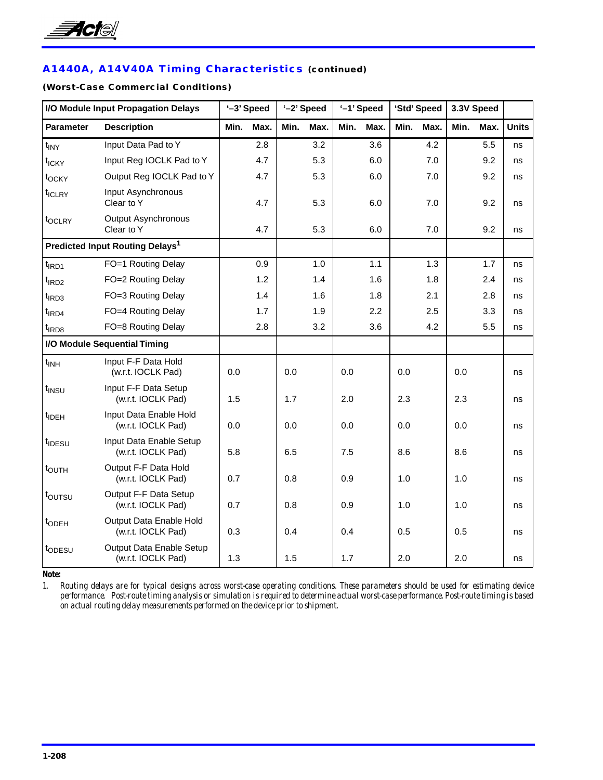

# **A1440A, A14V40A Timing Characteristics (continued)**

### **(Worst-Case Commercial Conditions)**

| I/O Module Input Propagation Delays |                                                | '-3' Speed |      | '-2' Speed |      |      | '-1' Speed |      | 'Std' Speed |      | 3.3V Speed |              |
|-------------------------------------|------------------------------------------------|------------|------|------------|------|------|------------|------|-------------|------|------------|--------------|
| <b>Parameter</b>                    | <b>Description</b>                             | Min.       | Max. | Min.       | Max. | Min. | Max.       | Min. | Max.        | Min. | Max.       | <b>Units</b> |
| $t_{\text{INV}}$                    | Input Data Pad to Y                            |            | 2.8  |            | 3.2  |      | 3.6        |      | 4.2         |      | 5.5        | ns           |
| t <sub>ICKY</sub>                   | Input Reg IOCLK Pad to Y                       |            | 4.7  |            | 5.3  |      | 6.0        |      | 7.0         |      | 9.2        | ns           |
| t <sub>OCKY</sub>                   | Output Reg IOCLK Pad to Y                      |            | 4.7  |            | 5.3  |      | 6.0        |      | 7.0         |      | 9.2        | ns           |
| t <sub>ICLRY</sub>                  | Input Asynchronous<br>Clear to Y               |            | 4.7  |            | 5.3  |      | 6.0        |      | 7.0         |      | 9.2        | ns           |
| t <sub>OCLRY</sub>                  | Output Asynchronous<br>Clear to Y              |            | 4.7  |            | 5.3  |      | 6.0        |      | 7.0         |      | 9.2        | ns           |
|                                     | Predicted Input Routing Delays <sup>1</sup>    |            |      |            |      |      |            |      |             |      |            |              |
| $t$ <sub>IRD1</sub>                 | FO=1 Routing Delay                             |            | 0.9  |            | 1.0  |      | 1.1        |      | 1.3         |      | 1.7        | ns           |
| $t$ <sub>IRD2</sub>                 | FO=2 Routing Delay                             |            | 1.2  |            | 1.4  |      | 1.6        |      | 1.8         |      | 2.4        | ns           |
| $t$ <sub>IRD3</sub>                 | FO=3 Routing Delay                             |            | 1.4  |            | 1.6  |      | 1.8        |      | 2.1         |      | 2.8        | ns           |
| $t$ <sub>IRD4</sub>                 | FO=4 Routing Delay                             |            | 1.7  |            | 1.9  |      | 2.2        |      | 2.5         |      | 3.3        | ns           |
| t <sub>IRD8</sub>                   | FO=8 Routing Delay                             |            | 2.8  |            | 3.2  |      | 3.6        |      | 4.2         |      | 5.5        | ns           |
|                                     | I/O Module Sequential Timing                   |            |      |            |      |      |            |      |             |      |            |              |
| $t_{INH}$                           | Input F-F Data Hold<br>(w.r.t. IOCLK Pad)      | 0.0        |      | 0.0        |      | 0.0  |            | 0.0  |             | 0.0  |            | ns           |
| t <sub>INSU</sub>                   | Input F-F Data Setup<br>(w.r.t. IOCLK Pad)     | 1.5        |      | 1.7        |      | 2.0  |            | 2.3  |             | 2.3  |            | ns           |
| t <sub>IDEH</sub>                   | Input Data Enable Hold<br>(w.r.t. IOCLK Pad)   | 0.0        |      | 0.0        |      | 0.0  |            | 0.0  |             | 0.0  |            | ns           |
| t <sub>IDESU</sub>                  | Input Data Enable Setup<br>(w.r.t. IOCLK Pad)  | 5.8        |      | 6.5        |      | 7.5  |            | 8.6  |             | 8.6  |            | ns           |
| t <sub>OUTH</sub>                   | Output F-F Data Hold<br>(w.r.t. IOCLK Pad)     | 0.7        |      | 0.8        |      | 0.9  |            | 1.0  |             | 1.0  |            | ns           |
| toursu                              | Output F-F Data Setup<br>(w.r.t. IOCLK Pad)    | 0.7        |      | 0.8        |      | 0.9  |            | 1.0  |             | 1.0  |            | ns           |
| t <sub>ODEH</sub>                   | Output Data Enable Hold<br>(w.r.t. IOCLK Pad)  | 0.3        |      | 0.4        |      | 0.4  |            | 0.5  |             | 0.5  |            | ns           |
| topesu                              | Output Data Enable Setup<br>(w.r.t. IOCLK Pad) | 1.3        |      | 1.5        |      | 1.7  |            | 2.0  |             | 2.0  |            | ns           |

*Note:*

*1. Routing delays are for typical designs across worst-case operating conditions. These parameters should be used for estimating device performance. Post-route timing analysis or simulation is required to determine actual worst-case performance. Post-route timing is based on actual routing delay measurements performed on the device prior to shipment.*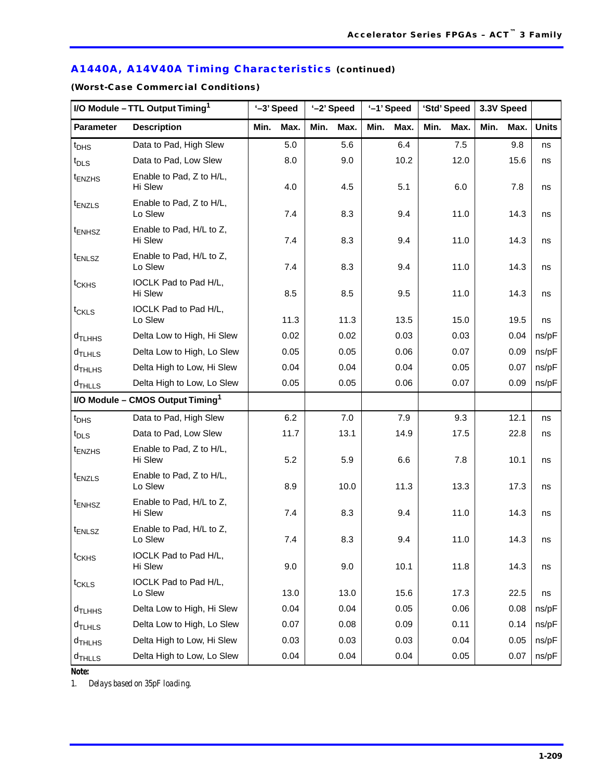# **A1440A, A14V40A Timing Characteristics (continued)**

**(Worst-Case Commercial Conditions)**

|                      | I/O Module - TTL Output Timing <sup>1</sup>  |      | '-3' Speed | '-2' Speed |      |      | '-1' Speed |      | 'Std' Speed | 3.3V Speed |      |              |
|----------------------|----------------------------------------------|------|------------|------------|------|------|------------|------|-------------|------------|------|--------------|
| <b>Parameter</b>     | <b>Description</b>                           | Min. | Max.       | Min.       | Max. | Min. | Max.       | Min. | Max.        | Min.       | Max. | <b>Units</b> |
| $t_{\text{DHS}}$     | Data to Pad, High Slew                       |      | 5.0        |            | 5.6  |      | 6.4        |      | 7.5         |            | 9.8  | ns           |
| $t_{\text{DLS}}$     | Data to Pad. Low Slew                        |      | 8.0        |            | 9.0  |      | 10.2       |      | 12.0        |            | 15.6 | ns           |
| t <sub>ENZHS</sub>   | Enable to Pad, Z to H/L,<br>Hi Slew          |      | 4.0        |            | 4.5  |      | 5.1        |      | 6.0         |            | 7.8  | ns           |
| $t_{ENZLS}$          | Enable to Pad, Z to H/L,<br>Lo Slew          |      | 7.4        |            | 8.3  |      | 9.4        |      | 11.0        |            | 14.3 | ns           |
| t <sub>ENHSZ</sub>   | Enable to Pad, H/L to Z,<br>Hi Slew          |      | 7.4        |            | 8.3  |      | 9.4        |      | 11.0        |            | 14.3 | ns           |
| $t_{ENLSZ}$          | Enable to Pad, H/L to Z,<br>Lo Slew          |      | 7.4        |            | 8.3  |      | 9.4        |      | 11.0        |            | 14.3 | ns           |
| t <sub>CKHS</sub>    | IOCLK Pad to Pad H/L,<br>Hi Slew             |      | 8.5        |            | 8.5  |      | 9.5        |      | 11.0        |            | 14.3 | ns           |
| $t_{CKLS}$           | IOCLK Pad to Pad H/L,                        |      |            |            |      |      |            |      |             |            |      |              |
|                      | Lo Slew                                      |      | 11.3       |            | 11.3 |      | 13.5       |      | 15.0        |            | 19.5 | ns           |
| d <sub>TLHHS</sub>   | Delta Low to High, Hi Slew                   |      | 0.02       |            | 0.02 |      | 0.03       |      | 0.03        |            | 0.04 | ns/pF        |
| $d$ TLHLS            | Delta Low to High, Lo Slew                   |      | 0.05       |            | 0.05 |      | 0.06       |      | 0.07        |            | 0.09 | ns/pF        |
| $d$ THLHS            | Delta High to Low, Hi Slew                   |      | 0.04       |            | 0.04 |      | 0.04       |      | 0.05        |            | 0.07 | ns/pF        |
| $d$ THLLS            | Delta High to Low, Lo Slew                   |      | 0.05       |            | 0.05 |      | 0.06       |      | 0.07        |            | 0.09 | ns/pF        |
|                      | I/O Module - CMOS Output Timing <sup>1</sup> |      |            |            |      |      |            |      |             |            |      |              |
| $t_{\text{DHS}}$     | Data to Pad, High Slew                       |      | 6.2        |            | 7.0  |      | 7.9        |      | 9.3         |            | 12.1 | ns           |
| $t_{\text{DLS}}$     | Data to Pad, Low Slew                        |      | 11.7       |            | 13.1 |      | 14.9       |      | 17.5        |            | 22.8 | ns           |
| t <sub>ENZHS</sub>   | Enable to Pad, Z to H/L,<br>Hi Slew          |      | 5.2        |            | 5.9  |      | 6.6        |      | 7.8         |            | 10.1 | ns           |
| $t_{ENZLS}$          | Enable to Pad, Z to H/L,<br>Lo Slew          |      | 8.9        |            | 10.0 |      | 11.3       |      | 13.3        |            | 17.3 | ns           |
| $t_{ENHSZ}$          | Enable to Pad, H/L to Z,<br>Hi Slew          |      | 7.4        |            | 8.3  |      | 9.4        |      | 11.0        |            | 14.3 | ns           |
| t <sub>ENLSZ</sub>   | Enable to Pad, H/L to Z,<br>Lo Slew          |      | 7.4        |            | 8.3  |      | 9.4        |      | 11.0        |            | 14.3 | ns           |
| t <sub>CKHS</sub>    | IOCLK Pad to Pad H/L,<br>Hi Slew             |      | 9.0        |            | 9.0  |      | 10.1       |      | 11.8        |            | 14.3 | ns           |
| t <sub>CKLS</sub>    | IOCLK Pad to Pad H/L,<br>Lo Slew             |      | 13.0       |            | 13.0 |      | 15.6       |      | 17.3        |            | 22.5 | ns           |
| d <sub>TLHHS</sub>   | Delta Low to High, Hi Slew                   |      | 0.04       |            | 0.04 |      | 0.05       |      | 0.06        |            | 0.08 | ns/pF        |
| $d$ <sub>TLHLS</sub> | Delta Low to High, Lo Slew                   |      | 0.07       |            | 0.08 |      | 0.09       |      | 0.11        |            | 0.14 | ns/pF        |
| d <sub>THLHS</sub>   | Delta High to Low, Hi Slew                   |      | 0.03       |            | 0.03 |      | 0.03       |      | 0.04        |            | 0.05 | ns/pF        |
| $d$ THLLS            | Delta High to Low, Lo Slew                   |      | 0.04       |            | 0.04 |      | 0.04       |      | 0.05        |            | 0.07 | ns/pF        |

*Note:*

*1. Delays based on 35pF loading.*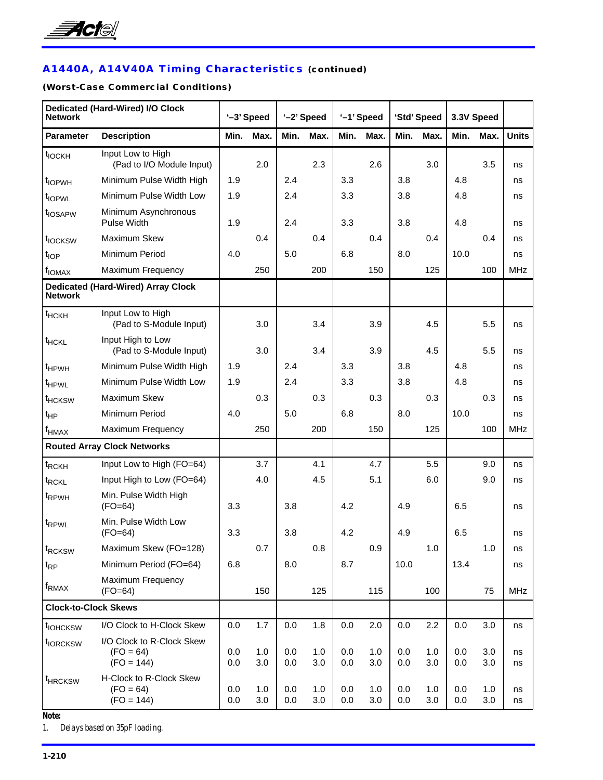

# **A1440A, A14V40A Timing Characteristics (continued)**

# **(Worst-Case Commercial Conditions)**

| <b>Network</b>              | Dedicated (Hard-Wired) I/O Clock                         |            | '-3' Speed |            | '-2' Speed |            | '-1' Speed |            | 'Std' Speed |            | 3.3V Speed |              |
|-----------------------------|----------------------------------------------------------|------------|------------|------------|------------|------------|------------|------------|-------------|------------|------------|--------------|
| <b>Parameter</b>            | <b>Description</b>                                       | Min.       | Max.       | Min.       | Max.       | Min.       | Max.       | Min.       | Max.        | Min.       | Max.       | <b>Units</b> |
| t <sub>IOCKH</sub>          | Input Low to High<br>(Pad to I/O Module Input)           |            | 2.0        |            | 2.3        |            | 2.6        |            | 3.0         |            | 3.5        | ns           |
| t <sub>IOPWH</sub>          | Minimum Pulse Width High                                 | 1.9        |            | 2.4        |            | 3.3        |            | 3.8        |             | 4.8        |            | ns           |
| t <sub>IOPWL</sub>          | Minimum Pulse Width Low                                  | 1.9        |            | 2.4        |            | 3.3        |            | 3.8        |             | 4.8        |            | ns           |
| t <sub>IOSAPW</sub>         | Minimum Asynchronous<br><b>Pulse Width</b>               | 1.9        |            | 2.4        |            | 3.3        |            | 3.8        |             | 4.8        |            | ns           |
| t <sub>IOCKSW</sub>         | Maximum Skew                                             |            | 0.4        |            | 0.4        |            | 0.4        |            | 0.4         |            | 0.4        | ns           |
| t <sub>IOP</sub>            | Minimum Period                                           | 4.0        |            | 5.0        |            | 6.8        |            | 8.0        |             | 10.0       |            | ns           |
| f <sub>IOMAX</sub>          | Maximum Frequency                                        |            | 250        |            | 200        |            | 150        |            | 125         |            | 100        | <b>MHz</b>   |
| <b>Network</b>              | <b>Dedicated (Hard-Wired) Array Clock</b>                |            |            |            |            |            |            |            |             |            |            |              |
| $t$ HCKH                    | Input Low to High<br>(Pad to S-Module Input)             |            | 3.0        |            | 3.4        |            | 3.9        |            | 4.5         |            | 5.5        | ns           |
| <sup>t</sup> HCKL           | Input High to Low<br>(Pad to S-Module Input)             |            | 3.0        |            | 3.4        |            | 3.9        |            | 4.5         |            | 5.5        | ns           |
| <sup>t</sup> HPWH           | Minimum Pulse Width High                                 | 1.9        |            | 2.4        |            | 3.3        |            | 3.8        |             | 4.8        |            | ns           |
| t <sub>HPWL</sub>           | Minimum Pulse Width Low                                  | 1.9        |            | 2.4        |            | 3.3        |            | 3.8        |             | 4.8        |            | ns           |
| <sup>t</sup> HCKSW          | Maximum Skew                                             |            | 0.3        |            | 0.3        |            | 0.3        |            | 0.3         |            | 0.3        | ns           |
| $t_{HP}$                    | Minimum Period                                           | 4.0        |            | 5.0        |            | 6.8        |            | 8.0        |             | 10.0       |            | ns           |
| $f_{HMAX}$                  | Maximum Frequency                                        |            | 250        |            | 200        |            | 150        |            | 125         |            | 100        | <b>MHz</b>   |
|                             | <b>Routed Array Clock Networks</b>                       |            |            |            |            |            |            |            |             |            |            |              |
| t <sub>RCKH</sub>           | Input Low to High (FO=64)                                |            | 3.7        |            | 4.1        |            | 4.7        |            | 5.5         |            | 9.0        | ns           |
| t <sub>RCKL</sub>           | Input High to Low (FO=64)                                |            | 4.0        |            | 4.5        |            | 5.1        |            | 6.0         |            | 9.0        | ns           |
| <sup>t</sup> RPWH           | Min. Pulse Width High<br>$(FO=64)$                       | 3.3        |            | 3.8        |            | 4.2        |            | 4.9        |             | 6.5        |            | ns           |
| t <sub>RPWL</sub>           | Min. Pulse Width Low<br>$(FO=64)$                        | 3.3        |            | 3.8        |            | 4.2        |            | 4.9        |             | 6.5        |            | ns           |
| t <sub>RCKSW</sub>          | Maximum Skew (FO=128)                                    |            | 0.7        |            | 0.8        |            | 0.9        |            | 1.0         |            | 1.0        | ns           |
| $t_{RP}$                    | Minimum Period (FO=64)                                   | 6.8        |            | 8.0        |            | 8.7        |            | 10.0       |             | 13.4       |            | ns           |
| f <sub>RMAX</sub>           | Maximum Frequency<br>$(FO=64)$                           |            | 150        |            | 125        |            | 115        |            | 100         |            | 75         | <b>MHz</b>   |
| <b>Clock-to-Clock Skews</b> |                                                          |            |            |            |            |            |            |            |             |            |            |              |
| t <sub>IOHCKSW</sub>        | I/O Clock to H-Clock Skew                                | 0.0        | 1.7        | 0.0        | 1.8        | 0.0        | 2.0        | $0.0\,$    | 2.2         | 0.0        | 3.0        | ns           |
| t <sub>IORCKSW</sub>        | I/O Clock to R-Clock Skew<br>$(FO = 64)$<br>$(FO = 144)$ | 0.0<br>0.0 | 1.0<br>3.0 | 0.0<br>0.0 | 1.0<br>3.0 | 0.0<br>0.0 | 1.0<br>3.0 | 0.0<br>0.0 | 1.0<br>3.0  | 0.0<br>0.0 | 3.0<br>3.0 | ns<br>ns     |
| <sup>t</sup> HRCKSW         | H-Clock to R-Clock Skew<br>$(FO = 64)$<br>$(FO = 144)$   | 0.0<br>0.0 | 1.0<br>3.0 | 0.0<br>0.0 | 1.0<br>3.0 | 0.0<br>0.0 | 1.0<br>3.0 | 0.0<br>0.0 | 1.0<br>3.0  | 0.0<br>0.0 | 1.0<br>3.0 | ns<br>ns     |

*Note:*

*1. Delays based on 35pF loading.*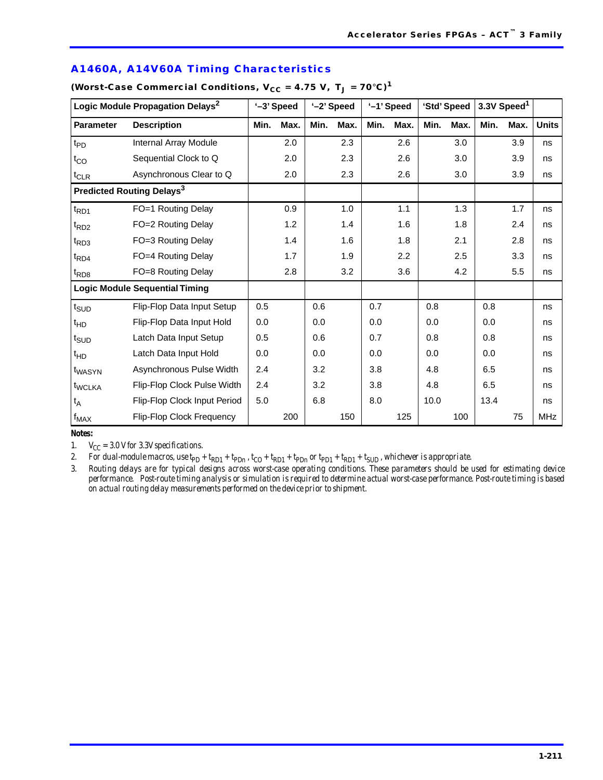|                              | Logic Module Propagation Delays <sup>2</sup> |      | '-3' Speed |      | '-2' Speed |      | '-1' Speed |      | 'Std' Speed |      | 3.3V Speed <sup>1</sup> |              |
|------------------------------|----------------------------------------------|------|------------|------|------------|------|------------|------|-------------|------|-------------------------|--------------|
| <b>Parameter</b>             | <b>Description</b>                           | Min. | Max.       | Min. | Max.       | Min. | Max.       | Min. | Max.        | Min. | Max.                    | <b>Units</b> |
| $t_{PD}$                     | Internal Array Module                        |      | 2.0        |      | 2.3        |      | 2.6        |      | 3.0         |      | 3.9                     | ns           |
| $t_{CO}$                     | Sequential Clock to Q                        |      | 2.0        |      | 2.3        |      | 2.6        |      | 3.0         |      | 3.9                     | ns           |
| $t_{CLR}$                    | Asynchronous Clear to Q                      |      | 2.0        |      | 2.3        |      | 2.6        |      | 3.0         |      | 3.9                     | ns           |
|                              | Predicted Routing Delays <sup>3</sup>        |      |            |      |            |      |            |      |             |      |                         |              |
| $t_{RD1}$                    | FO=1 Routing Delay                           |      | 0.9        |      | 1.0        |      | 1.1        |      | 1.3         |      | 1.7                     | ns           |
| $t_{RD2}$                    | FO=2 Routing Delay                           |      | 1.2        |      | 1.4        |      | 1.6        |      | 1.8         |      | 2.4                     | ns           |
| $t_{RD3}$                    | FO=3 Routing Delay                           |      | 1.4        |      | 1.6        |      | 1.8        |      | 2.1         |      | 2.8                     | ns           |
| $t_{RD4}$                    | FO=4 Routing Delay                           |      | 1.7        |      | 1.9        |      | 2.2        |      | 2.5         |      | 3.3                     | ns           |
| $t_{RD8}$                    | FO=8 Routing Delay                           |      | 2.8        |      | 3.2        |      | 3.6        |      | 4.2         |      | 5.5                     | ns           |
|                              | <b>Logic Module Sequential Timing</b>        |      |            |      |            |      |            |      |             |      |                         |              |
| $t_{\text{SUD}}$             | Flip-Flop Data Input Setup                   | 0.5  |            | 0.6  |            | 0.7  |            | 0.8  |             | 0.8  |                         | ns           |
| $t_{HD}$                     | Flip-Flop Data Input Hold                    | 0.0  |            | 0.0  |            | 0.0  |            | 0.0  |             | 0.0  |                         | ns           |
| $t_{\scriptstyle\text{SUD}}$ | Latch Data Input Setup                       | 0.5  |            | 0.6  |            | 0.7  |            | 0.8  |             | 0.8  |                         | ns           |
| $t_{HD}$                     | Latch Data Input Hold                        | 0.0  |            | 0.0  |            | 0.0  |            | 0.0  |             | 0.0  |                         | ns           |
| t <sub>WASYN</sub>           | Asynchronous Pulse Width                     | 2.4  |            | 3.2  |            | 3.8  |            | 4.8  |             | 6.5  |                         | ns           |
| t <sub>WCLKA</sub>           | Flip-Flop Clock Pulse Width                  | 2.4  |            | 3.2  |            | 3.8  |            | 4.8  |             | 6.5  |                         | ns           |
| $t_A$                        | Flip-Flop Clock Input Period                 | 5.0  |            | 6.8  |            | 8.0  |            | 10.0 |             | 13.4 |                         | ns           |
| $f_{MAX}$                    | Flip-Flop Clock Frequency                    |      | 200        |      | 150        |      | 125        |      | 100         |      | 75                      | <b>MHz</b>   |

### **A1460A, A14V60A Timing Characteristics**

(Worst-Case Commercial Conditions,  $V_{CC} = 4.75 V$ ,  $T_J = 70°C$ )<sup>1</sup>

*Notes:*

1.  $V_{CC} = 3.0$  V for 3.3V specifications.

2. For dual-module macros, use  $tpp + tpp + tpp$ ,  $t_{CD} + tpp + tpp$  or  $tpp + tpp + tsyp$ , whichever is appropriate.

*3. Routing delays are for typical designs across worst-case operating conditions. These parameters should be used for estimating device performance. Post-route timing analysis or simulation is required to determine actual worst-case performance. Post-route timing is based on actual routing delay measurements performed on the device prior to shipment.*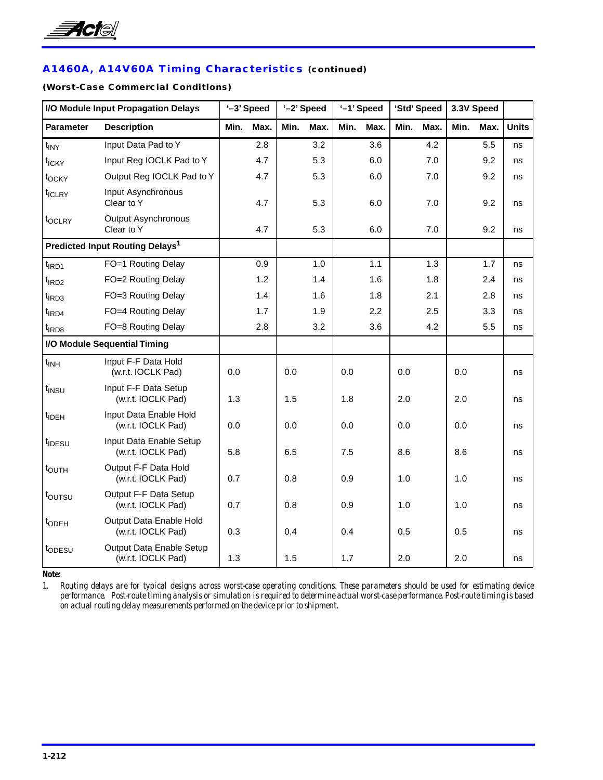

# **A1460A, A14V60A Timing Characteristics (continued)**

### **(Worst-Case Commercial Conditions)**

|                     | I/O Module Input Propagation Delays            |      | '-3' Speed |      | '-2' Speed |      | '-1' Speed |      | 'Std' Speed |      | 3.3V Speed |              |
|---------------------|------------------------------------------------|------|------------|------|------------|------|------------|------|-------------|------|------------|--------------|
| Parameter           | <b>Description</b>                             | Min. | Max.       | Min. | Max.       | Min. | Max.       | Min. | Max.        | Min. | Max.       | <b>Units</b> |
| $t_{\text{INV}}$    | Input Data Pad to Y                            |      | 2.8        |      | 3.2        |      | 3.6        |      | 4.2         |      | 5.5        | ns           |
| t <sub>ICKY</sub>   | Input Reg IOCLK Pad to Y                       |      | 4.7        |      | 5.3        |      | 6.0        |      | 7.0         |      | 9.2        | ns           |
| t <sub>OCKY</sub>   | Output Reg IOCLK Pad to Y                      |      | 4.7        |      | 5.3        |      | 6.0        |      | 7.0         |      | 9.2        | ns           |
| t <sub>ICLRY</sub>  | Input Asynchronous<br>Clear to Y               |      | 4.7        |      | 5.3        |      | 6.0        |      | 7.0         |      | 9.2        | ns           |
| t <sub>OCLRY</sub>  | Output Asynchronous<br>Clear to Y              |      | 4.7        |      | 5.3        |      | 6.0        |      | 7.0         |      | 9.2        | ns           |
|                     | Predicted Input Routing Delays <sup>1</sup>    |      |            |      |            |      |            |      |             |      |            |              |
| $t$ <sub>IRD1</sub> | FO=1 Routing Delay                             |      | 0.9        |      | 1.0        |      | 1.1        |      | 1.3         |      | 1.7        | ns           |
| $t$ <sub>IRD2</sub> | FO=2 Routing Delay                             |      | 1.2        |      | 1.4        |      | 1.6        |      | 1.8         |      | 2.4        | ns           |
| $t$ <sub>IRD3</sub> | FO=3 Routing Delay                             |      | 1.4        |      | 1.6        |      | 1.8        |      | 2.1         |      | 2.8        | ns           |
| $t$ <sub>IRD4</sub> | FO=4 Routing Delay                             |      | 1.7        |      | 1.9        |      | 2.2        |      | 2.5         |      | 3.3        | ns           |
| t <sub>IRD8</sub>   | FO=8 Routing Delay                             |      | 2.8        |      | 3.2        |      | 3.6        |      | 4.2         |      | 5.5        | ns           |
|                     | I/O Module Sequential Timing                   |      |            |      |            |      |            |      |             |      |            |              |
| $t_{INH}$           | Input F-F Data Hold<br>(w.r.t. IOCLK Pad)      | 0.0  |            | 0.0  |            | 0.0  |            | 0.0  |             | 0.0  |            | ns           |
| t <sub>INSU</sub>   | Input F-F Data Setup<br>(w.r.t. IOCLK Pad)     | 1.3  |            | 1.5  |            | 1.8  |            | 2.0  |             | 2.0  |            | ns           |
| t <sub>IDEH</sub>   | Input Data Enable Hold<br>(w.r.t. IOCLK Pad)   | 0.0  |            | 0.0  |            | 0.0  |            | 0.0  |             | 0.0  |            | ns           |
| t <sub>IDESU</sub>  | Input Data Enable Setup<br>(w.r.t. IOCLK Pad)  | 5.8  |            | 6.5  |            | 7.5  |            | 8.6  |             | 8.6  |            | ns           |
| t <sub>OUTH</sub>   | Output F-F Data Hold<br>(w.r.t. IOCLK Pad)     | 0.7  |            | 0.8  |            | 0.9  |            | 1.0  |             | 1.0  |            | ns           |
| toursu              | Output F-F Data Setup<br>(w.r.t. IOCLK Pad)    | 0.7  |            | 0.8  |            | 0.9  |            | 1.0  |             | 1.0  |            | ns           |
| t <sub>ODEH</sub>   | Output Data Enable Hold<br>(w.r.t. IOCLK Pad)  | 0.3  |            | 0.4  |            | 0.4  |            | 0.5  |             | 0.5  |            | ns           |
| topesu              | Output Data Enable Setup<br>(w.r.t. IOCLK Pad) | 1.3  |            | 1.5  |            | 1.7  |            | 2.0  |             | 2.0  |            | ns           |

*Note:*

*1. Routing delays are for typical designs across worst-case operating conditions. These parameters should be used for estimating device performance. Post-route timing analysis or simulation is required to determine actual worst-case performance. Post-route timing is based on actual routing delay measurements performed on the device prior to shipment.*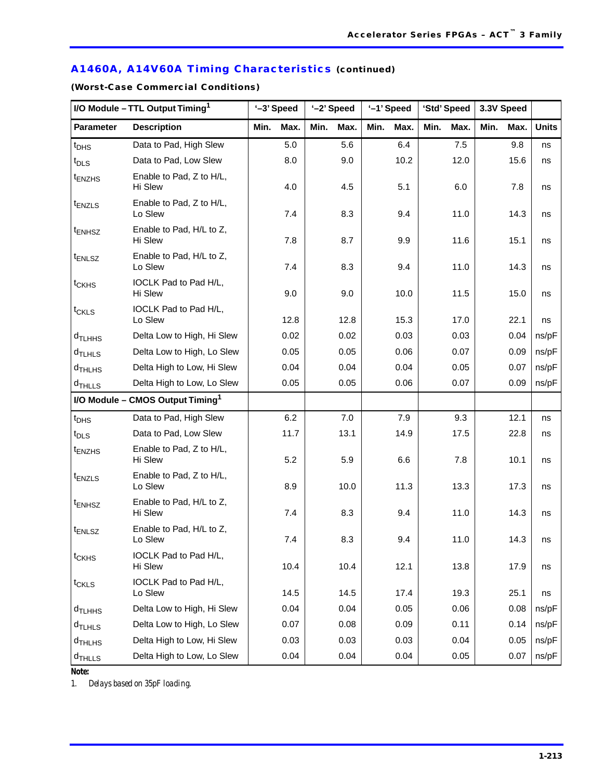# **A1460A, A14V60A Timing Characteristics (continued)**

**(Worst-Case Commercial Conditions)**

|                      | I/O Module - TTL Output Timing <sup>1</sup>  |      | '-3' Speed | '-2' Speed |      |      | '-1' Speed |      | 'Std' Speed | 3.3V Speed |      |              |
|----------------------|----------------------------------------------|------|------------|------------|------|------|------------|------|-------------|------------|------|--------------|
| <b>Parameter</b>     | <b>Description</b>                           | Min. | Max.       | Min.       | Max. | Min. | Max.       | Min. | Max.        | Min.       | Max. | <b>Units</b> |
| $t_{\text{DHS}}$     | Data to Pad, High Slew                       |      | 5.0        |            | 5.6  |      | 6.4        |      | 7.5         |            | 9.8  | ns           |
| $t_{\text{DLS}}$     | Data to Pad, Low Slew                        |      | 8.0        |            | 9.0  |      | 10.2       |      | 12.0        |            | 15.6 | ns           |
| t <sub>ENZHS</sub>   | Enable to Pad, Z to H/L,<br>Hi Slew          |      | 4.0        |            | 4.5  |      | 5.1        |      | 6.0         |            | 7.8  | ns           |
| $t_{ENZLS}$          | Enable to Pad, Z to H/L,<br>Lo Slew          |      | 7.4        |            | 8.3  |      | 9.4        |      | 11.0        |            | 14.3 | ns           |
| t <sub>ENHSZ</sub>   | Enable to Pad, H/L to Z,<br>Hi Slew          |      | 7.8        |            | 8.7  |      | 9.9        |      | 11.6        |            | 15.1 | ns           |
| $t_{ENLSZ}$          | Enable to Pad, H/L to Z,<br>Lo Slew          |      | 7.4        |            | 8.3  |      | 9.4        |      | 11.0        |            | 14.3 | ns           |
| t <sub>CKHS</sub>    | IOCLK Pad to Pad H/L,<br>Hi Slew             |      | 9.0        |            | 9.0  |      | 10.0       |      | 11.5        |            | 15.0 | ns           |
| $t_{CKLS}$           | IOCLK Pad to Pad H/L,                        |      |            |            |      |      |            |      |             |            |      |              |
|                      | Lo Slew                                      |      | 12.8       |            | 12.8 |      | 15.3       |      | 17.0        |            | 22.1 | ns           |
| d <sub>TLHHS</sub>   | Delta Low to High, Hi Slew                   |      | 0.02       |            | 0.02 |      | 0.03       |      | 0.03        |            | 0.04 | ns/pF        |
| $d$ TLHLS            | Delta Low to High, Lo Slew                   |      | 0.05       |            | 0.05 |      | 0.06       |      | 0.07        |            | 0.09 | ns/pF        |
| $d$ THLHS            | Delta High to Low, Hi Slew                   |      | 0.04       |            | 0.04 |      | 0.04       |      | 0.05        |            | 0.07 | ns/pF        |
| $d$ THLLS            | Delta High to Low, Lo Slew                   |      | 0.05       |            | 0.05 |      | 0.06       |      | 0.07        |            | 0.09 | ns/pF        |
|                      | I/O Module - CMOS Output Timing <sup>1</sup> |      |            |            |      |      |            |      |             |            |      |              |
| $t_{\text{DHS}}$     | Data to Pad, High Slew                       |      | 6.2        |            | 7.0  |      | 7.9        |      | 9.3         |            | 12.1 | ns           |
| $t_{\text{DLS}}$     | Data to Pad, Low Slew                        |      | 11.7       |            | 13.1 |      | 14.9       |      | 17.5        |            | 22.8 | ns           |
| <sup>t</sup> ENZHS   | Enable to Pad, Z to H/L,<br>Hi Slew          |      | 5.2        |            | 5.9  |      | 6.6        |      | 7.8         |            | 10.1 | ns           |
| $t_{ENZLS}$          | Enable to Pad, Z to H/L,<br>Lo Slew          |      | 8.9        |            | 10.0 |      | 11.3       |      | 13.3        |            | 17.3 | ns           |
| $t_{ENHSZ}$          | Enable to Pad, H/L to Z,<br>Hi Slew          |      | 7.4        |            | 8.3  |      | 9.4        |      | 11.0        |            | 14.3 | ns           |
| $t_{ENLSZ}$          | Enable to Pad, H/L to Z,<br>Lo Slew          |      | 7.4        |            | 8.3  |      | 9.4        |      | 11.0        |            | 14.3 | ns           |
| t <sub>CKHS</sub>    | IOCLK Pad to Pad H/L,<br>Hi Slew             |      | 10.4       |            | 10.4 |      | 12.1       |      | 13.8        |            | 17.9 | ns           |
| t <sub>CKLS</sub>    | IOCLK Pad to Pad H/L,<br>Lo Slew             |      | 14.5       |            | 14.5 |      | 17.4       |      | 19.3        |            | 25.1 | ns           |
| d <sub>TLHHS</sub>   | Delta Low to High, Hi Slew                   |      | 0.04       |            | 0.04 |      | 0.05       |      | 0.06        |            | 0.08 | ns/pF        |
| $d$ <sub>TLHLS</sub> | Delta Low to High, Lo Slew                   |      | 0.07       |            | 0.08 |      | 0.09       |      | 0.11        |            | 0.14 | ns/pF        |
| d <sub>THLHS</sub>   | Delta High to Low, Hi Slew                   |      | 0.03       |            | 0.03 |      | 0.03       |      | 0.04        |            | 0.05 | ns/pF        |
| $d$ THLLS            | Delta High to Low, Lo Slew                   |      | 0.04       |            | 0.04 |      | 0.04       |      | 0.05        |            | 0.07 | ns/pF        |

*Note:*

*1. Delays based on 35pF loading.*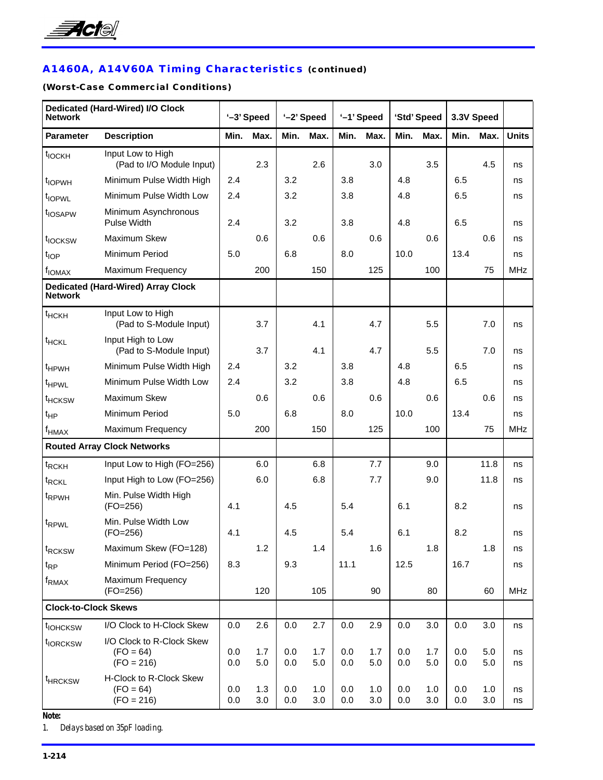

# **A1460A, A14V60A Timing Characteristics (continued)**

# **(Worst-Case Commercial Conditions)**

| <b>Network</b>              | Dedicated (Hard-Wired) I/O Clock                         |            | '-3' Speed |            | '-2' Speed |            | '-1' Speed |            | 'Std' Speed |            | 3.3V Speed |              |
|-----------------------------|----------------------------------------------------------|------------|------------|------------|------------|------------|------------|------------|-------------|------------|------------|--------------|
| <b>Parameter</b>            | <b>Description</b>                                       | Min.       | Max.       | Min.       | Max.       | Min.       | Max.       | Min.       | Max.        | Min.       | Max.       | <b>Units</b> |
| $t_{IOCKH}$                 | Input Low to High<br>(Pad to I/O Module Input)           |            | 2.3        |            | 2.6        |            | 3.0        |            | 3.5         |            | 4.5        | ns           |
| t <sub>IOPWH</sub>          | Minimum Pulse Width High                                 | 2.4        |            | 3.2        |            | 3.8        |            | 4.8        |             | 6.5        |            | ns           |
| t <sub>IOPWL</sub>          | Minimum Pulse Width Low                                  | 2.4        |            | 3.2        |            | 3.8        |            | 4.8        |             | 6.5        |            | ns           |
| t <sub>IOSAPW</sub>         | Minimum Asynchronous<br>Pulse Width                      | 2.4        |            | 3.2        |            | 3.8        |            | 4.8        |             | 6.5        |            | ns           |
| t <sub>IOCKSW</sub>         | Maximum Skew                                             |            | 0.6        |            | 0.6        |            | 0.6        |            | 0.6         |            | 0.6        | ns           |
| t <sub>IOP</sub>            | Minimum Period                                           | 5.0        |            | 6.8        |            | 8.0        |            | 10.0       |             | 13.4       |            | ns           |
| f <sub>IOMAX</sub>          | Maximum Frequency                                        |            | 200        |            | 150        |            | 125        |            | 100         |            | 75         | <b>MHz</b>   |
| <b>Network</b>              | <b>Dedicated (Hard-Wired) Array Clock</b>                |            |            |            |            |            |            |            |             |            |            |              |
| $t$ HCKH                    | Input Low to High<br>(Pad to S-Module Input)             |            | 3.7        |            | 4.1        |            | 4.7        |            | 5.5         |            | 7.0        | ns           |
| <b>t<sub>HCKL</sub></b>     | Input High to Low<br>(Pad to S-Module Input)             |            | 3.7        |            | 4.1        |            | 4.7        |            | 5.5         |            | 7.0        | ns           |
| t <sub>HPWH</sub>           | Minimum Pulse Width High                                 | 2.4        |            | 3.2        |            | 3.8        |            | 4.8        |             | 6.5        |            | ns           |
| t <sub>HPWL</sub>           | Minimum Pulse Width Low                                  | 2.4        |            | 3.2        |            | 3.8        |            | 4.8        |             | 6.5        |            | ns           |
| t <sub>HCKSW</sub>          | Maximum Skew                                             |            | 0.6        |            | 0.6        |            | 0.6        |            | 0.6         |            | 0.6        | ns           |
| $t_{HP}$                    | Minimum Period                                           | 5.0        |            | 6.8        |            | 8.0        |            | 10.0       |             | 13.4       |            | ns           |
| $f_{\sf HMAX}$              | Maximum Frequency                                        |            | 200        |            | 150        |            | 125        |            | 100         |            | 75         | <b>MHz</b>   |
|                             | <b>Routed Array Clock Networks</b>                       |            |            |            |            |            |            |            |             |            |            |              |
| t <sub>RCKH</sub>           | Input Low to High (FO=256)                               |            | 6.0        |            | 6.8        |            | 7.7        |            | 9.0         |            | 11.8       | ns           |
| t <sub>RCKL</sub>           | Input High to Low (FO=256)                               |            | 6.0        |            | 6.8        |            | 7.7        |            | 9.0         |            | 11.8       | ns           |
| t <sub>RPWH</sub>           | Min. Pulse Width High<br>$(FO=256)$                      | 4.1        |            | 4.5        |            | 5.4        |            | 6.1        |             | 8.2        |            | ns           |
| t <sub>RPWL</sub>           | Min. Pulse Width Low<br>$(FO=256)$                       | 4.1        |            | 4.5        |            | 5.4        |            | 6.1        |             | 8.2        |            | ns           |
| t <sub>RCKSW</sub>          | Maximum Skew (FO=128)                                    |            | 1.2        |            | 1.4        |            | 1.6        |            | 1.8         |            | 1.8        | ns           |
| $t_{RP}$                    | Minimum Period (FO=256)                                  | 8.3        |            | 9.3        |            | 11.1       |            | 12.5       |             | 16.7       |            | ns           |
| $f_{\sf RMAX}$              | Maximum Frequency<br>$(FO=256)$                          |            | 120        |            | 105        |            | 90         |            | 80          |            | 60         | <b>MHz</b>   |
| <b>Clock-to-Clock Skews</b> |                                                          |            |            |            |            |            |            |            |             |            |            |              |
| t <sub>IOHCKSW</sub>        | I/O Clock to H-Clock Skew                                | 0.0        | 2.6        | 0.0        | 2.7        | $0.0\,$    | 2.9        | $0.0\,$    | 3.0         | 0.0        | 3.0        | ns           |
| t <sub>IORCKSW</sub>        | I/O Clock to R-Clock Skew<br>$(FO = 64)$<br>$(FO = 216)$ | 0.0<br>0.0 | 1.7<br>5.0 | 0.0<br>0.0 | 1.7<br>5.0 | 0.0<br>0.0 | 1.7<br>5.0 | 0.0<br>0.0 | 1.7<br>5.0  | 0.0<br>0.0 | 5.0<br>5.0 | ns<br>ns     |
| <sup>t</sup> HRCKSW         | H-Clock to R-Clock Skew<br>$(FO = 64)$<br>$(FO = 216)$   | 0.0<br>0.0 | 1.3<br>3.0 | 0.0<br>0.0 | 1.0<br>3.0 | 0.0<br>0.0 | 1.0<br>3.0 | 0.0<br>0.0 | 1.0<br>3.0  | 0.0<br>0.0 | 1.0<br>3.0 | ns<br>ns     |

*Note:*

*1. Delays based on 35pF loading.*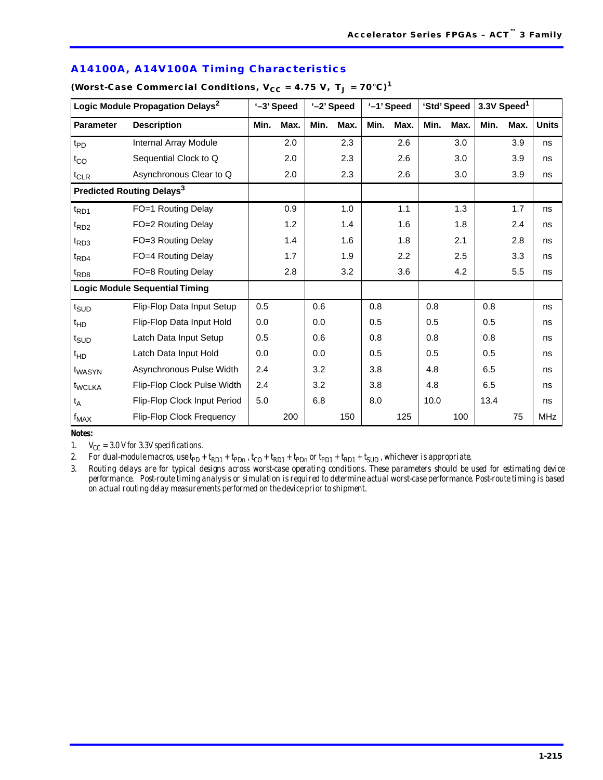| A14100A, A14V100A Timing Characteristics |  |
|------------------------------------------|--|
|------------------------------------------|--|

|                              | Logic Module Propagation Delays <sup>2</sup> |         | '-3' Speed |      | '-2' Speed |      | '-1' Speed |      | 'Std' Speed |      | 3.3V Speed <sup>1</sup> |              |
|------------------------------|----------------------------------------------|---------|------------|------|------------|------|------------|------|-------------|------|-------------------------|--------------|
| <b>Parameter</b>             | <b>Description</b>                           | Min.    | Max.       | Min. | Max.       | Min. | Max.       | Min. | Max.        | Min. | Max.                    | <b>Units</b> |
| $t_{PD}$                     | Internal Array Module                        |         | 2.0        |      | 2.3        |      | 2.6        |      | 3.0         |      | 3.9                     | ns           |
| $t_{CO}$                     | Sequential Clock to Q                        |         | 2.0        |      | 2.3        |      | 2.6        |      | 3.0         |      | 3.9                     | ns           |
| $t_{CLR}$                    | Asynchronous Clear to Q                      |         | 2.0        |      | 2.3        |      | 2.6        |      | 3.0         |      | 3.9                     | ns           |
|                              | Predicted Routing Delays <sup>3</sup>        |         |            |      |            |      |            |      |             |      |                         |              |
| $t_{RD1}$                    | FO=1 Routing Delay                           |         | 0.9        |      | 1.0        |      | 1.1        |      | 1.3         |      | 1.7                     | ns           |
| $t_{RD2}$                    | FO=2 Routing Delay                           |         | 1.2        |      | 1.4        |      | 1.6        |      | 1.8         |      | 2.4                     | ns           |
| $t_{RD3}$                    | FO=3 Routing Delay                           |         | 1.4        |      | 1.6        |      | 1.8        |      | 2.1         |      | 2.8                     | ns           |
| $t_{RD4}$                    | FO=4 Routing Delay                           |         | 1.7        |      | 1.9        |      | 2.2        |      | 2.5         |      | 3.3                     | ns           |
| $t_{RD8}$                    | FO=8 Routing Delay                           |         | 2.8        |      | 3.2        |      | 3.6        |      | 4.2         |      | 5.5                     | ns           |
|                              | <b>Logic Module Sequential Timing</b>        |         |            |      |            |      |            |      |             |      |                         |              |
| $t_{\scriptstyle\text{SUD}}$ | Flip-Flop Data Input Setup                   | 0.5     |            | 0.6  |            | 0.8  |            | 0.8  |             | 0.8  |                         | ns           |
| $t_{HD}$                     | Flip-Flop Data Input Hold                    | 0.0     |            | 0.0  |            | 0.5  |            | 0.5  |             | 0.5  |                         | ns           |
| $t_{\scriptstyle\text{SUD}}$ | Latch Data Input Setup                       | 0.5     |            | 0.6  |            | 0.8  |            | 0.8  |             | 0.8  |                         | ns           |
| $t_{HD}$                     | Latch Data Input Hold                        | 0.0     |            | 0.0  |            | 0.5  |            | 0.5  |             | 0.5  |                         | ns           |
| t <sub>WASYN</sub>           | Asynchronous Pulse Width                     | 2.4     |            | 3.2  |            | 3.8  |            | 4.8  |             | 6.5  |                         | ns           |
| t <sub>WCLKA</sub>           | Flip-Flop Clock Pulse Width                  | 2.4     |            | 3.2  |            | 3.8  |            | 4.8  |             | 6.5  |                         | ns           |
| $t_A$                        | Flip-Flop Clock Input Period                 | $5.0\,$ |            | 6.8  |            | 8.0  |            | 10.0 |             | 13.4 |                         | ns           |
| $f_{MAX}$                    | Flip-Flop Clock Frequency                    |         | 200        |      | 150        |      | 125        |      | 100         |      | 75                      | <b>MHz</b>   |

### (Worst-Case Commercial Conditions,  $V_{CC} = 4.75 V$ ,  $T_J = 70°C$ )<sup>1</sup>

#### *Notes:*

1.  $V_{CC} = 3.0$  V for 3.3V specifications.

2. For dual-module macros, use  $tpp + tpp + tpp$ ,  $t_{CD} + tpp + tpp$  or  $tpp + tpp + tsyp$ , whichever is appropriate.

*3. Routing delays are for typical designs across worst-case operating conditions. These parameters should be used for estimating device performance. Post-route timing analysis or simulation is required to determine actual worst-case performance. Post-route timing is based on actual routing delay measurements performed on the device prior to shipment.*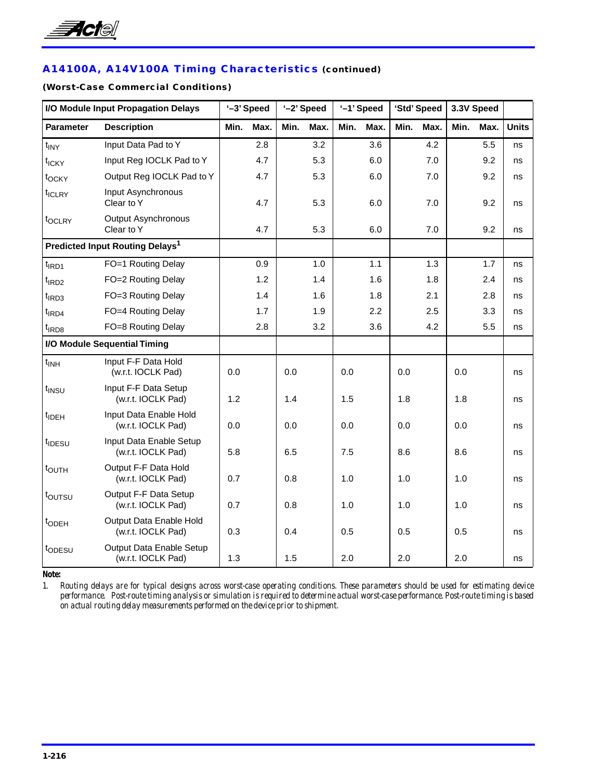

# **A14100A, A14V100A Timing Characteristics (continued)**

### **(Worst-Case Commercial Conditions)**

|                     | I/O Module Input Propagation Delays            |      | '-3' Speed |      | '-2' Speed |      | '-1' Speed |      | 'Std' Speed |      | 3.3V Speed |              |
|---------------------|------------------------------------------------|------|------------|------|------------|------|------------|------|-------------|------|------------|--------------|
| Parameter           | <b>Description</b>                             | Min. | Max.       | Min. | Max.       | Min. | Max.       | Min. | Max.        | Min. | Max.       | <b>Units</b> |
| $t_{\text{INV}}$    | Input Data Pad to Y                            |      | 2.8        |      | 3.2        |      | 3.6        |      | 4.2         |      | 5.5        | ns           |
| t <sub>ICKY</sub>   | Input Reg IOCLK Pad to Y                       |      | 4.7        |      | 5.3        |      | 6.0        |      | 7.0         |      | 9.2        | ns           |
| t <sub>OCKY</sub>   | Output Reg IOCLK Pad to Y                      |      | 4.7        |      | 5.3        |      | 6.0        |      | 7.0         |      | 9.2        | ns           |
| t <sub>ICLRY</sub>  | Input Asynchronous<br>Clear to Y               |      | 4.7        |      | 5.3        |      | 6.0        |      | 7.0         |      | 9.2        | ns           |
| t <sub>OCLRY</sub>  | Output Asynchronous<br>Clear to Y              |      | 4.7        |      | 5.3        |      | 6.0        |      | 7.0         |      | 9.2        | ns           |
|                     | Predicted Input Routing Delays <sup>1</sup>    |      |            |      |            |      |            |      |             |      |            |              |
| $t$ <sub>IRD1</sub> | FO=1 Routing Delay                             |      | 0.9        |      | 1.0        |      | 1.1        |      | 1.3         |      | 1.7        | ns           |
| $t$ <sub>IRD2</sub> | FO=2 Routing Delay                             |      | 1.2        |      | 1.4        |      | 1.6        |      | 1.8         |      | 2.4        | ns           |
| $t$ <sub>IRD3</sub> | FO=3 Routing Delay                             |      | 1.4        |      | 1.6        |      | 1.8        |      | 2.1         |      | 2.8        | ns           |
| $t$ <sub>IRD4</sub> | FO=4 Routing Delay                             |      | 1.7        |      | 1.9        |      | 2.2        |      | 2.5         |      | 3.3        | ns           |
| $t$ <sub>IRD8</sub> | FO=8 Routing Delay                             |      | 2.8        |      | 3.2        |      | 3.6        |      | 4.2         |      | 5.5        | ns           |
|                     | I/O Module Sequential Timing                   |      |            |      |            |      |            |      |             |      |            |              |
| $t_{INH}$           | Input F-F Data Hold<br>(w.r.t. IOCLK Pad)      | 0.0  |            | 0.0  |            | 0.0  |            | 0.0  |             | 0.0  |            | ns           |
| t <sub>INSU</sub>   | Input F-F Data Setup<br>(w.r.t. IOCLK Pad)     | 1.2  |            | 1.4  |            | 1.5  |            | 1.8  |             | 1.8  |            | ns           |
| t <sub>IDEH</sub>   | Input Data Enable Hold<br>(w.r.t. IOCLK Pad)   | 0.0  |            | 0.0  |            | 0.0  |            | 0.0  |             | 0.0  |            | ns           |
| t <sub>IDESU</sub>  | Input Data Enable Setup<br>(w.r.t. IOCLK Pad)  | 5.8  |            | 6.5  |            | 7.5  |            | 8.6  |             | 8.6  |            | ns           |
| t <sub>OUTH</sub>   | Output F-F Data Hold<br>(w.r.t. IOCLK Pad)     | 0.7  |            | 0.8  |            | 1.0  |            | 1.0  |             | 1.0  |            | ns           |
| toursu              | Output F-F Data Setup<br>(w.r.t. IOCLK Pad)    | 0.7  |            | 0.8  |            | 1.0  |            | 1.0  |             | 1.0  |            | ns           |
| t <sub>ODEH</sub>   | Output Data Enable Hold<br>(w.r.t. IOCLK Pad)  | 0.3  |            | 0.4  |            | 0.5  |            | 0.5  |             | 0.5  |            | ns           |
| topesu              | Output Data Enable Setup<br>(w.r.t. IOCLK Pad) | 1.3  |            | 1.5  |            | 2.0  |            | 2.0  |             | 2.0  |            | ns           |

*Note:*

*1. Routing delays are for typical designs across worst-case operating conditions. These parameters should be used for estimating device performance. Post-route timing analysis or simulation is required to determine actual worst-case performance. Post-route timing is based on actual routing delay measurements performed on the device prior to shipment.*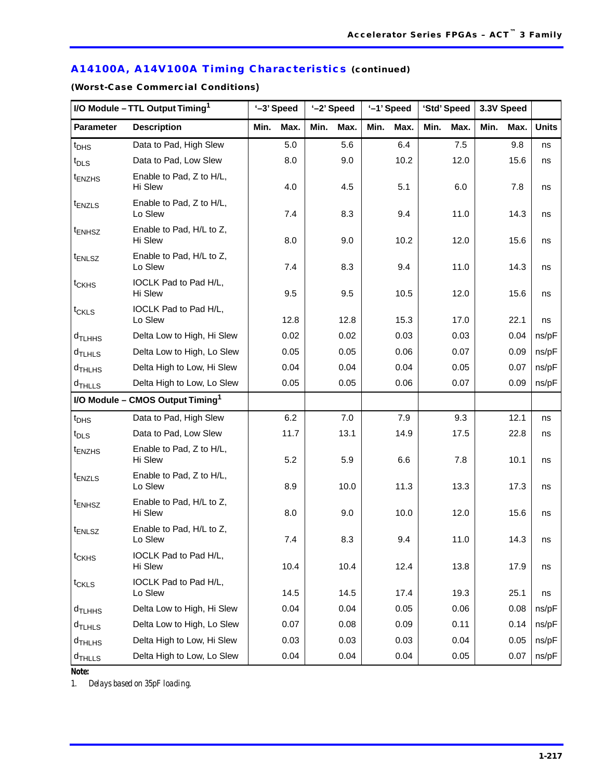# **A14100A, A14V100A Timing Characteristics (continued)**

**(Worst-Case Commercial Conditions)**

|                      | I/O Module - TTL Output Timing <sup>1</sup>  |      | '-3' Speed | '-2' Speed |      |      | '-1' Speed |      | 'Std' Speed | 3.3V Speed |      |              |
|----------------------|----------------------------------------------|------|------------|------------|------|------|------------|------|-------------|------------|------|--------------|
| <b>Parameter</b>     | <b>Description</b>                           | Min. | Max.       | Min.       | Max. | Min. | Max.       | Min. | Max.        | Min.       | Max. | <b>Units</b> |
| $t_{\text{DHS}}$     | Data to Pad, High Slew                       |      | 5.0        |            | 5.6  |      | 6.4        |      | 7.5         |            | 9.8  | ns           |
| $t_{\text{DLS}}$     | Data to Pad, Low Slew                        |      | 8.0        |            | 9.0  |      | 10.2       |      | 12.0        |            | 15.6 | ns           |
| <sup>t</sup> ENZHS   | Enable to Pad, Z to H/L,<br>Hi Slew          |      | 4.0        |            | 4.5  |      | 5.1        |      | 6.0         |            | 7.8  | ns           |
| t <sub>ENZLS</sub>   | Enable to Pad, Z to H/L,<br>Lo Slew          |      | 7.4        |            | 8.3  |      | 9.4        |      | 11.0        |            | 14.3 | ns           |
| <sup>t</sup> ENHSZ   | Enable to Pad, H/L to Z,<br>Hi Slew          |      | 8.0        |            | 9.0  |      | 10.2       |      | 12.0        |            | 15.6 | ns           |
| <sup>t</sup> ENLSZ   | Enable to Pad, H/L to Z,<br>Lo Slew          |      | 7.4        |            | 8.3  |      | 9.4        |      | 11.0        |            | 14.3 | ns           |
| t <sub>CKHS</sub>    | IOCLK Pad to Pad H/L,<br>Hi Slew             |      | 9.5        |            | 9.5  |      | 10.5       |      | 12.0        |            | 15.6 | ns           |
| $t_{CKLS}$           | IOCLK Pad to Pad H/L,                        |      |            |            |      |      |            |      |             |            |      |              |
|                      | Lo Slew                                      |      | 12.8       |            | 12.8 |      | 15.3       |      | 17.0        |            | 22.1 | ns           |
| d <sub>TLHHS</sub>   | Delta Low to High, Hi Slew                   |      | 0.02       |            | 0.02 |      | 0.03       |      | 0.03        |            | 0.04 | ns/pF        |
| $d$ TLHLS            | Delta Low to High, Lo Slew                   |      | 0.05       |            | 0.05 |      | 0.06       |      | 0.07        |            | 0.09 | ns/pF        |
| $d$ THLHS            | Delta High to Low, Hi Slew                   |      | 0.04       |            | 0.04 |      | 0.04       |      | 0.05        |            | 0.07 | ns/pF        |
| $d$ THLLS            | Delta High to Low, Lo Slew                   |      | 0.05       |            | 0.05 |      | 0.06       |      | 0.07        |            | 0.09 | ns/pF        |
|                      | I/O Module - CMOS Output Timing <sup>1</sup> |      |            |            |      |      |            |      |             |            |      |              |
| $t_{DHS}$            | Data to Pad, High Slew                       |      | 6.2        |            | 7.0  |      | 7.9        |      | 9.3         |            | 12.1 | ns           |
| $t_{\text{DLS}}$     | Data to Pad, Low Slew                        |      | 11.7       |            | 13.1 |      | 14.9       |      | 17.5        |            | 22.8 | ns           |
| t <sub>ENZHS</sub>   | Enable to Pad, Z to H/L,<br>Hi Slew          |      | 5.2        |            | 5.9  |      | 6.6        |      | 7.8         |            | 10.1 | ns           |
| <sup>t</sup> ENZLS   | Enable to Pad, Z to H/L,<br>Lo Slew          |      | 8.9        |            | 10.0 |      | 11.3       |      | 13.3        |            | 17.3 | ns           |
| t <sub>ENHSZ</sub>   | Enable to Pad, H/L to Z,<br>Hi Slew          |      | 8.0        |            | 9.0  |      | 10.0       |      | 12.0        |            | 15.6 | ns           |
| $t_{ENLSZ}$          | Enable to Pad, H/L to Z,<br>Lo Slew          |      | 7.4        |            | 8.3  |      | 9.4        |      | 11.0        |            | 14.3 | ns           |
| t <sub>CKHS</sub>    | IOCLK Pad to Pad H/L,<br>Hi Slew             |      | 10.4       |            | 10.4 |      | 12.4       |      | 13.8        |            | 17.9 | ns           |
| t <sub>CKLS</sub>    | IOCLK Pad to Pad H/L,<br>Lo Slew             |      | 14.5       |            | 14.5 |      | 17.4       |      | 19.3        |            | 25.1 | ns           |
| d <sub>TLHHS</sub>   | Delta Low to High, Hi Slew                   |      | 0.04       |            | 0.04 |      | 0.05       |      | 0.06        |            | 0.08 | ns/pF        |
| $d$ <sub>TLHLS</sub> | Delta Low to High, Lo Slew                   |      | 0.07       |            | 0.08 |      | 0.09       |      | 0.11        |            | 0.14 | ns/pF        |
| d <sub>THLHS</sub>   | Delta High to Low, Hi Slew                   |      | 0.03       |            | 0.03 |      | 0.03       |      | 0.04        |            | 0.05 | ns/pF        |
| $d$ THLLS            | Delta High to Low, Lo Slew                   |      | 0.04       |            | 0.04 |      | 0.04       |      | 0.05        |            | 0.07 | ns/pF        |

*Note:*

*1. Delays based on 35pF loading.*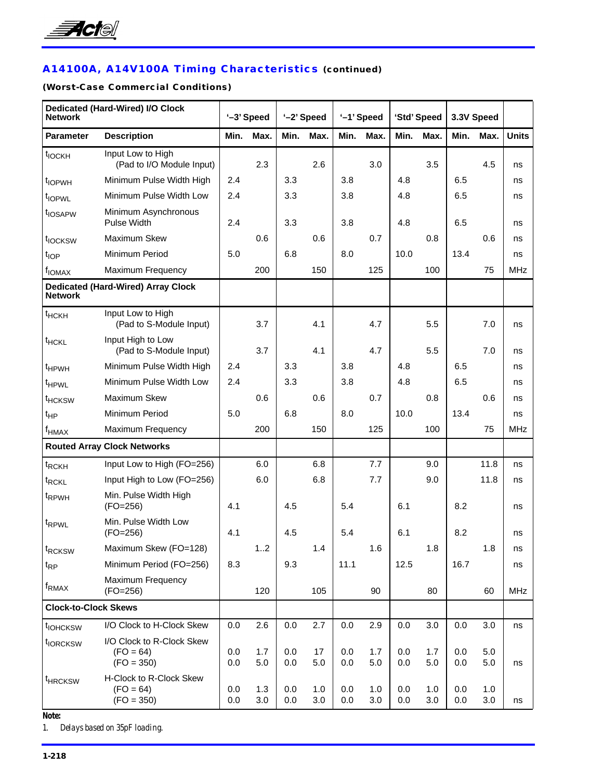

# **A14100A, A14V100A Timing Characteristics (continued)**

### **(Worst-Case Commercial Conditions)**

| <b>Network</b>              | Dedicated (Hard-Wired) I/O Clock                         |            | '-3' Speed |            | '-2' Speed |            | '-1' Speed |            | 'Std' Speed |            | 3.3V Speed |              |
|-----------------------------|----------------------------------------------------------|------------|------------|------------|------------|------------|------------|------------|-------------|------------|------------|--------------|
| <b>Parameter</b>            | <b>Description</b>                                       | Min.       | Max.       | Min.       | Max.       | Min.       | Max.       | Min.       | Max.        | Min.       | Max.       | <b>Units</b> |
| $t_{IOCKH}$                 | Input Low to High<br>(Pad to I/O Module Input)           |            | 2.3        |            | 2.6        |            | 3.0        |            | 3.5         |            | 4.5        | ns           |
| t <sub>IOPWH</sub>          | Minimum Pulse Width High                                 | 2.4        |            | 3.3        |            | 3.8        |            | 4.8        |             | 6.5        |            | ns           |
| t <sub>IOPWL</sub>          | Minimum Pulse Width Low                                  | 2.4        |            | 3.3        |            | 3.8        |            | 4.8        |             | 6.5        |            | ns           |
| t <sub>IOSAPW</sub>         | Minimum Asynchronous<br>Pulse Width                      | 2.4        |            | 3.3        |            | 3.8        |            | 4.8        |             | 6.5        |            | ns           |
| t <sub>IOCKSW</sub>         | Maximum Skew                                             |            | 0.6        |            | 0.6        |            | 0.7        |            | 0.8         |            | 0.6        | ns           |
| $t_{\text{IOP}}$            | Minimum Period                                           | 5.0        |            | 6.8        |            | 8.0        |            | 10.0       |             | 13.4       |            | ns           |
| f <sub>IONAX</sub>          | Maximum Frequency                                        |            | 200        |            | 150        |            | 125        |            | 100         |            | 75         | <b>MHz</b>   |
| <b>Network</b>              | <b>Dedicated (Hard-Wired) Array Clock</b>                |            |            |            |            |            |            |            |             |            |            |              |
| $t$ HCKH                    | Input Low to High<br>(Pad to S-Module Input)             |            | 3.7        |            | 4.1        |            | 4.7        |            | 5.5         |            | 7.0        | ns           |
| <sup>t</sup> HCKL           | Input High to Low<br>(Pad to S-Module Input)             |            | 3.7        |            | 4.1        |            | 4.7        |            | 5.5         |            | 7.0        | ns           |
| <sup>t</sup> HPWH           | Minimum Pulse Width High                                 | 2.4        |            | 3.3        |            | 3.8        |            | 4.8        |             | 6.5        |            | ns           |
| t <sub>HPWL</sub>           | Minimum Pulse Width Low                                  | 2.4        |            | 3.3        |            | 3.8        |            | 4.8        |             | 6.5        |            | ns           |
| <sup>t</sup> HCKSW          | Maximum Skew                                             |            | 0.6        |            | 0.6        |            | 0.7        |            | 0.8         |            | 0.6        | ns           |
| $t_{HP}$                    | Minimum Period                                           | 5.0        |            | 6.8        |            | 8.0        |            | 10.0       |             | 13.4       |            | ns           |
| $f_{HMAX}$                  | Maximum Frequency                                        |            | 200        |            | 150        |            | 125        |            | 100         |            | 75         | <b>MHz</b>   |
|                             | <b>Routed Array Clock Networks</b>                       |            |            |            |            |            |            |            |             |            |            |              |
| t <sub>RCKH</sub>           | Input Low to High (FO=256)                               |            | 6.0        |            | 6.8        |            | 7.7        |            | 9.0         |            | 11.8       | ns           |
| t <sub>RCKL</sub>           | Input High to Low (FO=256)                               |            | 6.0        |            | 6.8        |            | 7.7        |            | 9.0         |            | 11.8       | ns           |
| t <sub>RPWH</sub>           | Min. Pulse Width High<br>$(FO=256)$                      | 4.1        |            | 4.5        |            | 5.4        |            | 6.1        |             | 8.2        |            | ns           |
| t <sub>RPWL</sub>           | Min. Pulse Width Low<br>$(FO=256)$                       | 4.1        |            | 4.5        |            | 5.4        |            | 6.1        |             | 8.2        |            | ns           |
| t <sub>RCKSW</sub>          | Maximum Skew (FO=128)                                    |            | 12         |            | 1.4        |            | 1.6        |            | 1.8         |            | 1.8        | ns           |
| $t_{RP}$                    | Minimum Period (FO=256)                                  | 8.3        |            | 9.3        |            | 11.1       |            | 12.5       |             | 16.7       |            | ns           |
| f <sub>RMAX</sub>           | Maximum Frequency<br>$(FO=256)$                          |            | 120        |            | 105        |            | 90         |            | 80          |            | 60         | <b>MHz</b>   |
| <b>Clock-to-Clock Skews</b> |                                                          |            |            |            |            |            |            |            |             |            |            |              |
| t <sub>IOHCKSW</sub>        | I/O Clock to H-Clock Skew                                | 0.0        | 2.6        | 0.0        | 2.7        | 0.0        | 2.9        | $0.0\,$    | 3.0         | 0.0        | 3.0        | ns           |
| t <sub>IORCKSW</sub>        | I/O Clock to R-Clock Skew<br>$(FO = 64)$<br>$(FO = 350)$ | 0.0<br>0.0 | 1.7<br>5.0 | 0.0<br>0.0 | 17<br>5.0  | 0.0<br>0.0 | 1.7<br>5.0 | 0.0<br>0.0 | 1.7<br>5.0  | 0.0<br>0.0 | 5.0<br>5.0 | ns           |
| <sup>t</sup> HRCKSW         | H-Clock to R-Clock Skew<br>$(FO = 64)$<br>$(FO = 350)$   | 0.0<br>0.0 | 1.3<br>3.0 | 0.0<br>0.0 | 1.0<br>3.0 | 0.0<br>0.0 | 1.0<br>3.0 | 0.0<br>0.0 | 1.0<br>3.0  | 0.0<br>0.0 | 1.0<br>3.0 | ns           |

*Note:*

*1. Delays based on 35pF loading.*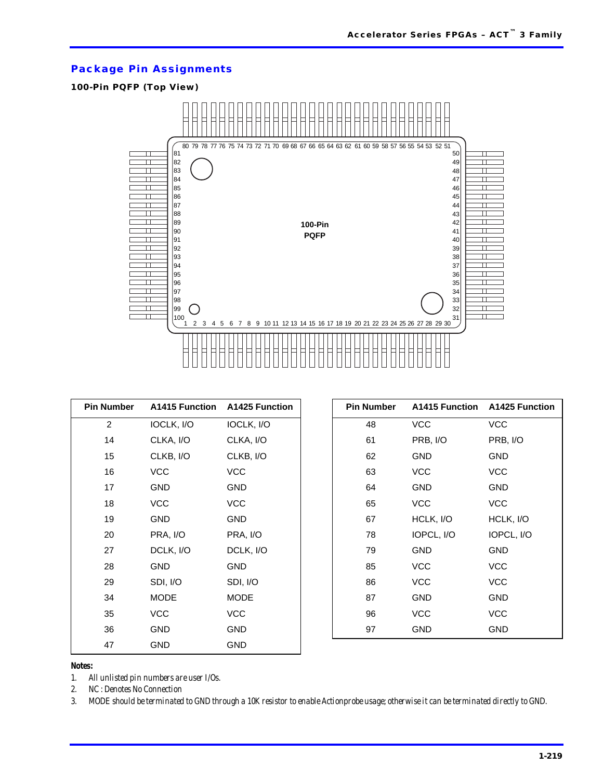### **Package Pin Assignments**

### **100-Pin PQFP (Top View)**



| <b>Pin Number</b> |             | A1415 Function A1425 Function | <b>Pin Number</b> | A1415 Function A1425 Function |            |
|-------------------|-------------|-------------------------------|-------------------|-------------------------------|------------|
| $\overline{2}$    | IOCLK, I/O  | IOCLK, I/O                    | 48                | <b>VCC</b>                    | <b>VCC</b> |
| 14                | CLKA, I/O   | CLKA, I/O                     | 61                | PRB, I/O                      | PRB, I/O   |
| 15                | CLKB, I/O   | CLKB, I/O                     | 62                | <b>GND</b>                    | <b>GND</b> |
| 16                | <b>VCC</b>  | <b>VCC</b>                    | 63                | <b>VCC</b>                    | <b>VCC</b> |
| 17                | <b>GND</b>  | <b>GND</b>                    | 64                | <b>GND</b>                    | <b>GND</b> |
| 18                | <b>VCC</b>  | <b>VCC</b>                    | 65                | <b>VCC</b>                    | <b>VCC</b> |
| 19                | <b>GND</b>  | <b>GND</b>                    | 67                | HCLK, I/O                     | HCLK, I/O  |
| 20                | PRA, I/O    | PRA, I/O                      | 78                | IOPCL, I/O                    | IOPCL, I/O |
| 27                | DCLK, I/O   | DCLK, I/O                     | 79                | <b>GND</b>                    | <b>GND</b> |
| 28                | <b>GND</b>  | <b>GND</b>                    | 85                | <b>VCC</b>                    | <b>VCC</b> |
| 29                | SDI, I/O    | SDI, I/O                      | 86                | <b>VCC</b>                    | <b>VCC</b> |
| 34                | <b>MODE</b> | <b>MODE</b>                   | 87                | <b>GND</b>                    | <b>GND</b> |
| 35                | <b>VCC</b>  | <b>VCC</b>                    | 96                | <b>VCC</b>                    | <b>VCC</b> |
| 36                | <b>GND</b>  | <b>GND</b>                    | 97                | <b>GND</b>                    | <b>GND</b> |
| 47                | <b>GND</b>  | <b>GND</b>                    |                   |                               |            |

*Notes:*

*1. All unlisted pin numbers are user I/Os.*

*2. NC : Denotes No Connection*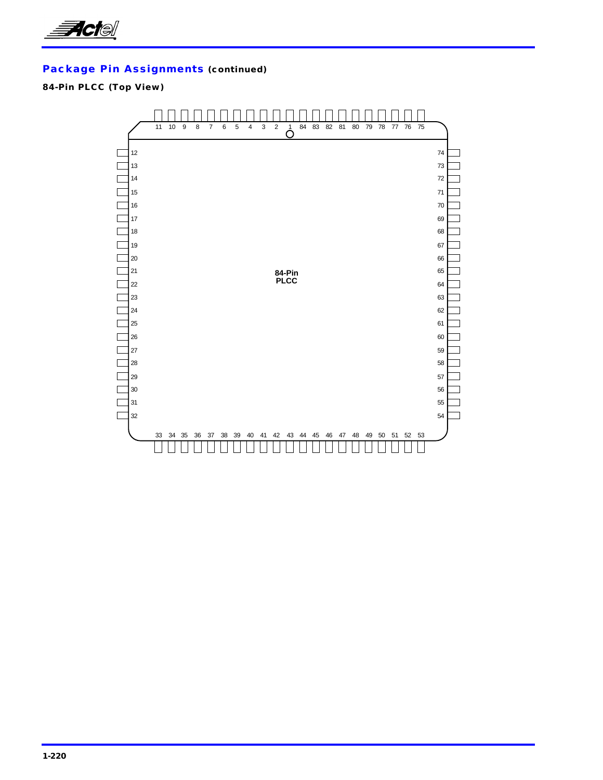

### **84-Pin PLCC (Top View)**

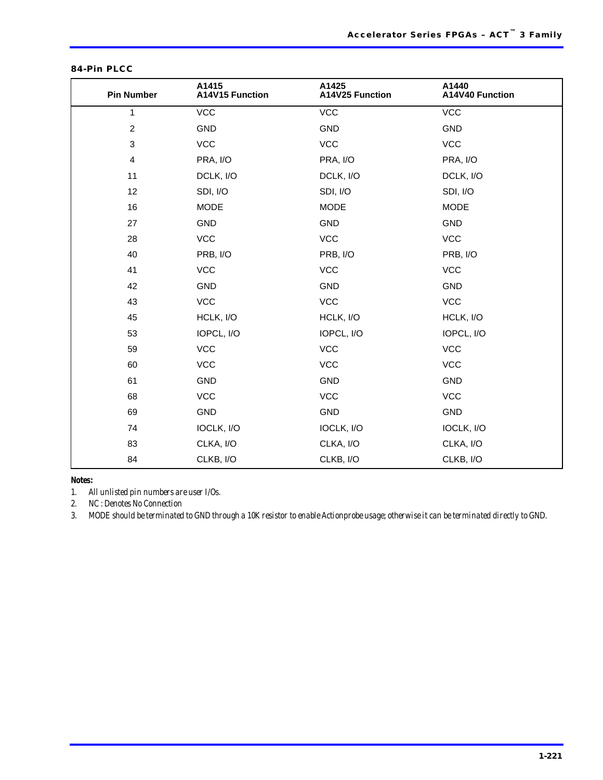| <b>Pin Number</b> | A1415<br>A14V15 Function | A1425<br>A14V25 Function | A1440<br>A14V40 Function |
|-------------------|--------------------------|--------------------------|--------------------------|
| $\mathbf{1}$      | <b>VCC</b>               | <b>VCC</b>               | <b>VCC</b>               |
| $\overline{2}$    | <b>GND</b>               | GND                      | <b>GND</b>               |
| 3                 | <b>VCC</b>               | <b>VCC</b>               | <b>VCC</b>               |
| 4                 | PRA, I/O                 | PRA, I/O                 | PRA, I/O                 |
| 11                | DCLK, I/O                | DCLK, I/O                | DCLK, I/O                |
| 12                | SDI, I/O                 | SDI, I/O                 | SDI, I/O                 |
| 16                | <b>MODE</b>              | <b>MODE</b>              | <b>MODE</b>              |
| 27                | GND                      | GND                      | <b>GND</b>               |
| 28                | <b>VCC</b>               | <b>VCC</b>               | <b>VCC</b>               |
| 40                | PRB, I/O                 | PRB, I/O                 | PRB, I/O                 |
| 41                | <b>VCC</b>               | <b>VCC</b>               | <b>VCC</b>               |
| 42                | <b>GND</b>               | GND                      | <b>GND</b>               |
| 43                | <b>VCC</b>               | <b>VCC</b>               | <b>VCC</b>               |
| 45                | HCLK, I/O                | HCLK, I/O                | HCLK, I/O                |
| 53                | IOPCL, I/O               | IOPCL, I/O               | IOPCL, I/O               |
| 59                | <b>VCC</b>               | <b>VCC</b>               | <b>VCC</b>               |
| 60                | <b>VCC</b>               | <b>VCC</b>               | <b>VCC</b>               |
| 61                | <b>GND</b>               | GND                      | <b>GND</b>               |
| 68                | <b>VCC</b>               | <b>VCC</b>               | <b>VCC</b>               |
| 69                | <b>GND</b>               | GND                      | <b>GND</b>               |
| 74                | IOCLK, I/O               | IOCLK, I/O               | IOCLK, I/O               |
| 83                | CLKA, I/O                | CLKA, I/O                | CLKA, I/O                |
| 84                | CLKB, I/O                | CLKB, I/O                | CLKB, I/O                |

#### **84-Pin PLCC**

*Notes:*

*1. All unlisted pin numbers are user I/Os.*

*2. NC : Denotes No Connection*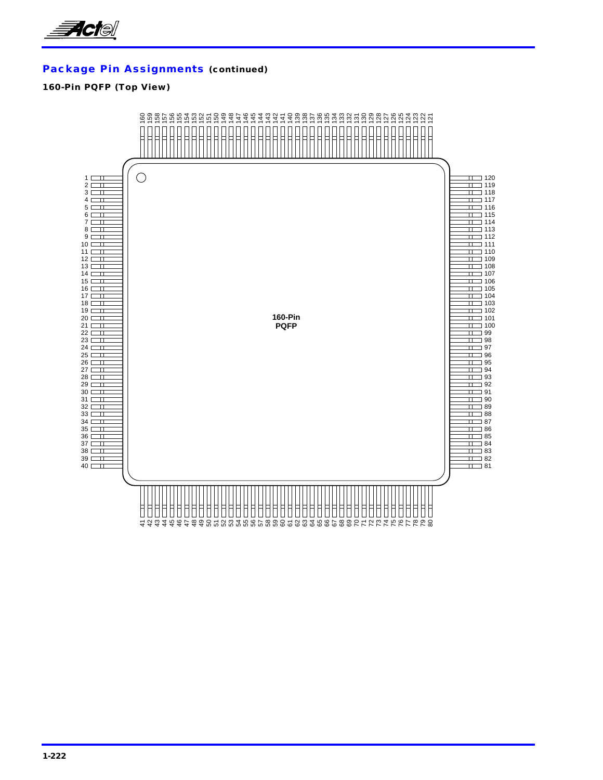

### **160-Pin PQFP (Top View)**

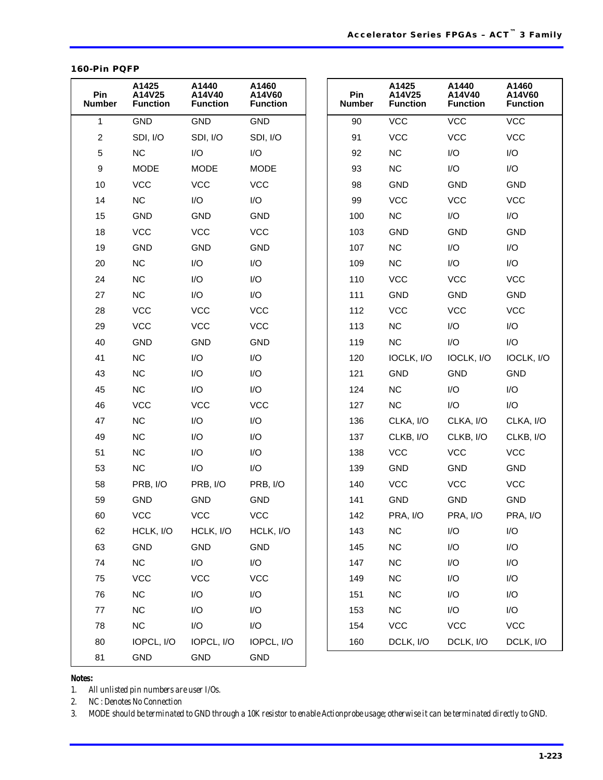#### **160-Pin PQFP**

| Pin<br><b>Number</b> | A1425<br>A14V25<br><b>Function</b> | A1440<br>A14V40<br><b>Function</b> | A1460<br>A14V60<br><b>Function</b> |
|----------------------|------------------------------------|------------------------------------|------------------------------------|
| $\mathbf{1}$         | <b>GND</b>                         | <b>GND</b>                         | GND                                |
| $\overline{2}$       | SDI, I/O                           | SDI, I/O                           | SDI, I/O                           |
| 5                    | <b>NC</b>                          | I/O                                | I/O                                |
| 9                    | <b>MODE</b>                        | <b>MODE</b>                        | <b>MODE</b>                        |
| 10                   | <b>VCC</b>                         | <b>VCC</b>                         | <b>VCC</b>                         |
| 14                   | NC                                 | I/O                                | I/O                                |
| 15                   | <b>GND</b>                         | <b>GND</b>                         | <b>GND</b>                         |
| 18                   | <b>VCC</b>                         | <b>VCC</b>                         | <b>VCC</b>                         |
| 19                   | <b>GND</b>                         | <b>GND</b>                         | <b>GND</b>                         |
| 20                   | NC                                 | I/O                                | I/O                                |
| 24                   | <b>NC</b>                          | I/O                                | I/O                                |
| 27                   | <b>NC</b>                          | I/O                                | I/O                                |
| 28                   | <b>VCC</b>                         | <b>VCC</b>                         | <b>VCC</b>                         |
| 29                   | <b>VCC</b>                         | <b>VCC</b>                         | <b>VCC</b>                         |
| 40                   | <b>GND</b>                         | <b>GND</b>                         | <b>GND</b>                         |
| 41                   | NC                                 | I/O                                | I/O                                |
| 43                   | <b>NC</b>                          | I/O                                | I/O                                |
| 45                   | <b>NC</b>                          | I/O                                | I/O                                |
| 46                   | <b>VCC</b>                         | <b>VCC</b>                         | <b>VCC</b>                         |
| 47                   | <b>NC</b>                          | I/O                                | I/O                                |
| 49                   | <b>NC</b>                          | I/O                                | I/O                                |
| 51                   | <b>NC</b>                          | I/O                                | I/O                                |
| 53                   | <b>NC</b>                          | I/O                                | I/O                                |
| 58                   | PRB, I/O                           | PRB, I/O                           | PRB, I/O                           |
| 59                   | <b>GND</b>                         | <b>GND</b>                         | <b>GND</b>                         |
| 60                   | VCC                                | <b>VCC</b>                         | <b>VCC</b>                         |
| 62                   | HCLK, I/O                          | HCLK, I/O                          | HCLK, I/O                          |
| 63                   | GND                                | GND                                | GND                                |
| 74                   | NC                                 | I/O                                | I/O                                |
| 75                   | <b>VCC</b>                         | <b>VCC</b>                         | <b>VCC</b>                         |
| 76                   | $NC$                               | I/O                                | I/O                                |
| 77                   | $NC$                               | I/O                                | I/O                                |
| 78                   | <b>NC</b>                          | I/O                                | I/O                                |
| 80                   | IOPCL, I/O                         | IOPCL, I/O                         | IOPCL, I/O                         |
| 81                   | GND                                | GND                                | GND                                |

### *Notes:*

*1. All unlisted pin numbers are user I/Os.*

*2. NC : Denotes No Connection*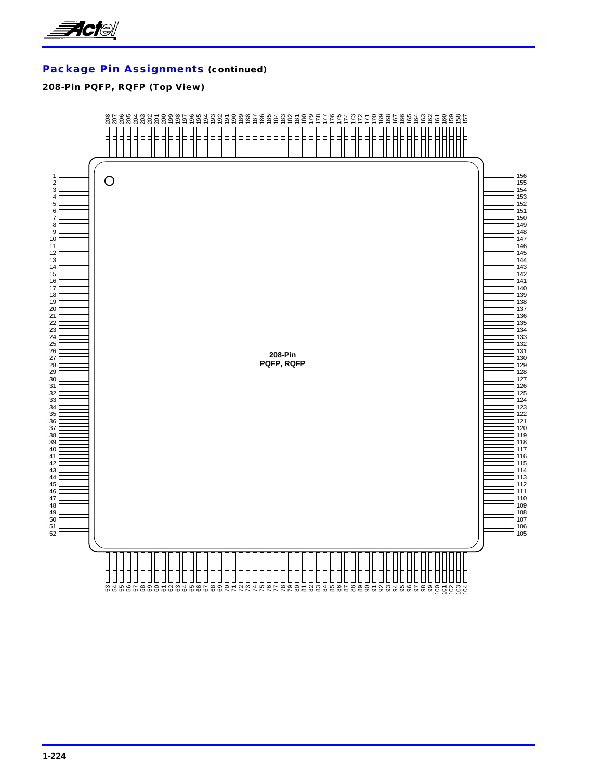

### **208-Pin PQFP, RQFP (Top View)**

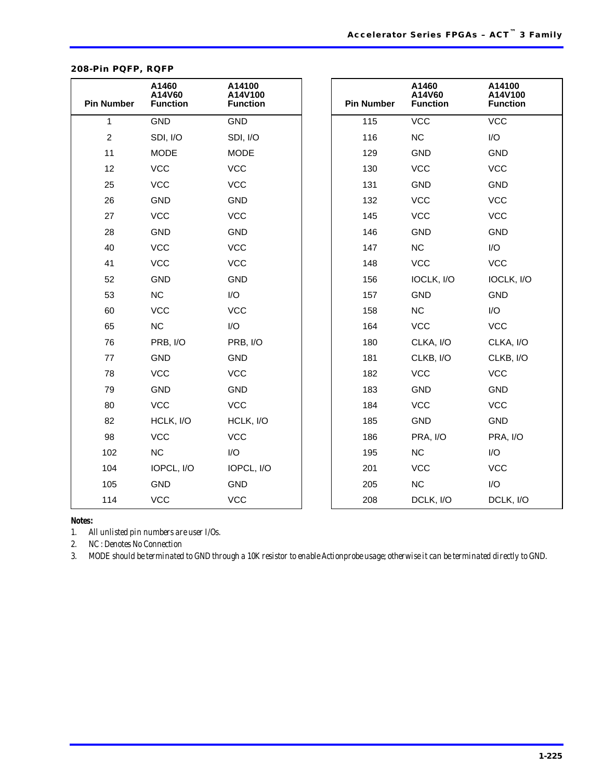| <b>Pin Number</b> | A1460<br>A14V60<br><b>Function</b> | A14100<br>A14V100<br><b>Function</b> | <b>Pin Number</b> | A1460<br>A14V60<br><b>Function</b> | A14100<br>A14V100<br><b>Function</b> |
|-------------------|------------------------------------|--------------------------------------|-------------------|------------------------------------|--------------------------------------|
| 1                 | <b>GND</b>                         | <b>GND</b>                           | 115               | <b>VCC</b>                         | <b>VCC</b>                           |
| $\sqrt{2}$        | SDI, I/O                           | SDI, I/O                             | 116               | NC                                 | I/O                                  |
| 11                | <b>MODE</b>                        | <b>MODE</b>                          | 129               | <b>GND</b>                         | <b>GND</b>                           |
| 12                | <b>VCC</b>                         | <b>VCC</b>                           | 130               | <b>VCC</b>                         | <b>VCC</b>                           |
| 25                | <b>VCC</b>                         | <b>VCC</b>                           | 131               | <b>GND</b>                         | GND                                  |
| 26                | <b>GND</b>                         | <b>GND</b>                           | 132               | <b>VCC</b>                         | <b>VCC</b>                           |
| 27                | <b>VCC</b>                         | <b>VCC</b>                           | 145               | <b>VCC</b>                         | <b>VCC</b>                           |
| 28                | <b>GND</b>                         | <b>GND</b>                           | 146               | <b>GND</b>                         | <b>GND</b>                           |
| 40                | <b>VCC</b>                         | <b>VCC</b>                           | 147               | NC                                 | I/O                                  |
| 41                | <b>VCC</b>                         | <b>VCC</b>                           | 148               | <b>VCC</b>                         | <b>VCC</b>                           |
| 52                | <b>GND</b>                         | <b>GND</b>                           | 156               | IOCLK, I/O                         | IOCLK, I/O                           |
| 53                | NC.                                | I/O                                  | 157               | <b>GND</b>                         | <b>GND</b>                           |
| 60                | <b>VCC</b>                         | <b>VCC</b>                           | 158               | NC                                 | I/O                                  |
| 65                | NC                                 | I/O                                  | 164               | <b>VCC</b>                         | <b>VCC</b>                           |
| 76                | PRB, I/O                           | PRB, I/O                             | 180               | CLKA, I/O                          | CLKA, I/O                            |
| 77                | <b>GND</b>                         | <b>GND</b>                           | 181               | CLKB, I/O                          | CLKB, I/O                            |
| 78                | <b>VCC</b>                         | <b>VCC</b>                           | 182               | <b>VCC</b>                         | <b>VCC</b>                           |
| 79                | <b>GND</b>                         | <b>GND</b>                           | 183               | <b>GND</b>                         | GND                                  |
| 80                | <b>VCC</b>                         | <b>VCC</b>                           | 184               | <b>VCC</b>                         | <b>VCC</b>                           |
| 82                | HCLK, I/O                          | HCLK, I/O                            | 185               | <b>GND</b>                         | GND                                  |
| 98                | <b>VCC</b>                         | <b>VCC</b>                           | 186               | PRA, I/O                           | PRA, I/O                             |
| 102               | NC                                 | I/O                                  | 195               | <b>NC</b>                          | I/O                                  |
| 104               | IOPCL, I/O                         | IOPCL, I/O                           | 201               | <b>VCC</b>                         | <b>VCC</b>                           |
| 105               | <b>GND</b>                         | <b>GND</b>                           | 205               | <b>NC</b>                          | I/O                                  |
| 114               | <b>VCC</b>                         | <b>VCC</b>                           | 208               | DCLK, I/O                          | DCLK, I/O                            |

### **208-Pin PQFP, RQFP**

#### *Notes:*

*1. All unlisted pin numbers are user I/Os.*

*2. NC : Denotes No Connection*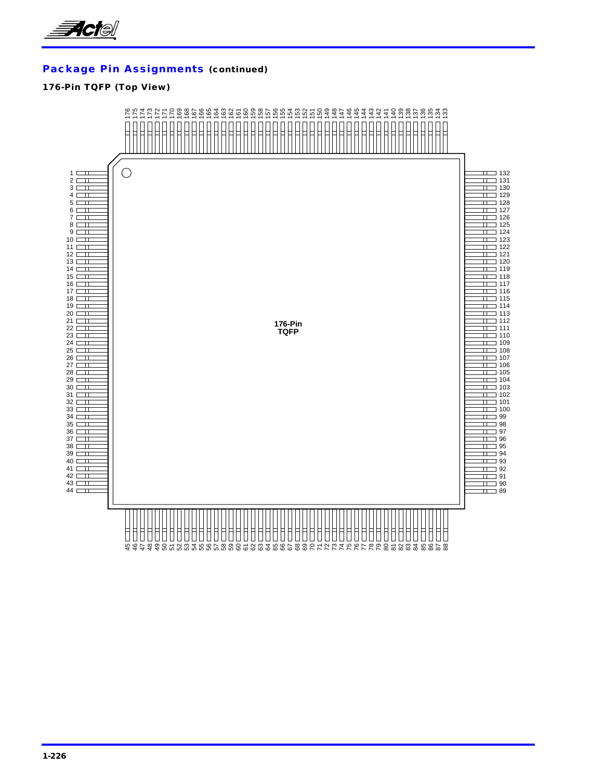

### **176-Pin TQFP (Top View)**

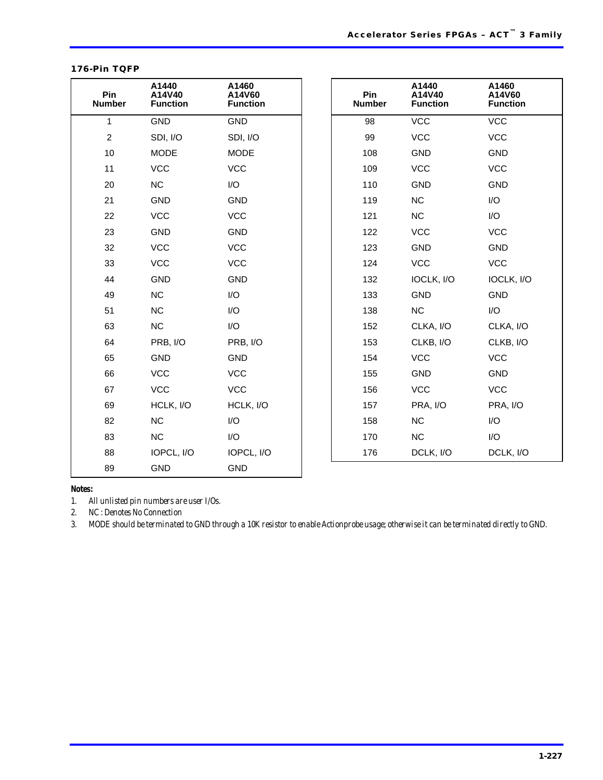| 176-Pin TQFP |  |
|--------------|--|
|--------------|--|

| Pin<br><b>Number</b> | A1440<br>A14V40<br><b>Function</b> | A1460<br>A14V60<br><b>Function</b> | Pin<br><b>Number</b> | A1440<br>A14V40<br><b>Function</b> | A1460<br>A14V60<br><b>Function</b> |
|----------------------|------------------------------------|------------------------------------|----------------------|------------------------------------|------------------------------------|
| $\mathbf{1}$         | <b>GND</b>                         | <b>GND</b>                         | 98                   | <b>VCC</b>                         | <b>VCC</b>                         |
| $\overline{c}$       | SDI, I/O                           | SDI, I/O                           | 99                   | <b>VCC</b>                         | <b>VCC</b>                         |
| 10                   | <b>MODE</b>                        | <b>MODE</b>                        | 108                  | <b>GND</b>                         | <b>GND</b>                         |
| 11                   | <b>VCC</b>                         | <b>VCC</b>                         | 109                  | <b>VCC</b>                         | <b>VCC</b>                         |
| 20                   | NC                                 | I/O                                | 110                  | <b>GND</b>                         | <b>GND</b>                         |
| 21                   | <b>GND</b>                         | <b>GND</b>                         | 119                  | NC                                 | I/O                                |
| 22                   | <b>VCC</b>                         | <b>VCC</b>                         | 121                  | NC                                 | I/O                                |
| 23                   | <b>GND</b>                         | <b>GND</b>                         | 122                  | <b>VCC</b>                         | <b>VCC</b>                         |
| 32                   | <b>VCC</b>                         | <b>VCC</b>                         | 123                  | <b>GND</b>                         | <b>GND</b>                         |
| 33                   | <b>VCC</b>                         | <b>VCC</b>                         | 124                  | <b>VCC</b>                         | <b>VCC</b>                         |
| 44                   | <b>GND</b>                         | <b>GND</b>                         | 132                  | IOCLK, I/O                         | IOCLK, I/O                         |
| 49                   | <b>NC</b>                          | I/O                                | 133                  | <b>GND</b>                         | GND                                |
| 51                   | <b>NC</b>                          | I/O                                | 138                  | <b>NC</b>                          | I/O                                |
| 63                   | <b>NC</b>                          | I/O                                | 152                  | CLKA, I/O                          | CLKA, I/O                          |
| 64                   | PRB, I/O                           | PRB, I/O                           | 153                  | CLKB, I/O                          | CLKB, I/O                          |
| 65                   | <b>GND</b>                         | <b>GND</b>                         | 154                  | <b>VCC</b>                         | <b>VCC</b>                         |
| 66                   | <b>VCC</b>                         | <b>VCC</b>                         | 155                  | <b>GND</b>                         | GND                                |
| 67                   | <b>VCC</b>                         | <b>VCC</b>                         | 156                  | <b>VCC</b>                         | <b>VCC</b>                         |
| 69                   | HCLK, I/O                          | HCLK, I/O                          | 157                  | PRA, I/O                           | PRA, I/O                           |
| 82                   | NC                                 | I/O                                | 158                  | <b>NC</b>                          | I/O                                |
| 83                   | <b>NC</b>                          | I/O                                | 170                  | NC                                 | I/O                                |
| 88                   | IOPCL, I/O                         | IOPCL, I/O                         | 176                  | DCLK, I/O                          | DCLK, I/O                          |
| 89                   | <b>GND</b>                         | <b>GND</b>                         |                      |                                    |                                    |

#### *Notes:*

*1. All unlisted pin numbers are user I/Os.*

*2. NC : Denotes No Connection*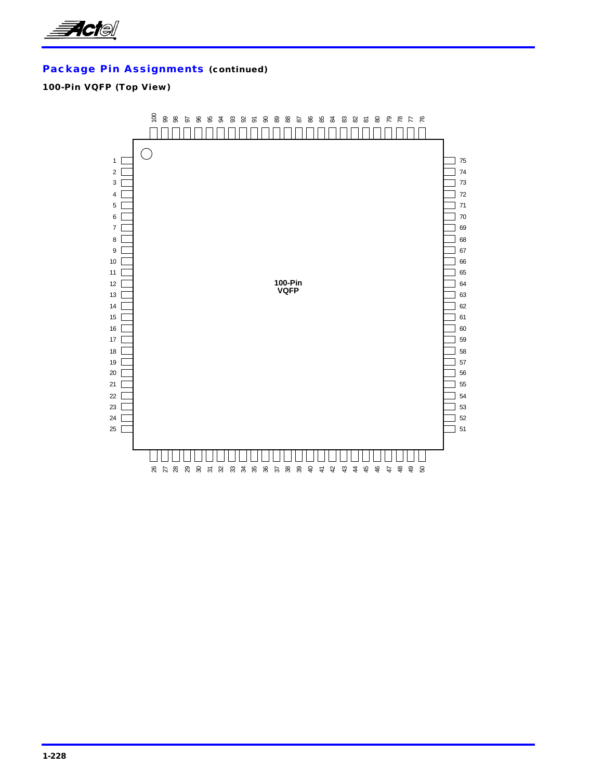

### **100-Pin VQFP (Top View)**

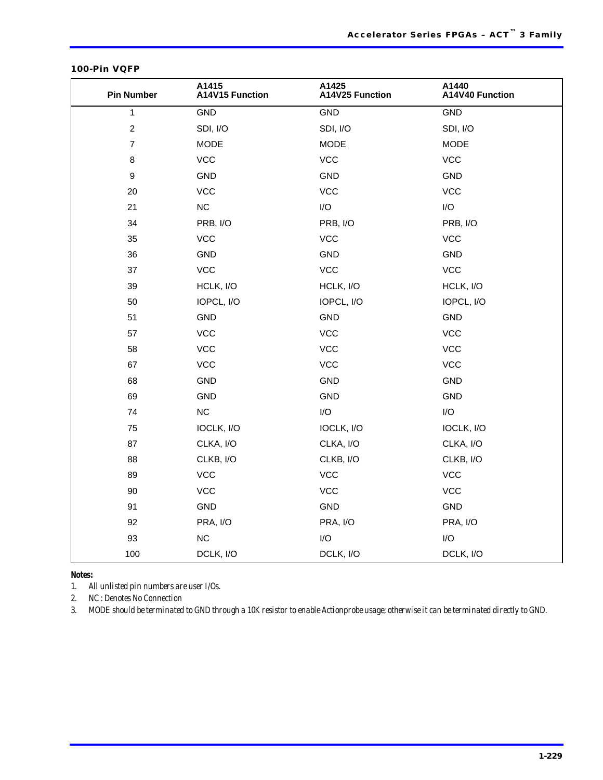| <b>Pin Number</b> | A1415<br>A14V15 Function | A1425<br>A14V25 Function | A1440<br>A14V40 Function |
|-------------------|--------------------------|--------------------------|--------------------------|
| 1                 | GND                      | <b>GND</b>               | GND                      |
| $\boldsymbol{2}$  | SDI, I/O                 | SDI, I/O                 | SDI, I/O                 |
| $\overline{7}$    | <b>MODE</b>              | <b>MODE</b>              | <b>MODE</b>              |
| $\bf8$            | <b>VCC</b>               | <b>VCC</b>               | <b>VCC</b>               |
| 9                 | GND                      | <b>GND</b>               | <b>GND</b>               |
| $20\,$            | <b>VCC</b>               | <b>VCC</b>               | <b>VCC</b>               |
| 21                | ${\sf NC}$               | $\mathsf{I}/\mathsf{O}$  | I/O                      |
| 34                | PRB, I/O                 | PRB, I/O                 | PRB, I/O                 |
| 35                | <b>VCC</b>               | <b>VCC</b>               | <b>VCC</b>               |
| 36                | GND                      | <b>GND</b>               | <b>GND</b>               |
| 37                | <b>VCC</b>               | <b>VCC</b>               | <b>VCC</b>               |
| 39                | HCLK, I/O                | HCLK, I/O                | HCLK, I/O                |
| 50                | IOPCL, I/O               | IOPCL, I/O               | IOPCL, I/O               |
| 51                | GND                      | <b>GND</b>               | GND                      |
| 57                | <b>VCC</b>               | <b>VCC</b>               | <b>VCC</b>               |
| 58                | <b>VCC</b>               | <b>VCC</b>               | <b>VCC</b>               |
| 67                | <b>VCC</b>               | <b>VCC</b>               | <b>VCC</b>               |
| 68                | <b>GND</b>               | <b>GND</b>               | GND                      |
| 69                | GND                      | <b>GND</b>               | <b>GND</b>               |
| 74                | $NC$                     | $\mathsf{I}/\mathsf{O}$  | I/O                      |
| 75                | IOCLK, I/O               | IOCLK, I/O               | IOCLK, I/O               |
| 87                | CLKA, I/O                | CLKA, I/O                | CLKA, I/O                |
| 88                | CLKB, I/O                | CLKB, I/O                | CLKB, I/O                |
| 89                | <b>VCC</b>               | <b>VCC</b>               | <b>VCC</b>               |
| 90                | <b>VCC</b>               | <b>VCC</b>               | <b>VCC</b>               |
| 91                | GND                      | GND                      | GND                      |
| 92                | PRA, I/O                 | PRA, I/O                 | PRA, I/O                 |
| 93                | NC                       | I/O                      | I/O                      |
| 100               | DCLK, I/O                | DCLK, I/O                | DCLK, I/O                |

#### **100-Pin VQFP**

*Notes:*

*1. All unlisted pin numbers are user I/Os.*

*2. NC : Denotes No Connection*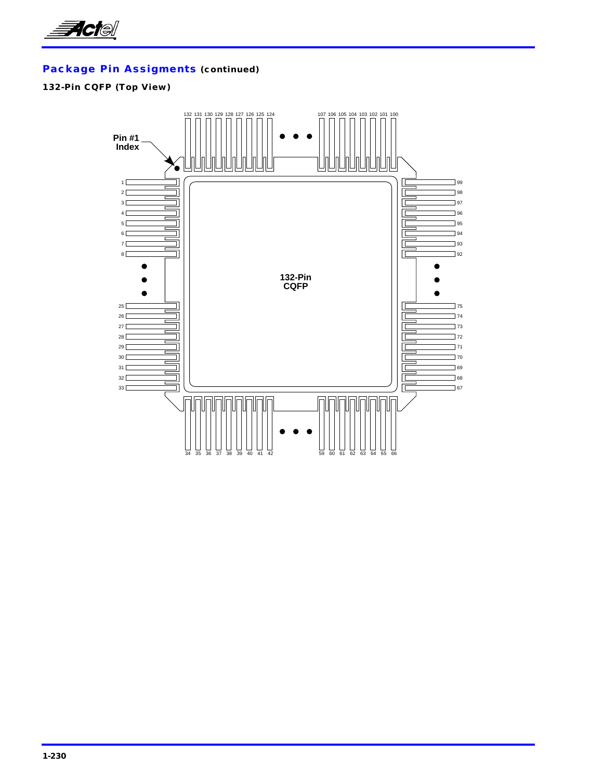

### **132-Pin CQFP (Top View)**

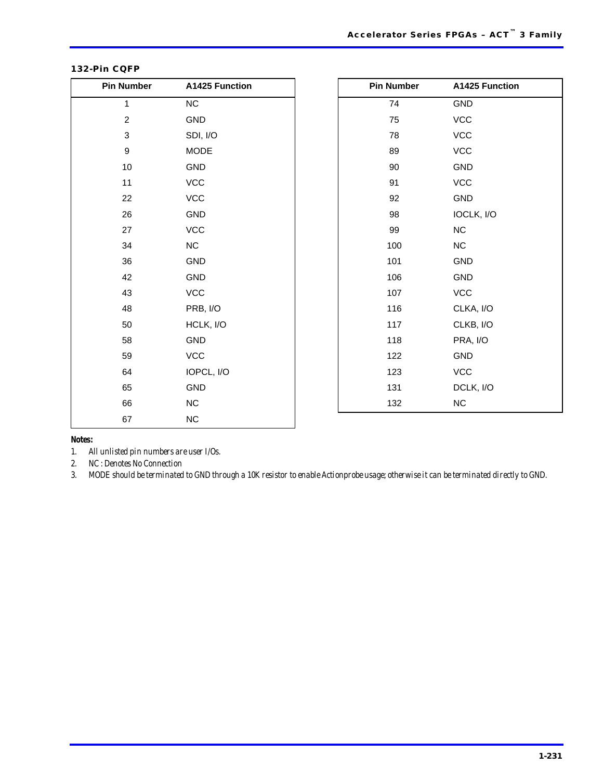| <b>Pin Number</b> | A1425 Function | <b>Pin Number</b> | A1425 Function              |
|-------------------|----------------|-------------------|-----------------------------|
| $\mathbf{1}$      | NC             | 74                | GND                         |
| $\overline{c}$    | GND            | 75                | VCC                         |
| 3                 | SDI, I/O       | 78                | VCC                         |
| $\boldsymbol{9}$  | <b>MODE</b>    | 89                | VCC                         |
| 10                | GND            | 90                | GND                         |
| 11                | VCC            | 91                | VCC                         |
| 22                | VCC            | 92                | GND                         |
| 26                | GND            | 98                | IOCLK, I/O                  |
| 27                | VCC            | 99                | NC                          |
| 34                | $NC$           | 100               | NC                          |
| 36                | GND            | 101               | GND                         |
| 42                | GND            | 106               | GND                         |
| 43                | VCC            | 107               | $\ensuremath{\mathsf{VCC}}$ |
| 48                | PRB, I/O       | 116               | CLKA, I/O                   |
| 50                | HCLK, I/O      | 117               | CLKB, I/O                   |
| 58                | GND            | 118               | PRA, I/O                    |
| 59                | VCC            | 122               | GND                         |
| 64                | IOPCL, I/O     | 123               | $\ensuremath{\mathsf{VCC}}$ |
| 65                | GND            | 131               | DCLK, I/O                   |
| 66                | NC             | 132               | <b>NC</b>                   |
| 67                | ${\sf NC}$     |                   |                             |

#### **132-Pin CQFP**

*Notes:*

*1. All unlisted pin numbers are user I/Os.*

*2. NC : Denotes No Connection*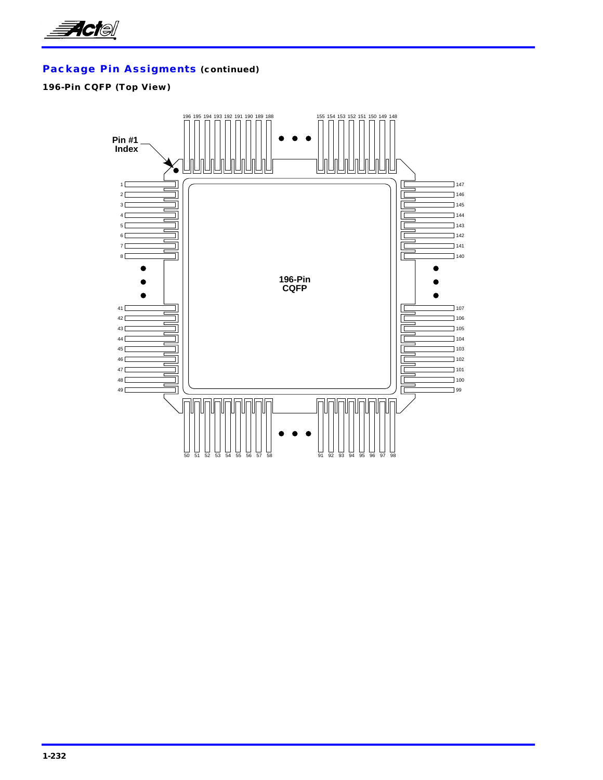

### **196-Pin CQFP (Top View)**

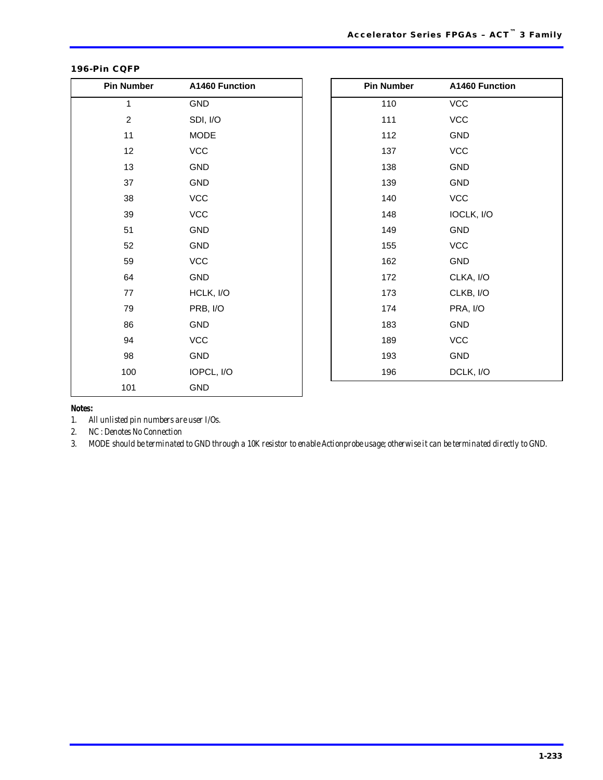| <b>Pin Number</b> | A1460 Function | <b>Pin Number</b> | A1460 Function |
|-------------------|----------------|-------------------|----------------|
| $\mathbf{1}$      | GND            | 110               | VCC            |
| $\overline{c}$    | SDI, I/O       | 111               | <b>VCC</b>     |
| 11                | <b>MODE</b>    | 112               | GND            |
| 12                | VCC            | 137               | VCC            |
| 13                | GND            | 138               | GND            |
| 37                | GND            | 139               | GND            |
| 38                | <b>VCC</b>     | 140               | VCC            |
| 39                | <b>VCC</b>     | 148               | IOCLK, I/O     |
| 51                | <b>GND</b>     | 149               | GND            |
| 52                | GND            | 155               | VCC            |
| 59                | <b>VCC</b>     | 162               | GND            |
| 64                | GND            | 172               | CLKA, I/O      |
| 77                | HCLK, I/O      | 173               | CLKB, I/O      |
| 79                | PRB, I/O       | 174               | PRA, I/O       |
| 86                | GND            | 183               | GND            |
| 94                | <b>VCC</b>     | 189               | VCC            |
| 98                | GND            | 193               | GND            |
| 100               | IOPCL, I/O     | 196               | DCLK, I/O      |
| 101               | GND            |                   |                |

### **196-Pin CQFP**

*Notes:*

*1. All unlisted pin numbers are user I/Os.*

*2. NC : Denotes No Connection*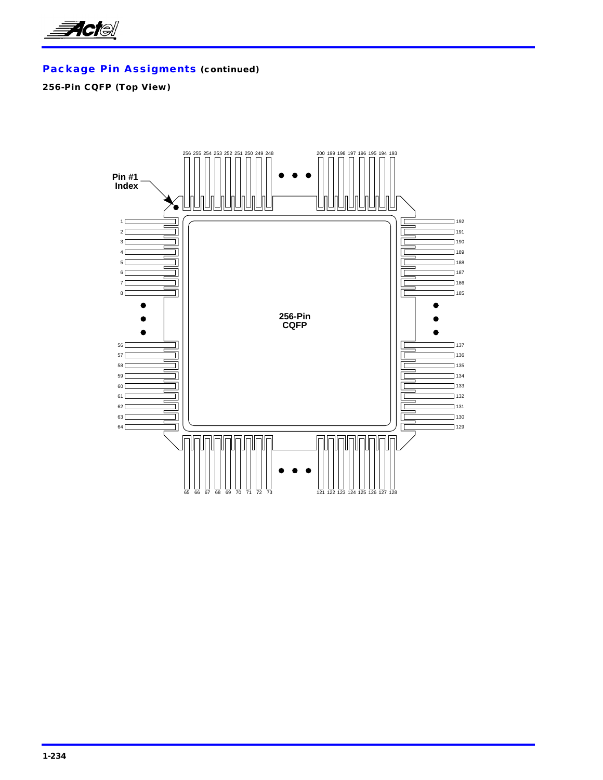![](_page_59_Picture_0.jpeg)

### **256-Pin CQFP (Top View)**

![](_page_59_Figure_3.jpeg)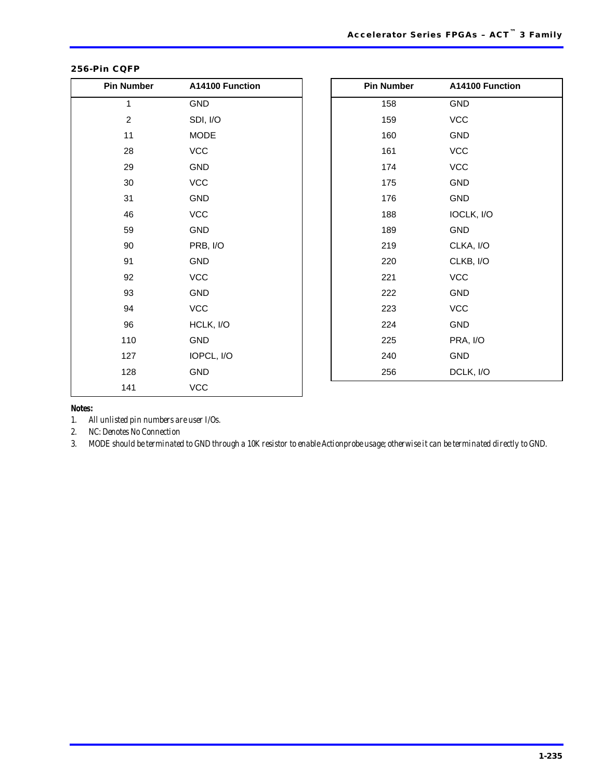| <b>Pin Number</b> | A14100 Function | <b>Pin Number</b> | A14100 Function |
|-------------------|-----------------|-------------------|-----------------|
| $\mathbf{1}$      | <b>GND</b>      | 158               | GND             |
| $\sqrt{2}$        | SDI, I/O        | 159               | VCC             |
| 11                | <b>MODE</b>     | 160               | GND             |
| 28                | <b>VCC</b>      | 161               | VCC             |
| 29                | GND             | 174               | <b>VCC</b>      |
| 30                | <b>VCC</b>      | 175               | GND             |
| 31                | <b>GND</b>      | 176               | <b>GND</b>      |
| 46                | VCC             | 188               | IOCLK, I/O      |
| 59                | GND             | 189               | GND             |
| 90                | PRB, I/O        | 219               | CLKA, I/O       |
| 91                | GND             | 220               | CLKB, I/O       |
| 92                | <b>VCC</b>      | 221               | <b>VCC</b>      |
| 93                | <b>GND</b>      | 222               | <b>GND</b>      |
| 94                | VCC             | 223               | VCC             |
| 96                | HCLK, I/O       | 224               | <b>GND</b>      |
| 110               | GND             | 225               | PRA, I/O        |
| 127               | IOPCL, I/O      | 240               | GND             |
| 128               | <b>GND</b>      | 256               | DCLK, I/O       |
| 141               | VCC             |                   |                 |

### **256-Pin CQFP**

*Notes:*

*1. All unlisted pin numbers are user I/Os.*

*2. NC: Denotes No Connection*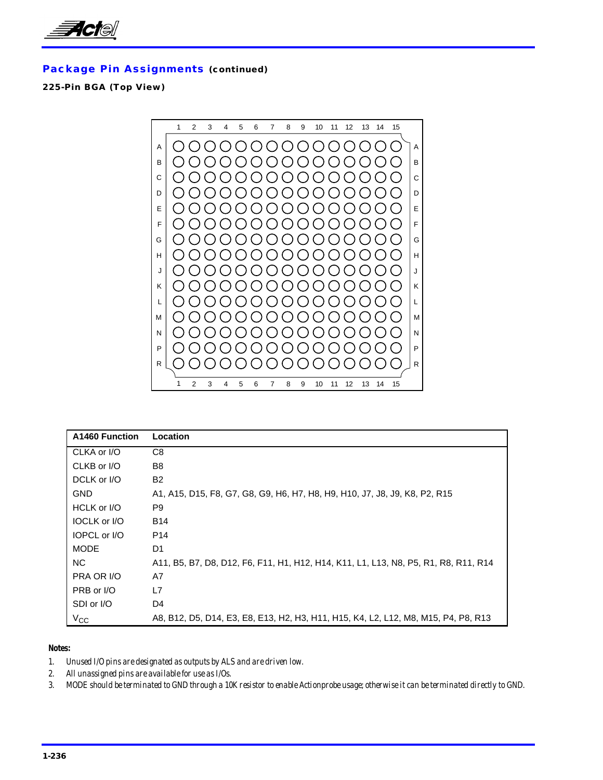![](_page_61_Picture_0.jpeg)

### **225-Pin BGA (Top View)**

![](_page_61_Figure_3.jpeg)

| A1460 Function      | Location                                                                            |
|---------------------|-------------------------------------------------------------------------------------|
| CLKA or I/O         | C <sub>8</sub>                                                                      |
| CLKB or I/O         | B <sub>8</sub>                                                                      |
| DCLK or I/O         | <b>B2</b>                                                                           |
| <b>GND</b>          | A1, A15, D15, F8, G7, G8, G9, H6, H7, H8, H9, H10, J7, J8, J9, K8, P2, R15          |
| HCLK or I/O         | P9                                                                                  |
| <b>IOCLK or I/O</b> | <b>B14</b>                                                                          |
| <b>IOPCL or I/O</b> | P <sub>14</sub>                                                                     |
| <b>MODE</b>         | D1                                                                                  |
| NC.                 | A11, B5, B7, D8, D12, F6, F11, H1, H12, H14, K11, L1, L13, N8, P5, R1, R8, R11, R14 |
| PRA OR I/O          | A7                                                                                  |
| PRB or I/O          | L7                                                                                  |
| SDI or I/O          | D <sub>4</sub>                                                                      |
| $V_{\rm CC}$        | A8, B12, D5, D14, E3, E8, E13, H2, H3, H11, H15, K4, L2, L12, M8, M15, P4, P8, R13  |

#### *Notes:*

*1. Unused I/O pins are designated as outputs by ALS and are driven low.*

*2. All unassigned pins are available for use as I/Os.*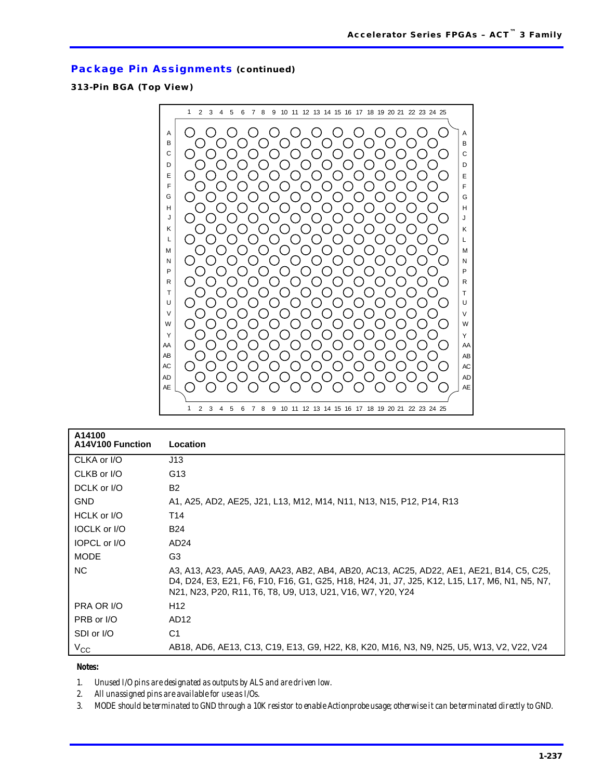### **313-Pin BGA (Top View)**

![](_page_62_Figure_3.jpeg)

| A14100<br>A14V100 Function | Location                                                                                                                                                                                                                                                  |
|----------------------------|-----------------------------------------------------------------------------------------------------------------------------------------------------------------------------------------------------------------------------------------------------------|
| CLKA or I/O                | J13                                                                                                                                                                                                                                                       |
| CLKB or I/O                | G13                                                                                                                                                                                                                                                       |
| DCLK or I/O                | <b>B2</b>                                                                                                                                                                                                                                                 |
| <b>GND</b>                 | A1, A25, AD2, AE25, J21, L13, M12, M14, N11, N13, N15, P12, P14, R13                                                                                                                                                                                      |
| HCLK or I/O                | T14                                                                                                                                                                                                                                                       |
| <b>IOCLK or I/O</b>        | <b>B24</b>                                                                                                                                                                                                                                                |
| IOPCL or I/O               | AD <sub>24</sub>                                                                                                                                                                                                                                          |
| <b>MODE</b>                | G <sub>3</sub>                                                                                                                                                                                                                                            |
| NC.                        | A3, A13, A23, AA5, AA9, AA23, AB2, AB4, AB20, AC13, AC25, AD22, AE1, AE21, B14, C5, C25,<br>D4, D24, E3, E21, F6, F10, F16, G1, G25, H18, H24, J1, J7, J25, K12, L15, L17, M6, N1, N5, N7,<br>N21, N23, P20, R11, T6, T8, U9, U13, U21, V16, W7, Y20, Y24 |
| PRA OR I/O                 | H <sub>12</sub>                                                                                                                                                                                                                                           |
| PRB or I/O                 | AD <sub>12</sub>                                                                                                                                                                                                                                          |
| SDI or I/O                 | C <sub>1</sub>                                                                                                                                                                                                                                            |
| $V_{CC}$                   | AB18, AD6, AE13, C13, C19, E13, G9, H22, K8, K20, M16, N3, N9, N25, U5, W13, V2, V22, V24                                                                                                                                                                 |

*Notes:*

*1. Unused I/O pins are designated as outputs by ALS and are driven low.*

*2. All unassigned pins are available for use as I/Os.*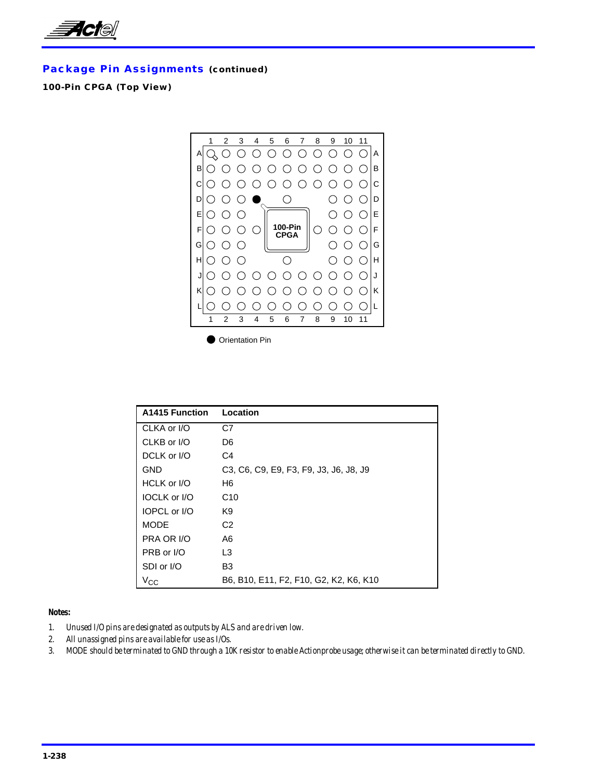![](_page_63_Picture_0.jpeg)

### **100-Pin CPGA (Top View)**

![](_page_63_Figure_3.jpeg)

**Orientation Pin** 

| A1415 Function      | Location                               |
|---------------------|----------------------------------------|
| CLKA or I/O         | C7                                     |
| CLKB or I/O         | D <sub>6</sub>                         |
| DCLK or I/O         | C4                                     |
| GND                 | C3, C6, C9, E9, F3, F9, J3, J6, J8, J9 |
| HCLK or I/O         | H6                                     |
| <b>IOCLK or I/O</b> | C <sub>10</sub>                        |
| IOPCL or I/O        | K9                                     |
| <b>MODE</b>         | C <sub>2</sub>                         |
| PRA OR I/O          | A6                                     |
| PRB or I/O          | L <sub>3</sub>                         |
| SDI or I/O          | B <sub>3</sub>                         |
| $V_{\rm CC}$        | B6, B10, E11, F2, F10, G2, K2, K6, K10 |

- *1. Unused I/O pins are designated as outputs by ALS and are driven low.*
- *2. All unassigned pins are available for use as I/Os.*
- *3. MODE should be terminated to GND through a 10K resistor to enable Actionprobe usage; otherwise it can be terminated directly to GND.*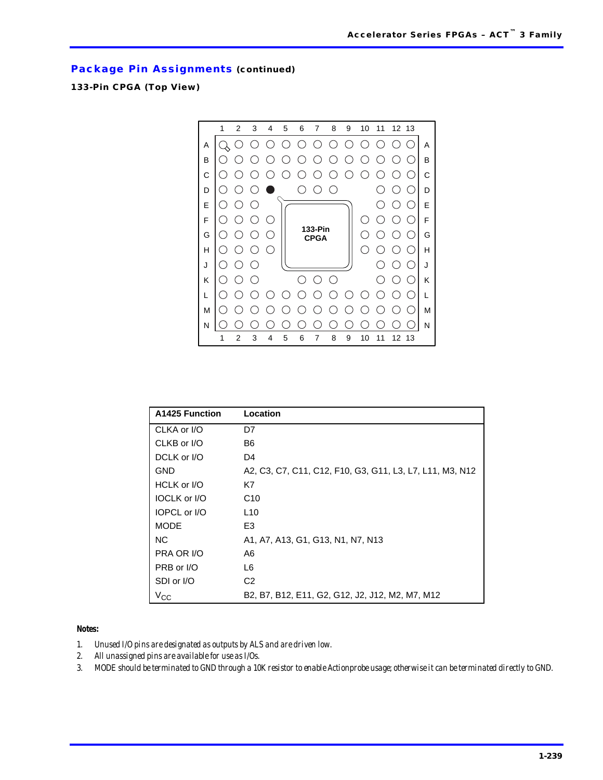### **133-Pin CPGA (Top View)**

![](_page_64_Picture_3.jpeg)

| <b>A1425 Function</b> | Location                                                 |
|-----------------------|----------------------------------------------------------|
| CLKA or I/O           | D7                                                       |
| CLKB or I/O           | B6                                                       |
| DCLK or I/O           | D4                                                       |
| GND                   | A2, C3, C7, C11, C12, F10, G3, G11, L3, L7, L11, M3, N12 |
| HCLK or I/O           | K7                                                       |
| <b>IOCLK or I/O</b>   | C <sub>10</sub>                                          |
| IOPCL or I/O          | L <sub>10</sub>                                          |
| <b>MODE</b>           | E3                                                       |
| <b>NC</b>             | A1, A7, A13, G1, G13, N1, N7, N13                        |
| PRA OR I/O            | A6                                                       |
| PRB or I/O            | L6                                                       |
| SDI or I/O            | C <sub>2</sub>                                           |
| $V_{\rm CC}$          | B2, B7, B12, E11, G2, G12, J2, J12, M2, M7, M12          |

#### *Notes:*

- *1. Unused I/O pins are designated as outputs by ALS and are driven low.*
- *2. All unassigned pins are available for use as I/Os.*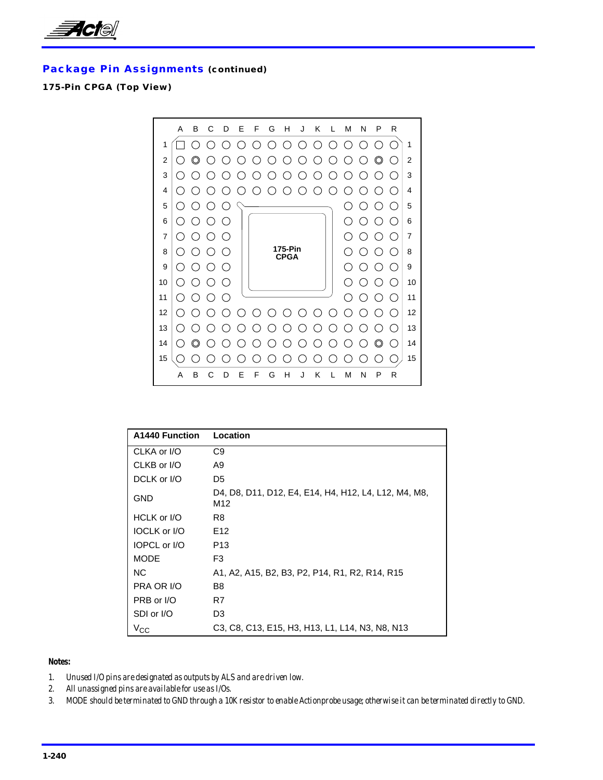![](_page_65_Picture_0.jpeg)

### **175-Pin CPGA (Top View)**

![](_page_65_Figure_3.jpeg)

| <b>A1440 Function</b> | Location                                                    |
|-----------------------|-------------------------------------------------------------|
| CLKA or I/O           | C9                                                          |
| CLKB or I/O           | A9                                                          |
| DCLK or I/O           | D <sub>5</sub>                                              |
| <b>GND</b>            | D4, D8, D11, D12, E4, E14, H4, H12, L4, L12, M4, M8,<br>M12 |
| HCLK or I/O           | R8                                                          |
| <b>IOCLK or I/O</b>   | E <sub>12</sub>                                             |
| <b>IOPCL or I/O</b>   | P <sub>13</sub>                                             |
| <b>MODE</b>           | F <sub>3</sub>                                              |
| <b>NC</b>             | A1, A2, A15, B2, B3, P2, P14, R1, R2, R14, R15              |
| PRA OR I/O            | B8                                                          |
| PRB or I/O            | R7                                                          |
| SDI or I/O            | D3                                                          |
| $V_{CC}$              | C3, C8, C13, E15, H3, H13, L1, L14, N3, N8, N13             |

- *1. Unused I/O pins are designated as outputs by ALS and are driven low.*
- *2. All unassigned pins are available for use as I/Os.*
- *3. MODE should be terminated to GND through a 10K resistor to enable Actionprobe usage; otherwise it can be terminated directly to GND.*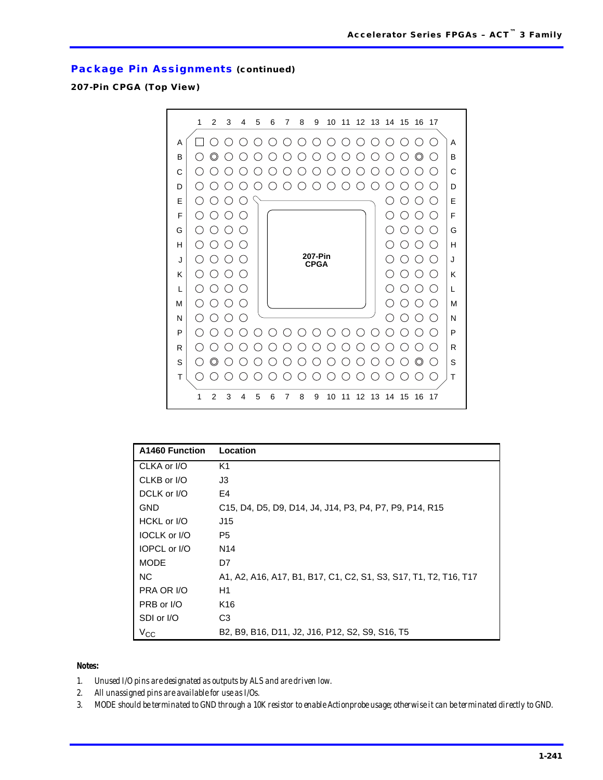### **207-Pin CPGA (Top View)**

![](_page_66_Figure_3.jpeg)

| A1460 Function      | Location                                                         |
|---------------------|------------------------------------------------------------------|
| CLKA or I/O         | K1                                                               |
| CLKB or I/O         | J3                                                               |
| DCLK or I/O         | E4                                                               |
| <b>GND</b>          | C15, D4, D5, D9, D14, J4, J14, P3, P4, P7, P9, P14, R15          |
| HCKL or I/O         | J15                                                              |
| <b>IOCLK</b> or I/O | P5.                                                              |
| <b>IOPCL or I/O</b> | N14                                                              |
| <b>MODE</b>         | D7                                                               |
| NC.                 | A1, A2, A16, A17, B1, B17, C1, C2, S1, S3, S17, T1, T2, T16, T17 |
| PRA OR I/O          | H1                                                               |
| PRB or I/O          | K <sub>16</sub>                                                  |
| SDI or I/O          | C <sub>3</sub>                                                   |
| $V_{\rm CC}$        | B2, B9, B16, D11, J2, J16, P12, S2, S9, S16, T5                  |

- *1. Unused I/O pins are designated as outputs by ALS and are driven low.*
- *2. All unassigned pins are available for use as I/Os.*
- *3. MODE should be terminated to GND through a 10K resistor to enable Actionprobe usage; otherwise it can be terminated directly to GND.*